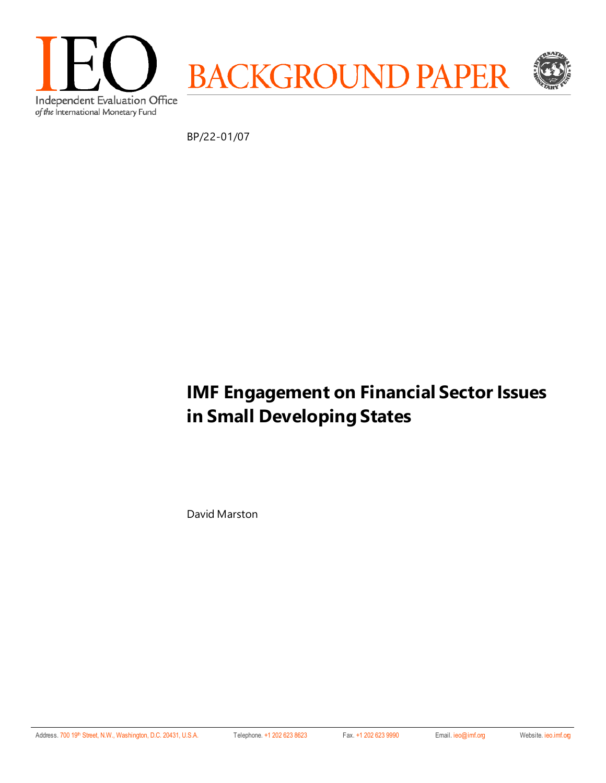

BP/22-01/07

# **IMF Engagement on Financial Sector Issues in Small Developing States**

David Marston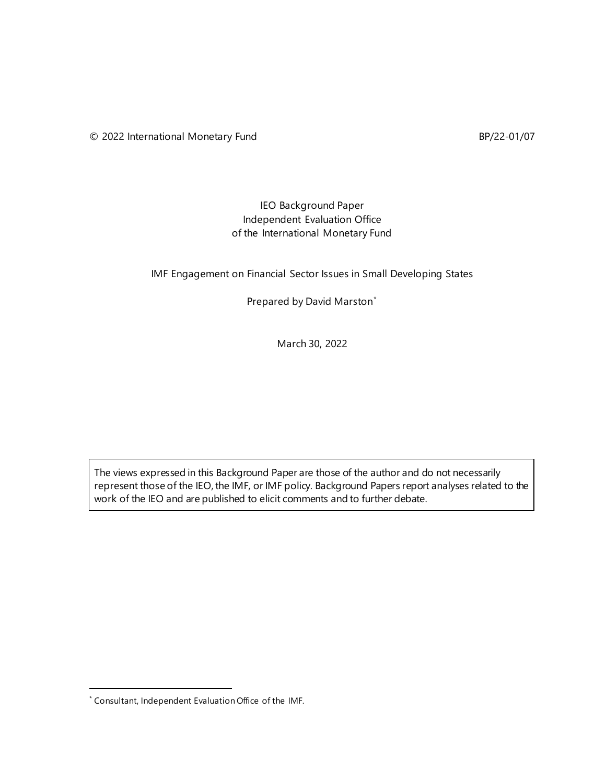### IEO Background Paper Independent Evaluation Office of the International Monetary Fund

IMF Engagement on Financial Sector Issues in Small Developing States

Prepared by David Marston[\\*](#page-1-0)

March 30, 2022

The views expressed in this Background Paper are those of the author and do not necessarily represent those of the IEO, the IMF, or IMF policy. Background Papers report analyses related to the work of the IEO and are published to elicit comments and to further debate.

<span id="page-1-0"></span><sup>\*</sup> Consultant, Independent Evaluation Office of the IMF.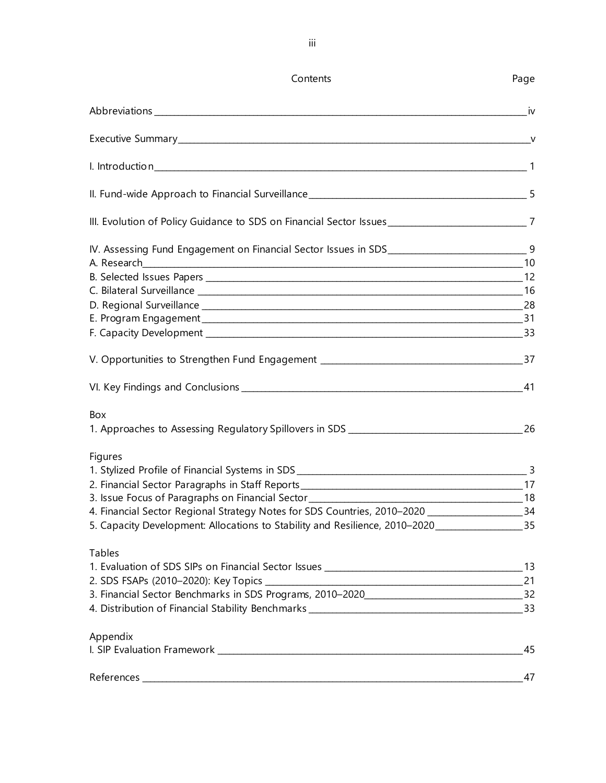| Contents                                                                                              | Page |
|-------------------------------------------------------------------------------------------------------|------|
|                                                                                                       | iv i |
|                                                                                                       |      |
|                                                                                                       |      |
|                                                                                                       |      |
| III. Evolution of Policy Guidance to SDS on Financial Sector Issues ________________________________7 |      |
| IV. Assessing Fund Engagement on Financial Sector Issues in SDS__________________________________9    |      |
|                                                                                                       |      |
|                                                                                                       |      |
|                                                                                                       |      |
|                                                                                                       |      |
|                                                                                                       |      |
|                                                                                                       |      |
| Box                                                                                                   |      |
| <b>Figures</b>                                                                                        |      |
|                                                                                                       |      |
|                                                                                                       |      |
| 4. Financial Sector Regional Strategy Notes for SDS Countries, 2010-2020 ___________________________  | 34   |
| 5. Capacity Development: Allocations to Stability and Resilience, 2010-2020______________________35   |      |
| <b>Tables</b>                                                                                         |      |
|                                                                                                       |      |
|                                                                                                       |      |
| 32 . Financial Sector Benchmarks in SDS Programs, 2010-2020_____________________                      |      |
|                                                                                                       |      |
| Appendix                                                                                              |      |
|                                                                                                       | 47   |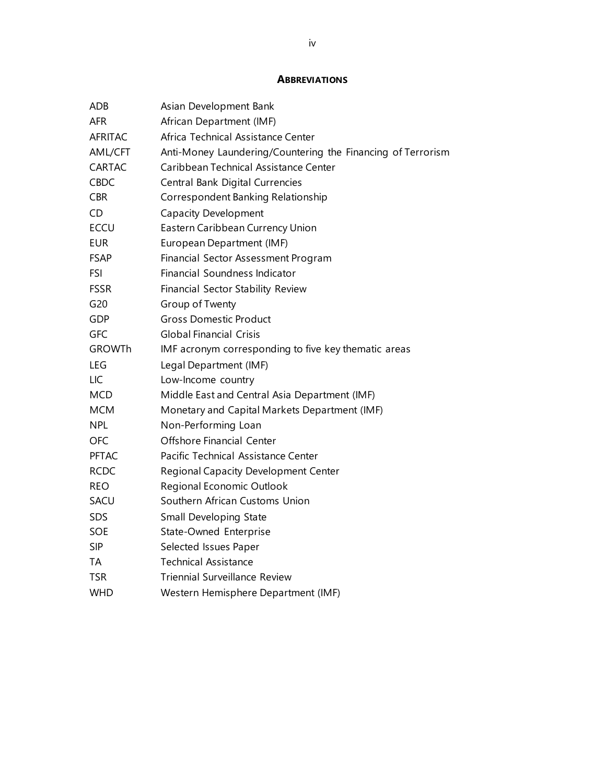#### **ABBREVIATIONS**

| ADB            | Asian Development Bank                                      |
|----------------|-------------------------------------------------------------|
| <b>AFR</b>     | African Department (IMF)                                    |
| <b>AFRITAC</b> | Africa Technical Assistance Center                          |
| AML/CFT        | Anti-Money Laundering/Countering the Financing of Terrorism |
| CARTAC         | Caribbean Technical Assistance Center                       |
| <b>CBDC</b>    | Central Bank Digital Currencies                             |
| <b>CBR</b>     | Correspondent Banking Relationship                          |
| CD             | <b>Capacity Development</b>                                 |
| <b>ECCU</b>    | Eastern Caribbean Currency Union                            |
| <b>EUR</b>     | European Department (IMF)                                   |
| <b>FSAP</b>    | Financial Sector Assessment Program                         |
| <b>FSI</b>     | Financial Soundness Indicator                               |
| <b>FSSR</b>    | Financial Sector Stability Review                           |
| G20            | Group of Twenty                                             |
| <b>GDP</b>     | <b>Gross Domestic Product</b>                               |
| GFC            | <b>Global Financial Crisis</b>                              |
| <b>GROWTh</b>  | IMF acronym corresponding to five key thematic areas        |
| LEG            | Legal Department (IMF)                                      |
| <b>LIC</b>     | Low-Income country                                          |
| <b>MCD</b>     | Middle East and Central Asia Department (IMF)               |
| <b>MCM</b>     | Monetary and Capital Markets Department (IMF)               |
| <b>NPL</b>     | Non-Performing Loan                                         |
| <b>OFC</b>     | <b>Offshore Financial Center</b>                            |
| <b>PFTAC</b>   | Pacific Technical Assistance Center                         |
| <b>RCDC</b>    | Regional Capacity Development Center                        |
| <b>REO</b>     | Regional Economic Outlook                                   |
| SACU           | Southern African Customs Union                              |
| SDS            | Small Developing State                                      |
| SOE            | State-Owned Enterprise                                      |
| <b>SIP</b>     | Selected Issues Paper                                       |
| TA             | <b>Technical Assistance</b>                                 |
| <b>TSR</b>     | <b>Triennial Surveillance Review</b>                        |
| <b>WHD</b>     | Western Hemisphere Department (IMF)                         |
|                |                                                             |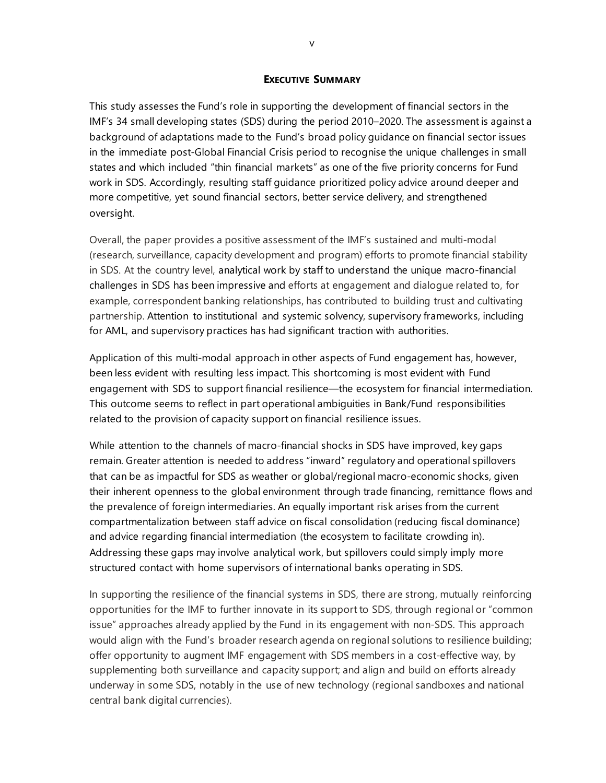#### **EXECUTIVE SUMMARY**

This study assesses the Fund's role in supporting the development of financial sectors in the IMF's 34 small developing states (SDS) during the period 2010–2020. The assessment is against a background of adaptations made to the Fund's broad policy guidance on financial sector issues in the immediate post-Global Financial Crisis period to recognise the unique challenges in small states and which included "thin financial markets" as one of the five priority concerns for Fund work in SDS. Accordingly, resulting staff guidance prioritized policy advice around deeper and more competitive, yet sound financial sectors, better service delivery, and strengthened oversight.

Overall, the paper provides a positive assessment of the IMF's sustained and multi-modal (research, surveillance, capacity development and program) efforts to promote financial stability in SDS. At the country level, analytical work by staff to understand the unique macro-financial challenges in SDS has been impressive and efforts at engagement and dialogue related to, for example, correspondent banking relationships, has contributed to building trust and cultivating partnership. Attention to institutional and systemic solvency, supervisory frameworks, including for AML, and supervisory practices has had significant traction with authorities.

Application of this multi-modal approach in other aspects of Fund engagement has, however, been less evident with resulting less impact. This shortcoming is most evident with Fund engagement with SDS to support financial resilience—the ecosystem for financial intermediation. This outcome seems to reflect in part operational ambiguities in Bank/Fund responsibilities related to the provision of capacity support on financial resilience issues.

While attention to the channels of macro-financial shocks in SDS have improved, key gaps remain. Greater attention is needed to address "inward" regulatory and operational spillovers that can be as impactful for SDS as weather or global/regional macro-economic shocks, given their inherent openness to the global environment through trade financing, remittance flows and the prevalence of foreign intermediaries. An equally important risk arises from the current compartmentalization between staff advice on fiscal consolidation (reducing fiscal dominance) and advice regarding financial intermediation (the ecosystem to facilitate crowding in). Addressing these gaps may involve analytical work, but spillovers could simply imply more structured contact with home supervisors of international banks operating in SDS.

In supporting the resilience of the financial systems in SDS, there are strong, mutually reinforcing opportunities for the IMF to further innovate in its support to SDS, through regional or "common issue" approaches already applied by the Fund in its engagement with non-SDS. This approach would align with the Fund's broader research agenda on regional solutions to resilience building; offer opportunity to augment IMF engagement with SDS members in a cost-effective way, by supplementing both surveillance and capacity support; and align and build on efforts already underway in some SDS, notably in the use of new technology (regional sandboxes and national central bank digital currencies).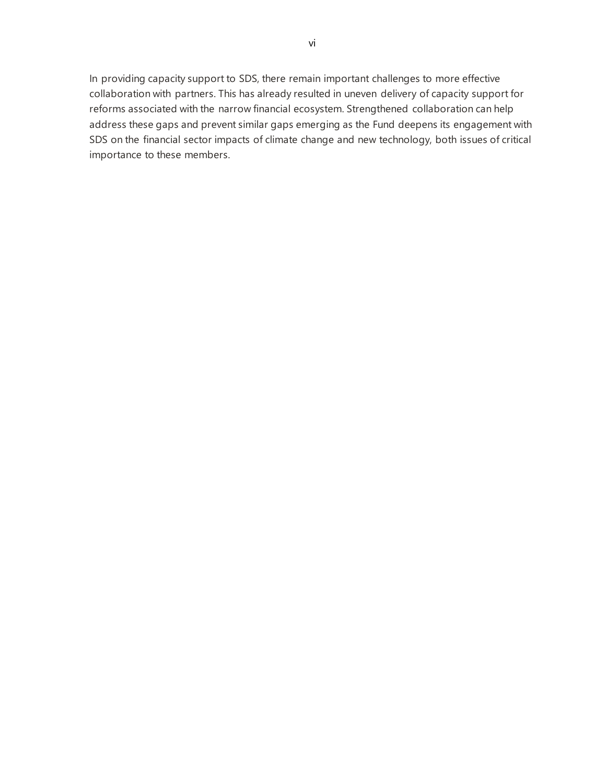In providing capacity support to SDS, there remain important challenges to more effective collaboration with partners. This has already resulted in uneven delivery of capacity support for reforms associated with the narrow financial ecosystem. Strengthened collaboration can help address these gaps and prevent similar gaps emerging as the Fund deepens its engagement with SDS on the financial sector impacts of climate change and new technology, both issues of critical importance to these members.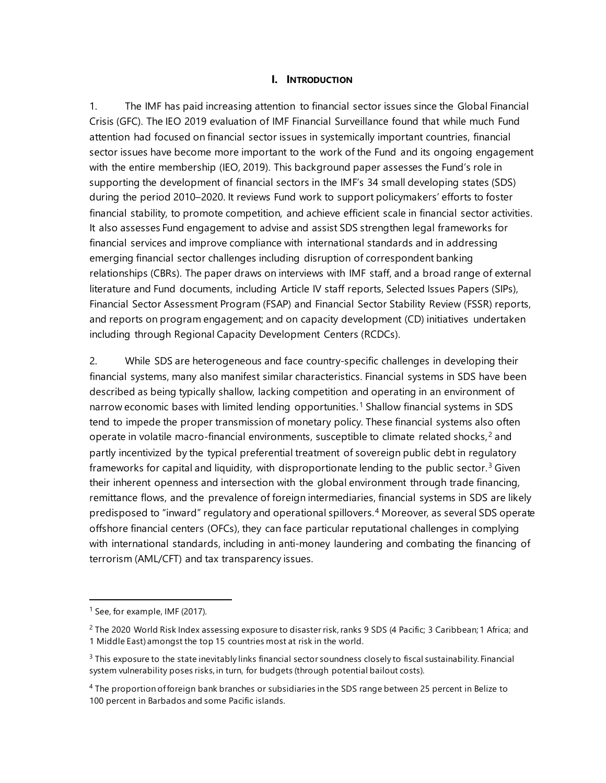#### **I. INTRODUCTION**

1. The IMF has paid increasing attention to financial sector issues since the Global Financial Crisis (GFC). The IEO 2019 evaluation of IMF Financial Surveillance found that while much Fund attention had focused on financial sector issues in systemically important countries, financial sector issues have become more important to the work of the Fund and its ongoing engagement with the entire membership (IEO, 2019). This background paper assesses the Fund's role in supporting the development of financial sectors in the IMF's 34 small developing states (SDS) during the period 2010–2020. It reviews Fund work to support policymakers' efforts to foster financial stability, to promote competition, and achieve efficient scale in financial sector activities. It also assesses Fund engagement to advise and assist SDS strengthen legal frameworks for financial services and improve compliance with international standards and in addressing emerging financial sector challenges including disruption of correspondent banking relationships (CBRs). The paper draws on interviews with IMF staff, and a broad range of external literature and Fund documents, including Article IV staff reports, Selected Issues Papers (SIPs), Financial Sector Assessment Program (FSAP) and Financial Sector Stability Review (FSSR) reports, and reports on program engagement; and on capacity development (CD) initiatives undertaken including through Regional Capacity Development Centers (RCDCs).

2. While SDS are heterogeneous and face country-specific challenges in developing their financial systems, many also manifest similar characteristics. Financial systems in SDS have been described as being typically shallow, lacking competition and operating in an environment of narrow economic bases with limited lending opportunities.<sup>[1](#page-6-0)</sup> Shallow financial systems in SDS tend to impede the proper transmission of monetary policy. These financial systems also often operate in volatile macro-financial environments, susceptible to climate related shocks, [2](#page-6-1) and partly incentivized by the typical preferential treatment of sovereign public debt in regulatory frameworks for capital and liquidity, with disproportionate lending to the public sector.<sup>[3](#page-6-2)</sup> Given their inherent openness and intersection with the global environment through trade financing, remittance flows, and the prevalence of foreign intermediaries, financial systems in SDS are likely predisposed to "inward" regulatory and operational spillovers.[4](#page-6-3) Moreover, as several SDS operate offshore financial centers (OFCs), they can face particular reputational challenges in complying with international standards, including in anti-money laundering and combating the financing of terrorism (AML/CFT) and tax transparency issues.

<span id="page-6-0"></span> $<sup>1</sup>$  See, for example, IMF (2017).</sup>

<span id="page-6-1"></span><sup>&</sup>lt;sup>2</sup> The 2020 World Risk Index assessing exposure to disaster risk, ranks 9 SDS (4 Pacific; 3 Caribbean; 1 Africa; and 1 Middle East) amongst the top 15 countries most at risk in the world.

<span id="page-6-2"></span> $3$  This exposure to the state inevitably links financial sector soundness closely to fiscal sustainability. Financial system vulnerability poses risks, in turn, for budgets (through potential bailout costs).

<span id="page-6-3"></span><sup>4</sup> The proportion of foreign bank branches or subsidiaries in the SDS range between 25 percent in Belize to 100 percent in Barbados and some Pacific islands.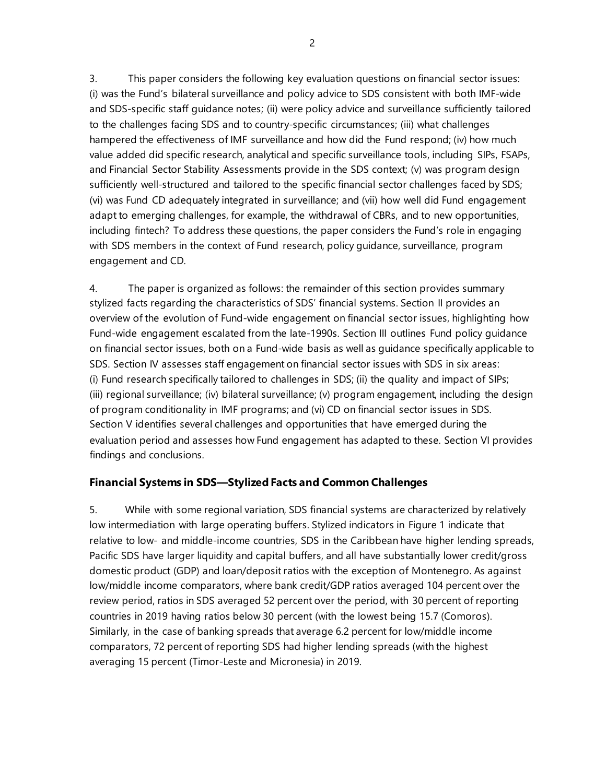3. This paper considers the following key evaluation questions on financial sector issues: (i) was the Fund's bilateral surveillance and policy advice to SDS consistent with both IMF-wide and SDS-specific staff guidance notes; (ii) were policy advice and surveillance sufficiently tailored to the challenges facing SDS and to country-specific circumstances; (iii) what challenges hampered the effectiveness of IMF surveillance and how did the Fund respond; (iv) how much value added did specific research, analytical and specific surveillance tools, including SIPs, FSAPs, and Financial Sector Stability Assessments provide in the SDS context; (v) was program design sufficiently well-structured and tailored to the specific financial sector challenges faced by SDS; (vi) was Fund CD adequately integrated in surveillance; and (vii) how well did Fund engagement adapt to emerging challenges, for example, the withdrawal of CBRs, and to new opportunities, including fintech? To address these questions, the paper considers the Fund's role in engaging with SDS members in the context of Fund research, policy guidance, surveillance, program engagement and CD.

4. The paper is organized as follows: the remainder of this section provides summary stylized facts regarding the characteristics of SDS' financial systems. Section II provides an overview of the evolution of Fund-wide engagement on financial sector issues, highlighting how Fund-wide engagement escalated from the late-1990s. Section III outlines Fund policy guidance on financial sector issues, both on a Fund-wide basis as well as guidance specifically applicable to SDS. Section IV assesses staff engagement on financial sector issues with SDS in six areas: (i) Fund research specifically tailored to challenges in SDS; (ii) the quality and impact of SIPs; (iii) regional surveillance; (iv) bilateral surveillance; (v) program engagement, including the design of program conditionality in IMF programs; and (vi) CD on financial sector issues in SDS. Section V identifies several challenges and opportunities that have emerged during the evaluation period and assesses how Fund engagement has adapted to these. Section VI provides findings and conclusions.

# **Financial Systems in SDS—Stylized Facts and Common Challenges**

5. While with some regional variation, SDS financial systems are characterized by relatively low intermediation with large operating buffers. Stylized indicators in Figure 1 indicate that relative to low- and middle-income countries, SDS in the Caribbean have higher lending spreads, Pacific SDS have larger liquidity and capital buffers, and all have substantially lower credit/gross domestic product (GDP) and loan/deposit ratios with the exception of Montenegro. As against low/middle income comparators, where bank credit/GDP ratios averaged 104 percent over the review period, ratios in SDS averaged 52 percent over the period, with 30 percent of reporting countries in 2019 having ratios below 30 percent (with the lowest being 15.7 (Comoros). Similarly, in the case of banking spreads that average 6.2 percent for low/middle income comparators, 72 percent of reporting SDS had higher lending spreads (with the highest averaging 15 percent (Timor-Leste and Micronesia) in 2019.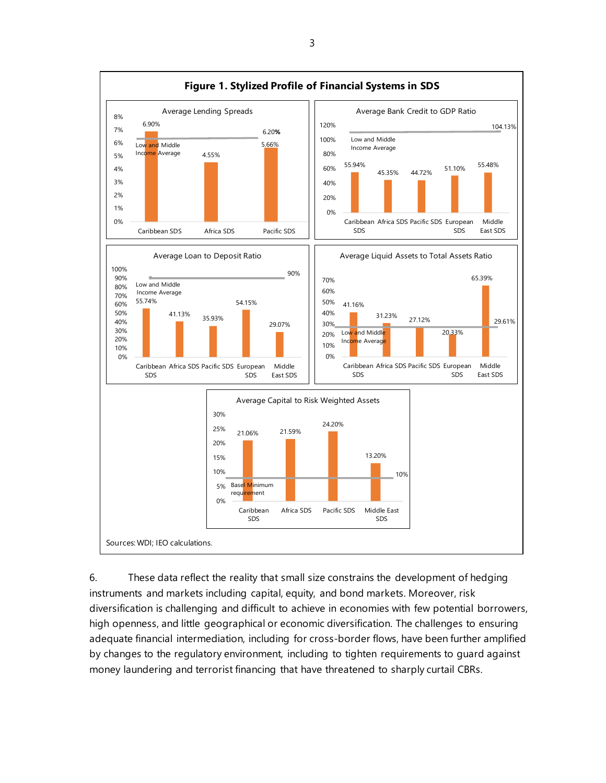

6. These data reflect the reality that small size constrains the development of hedging instruments and markets including capital, equity, and bond markets. Moreover, risk diversification is challenging and difficult to achieve in economies with few potential borrowers, high openness, and little geographical or economic diversification. The challenges to ensuring adequate financial intermediation, including for cross-border flows, have been further amplified by changes to the regulatory environment, including to tighten requirements to guard against money laundering and terrorist financing that have threatened to sharply curtail CBRs.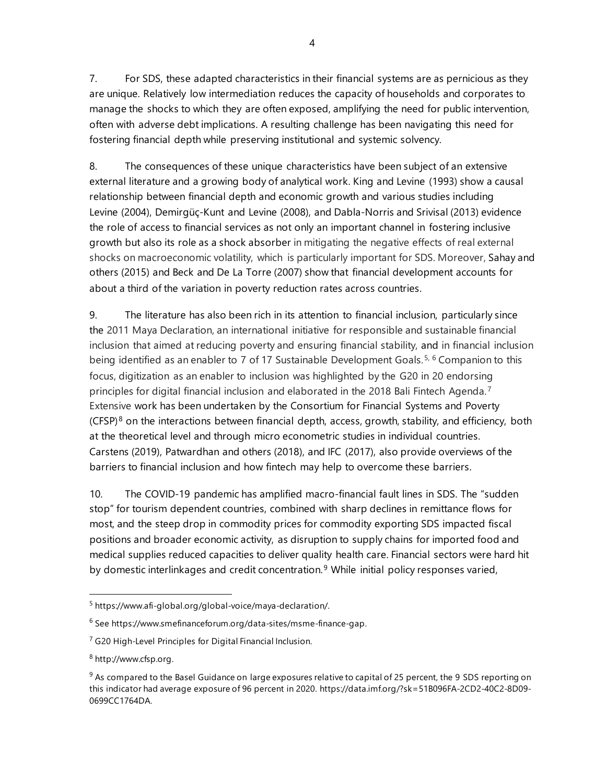7. For SDS, these adapted characteristics in their financial systems are as pernicious as they are unique. Relatively low intermediation reduces the capacity of households and corporates to manage the shocks to which they are often exposed, amplifying the need for public intervention, often with adverse debt implications. A resulting challenge has been navigating this need for fostering financial depth while preserving institutional and systemic solvency.

8. The consequences of these unique characteristics have been subject of an extensive external literature and a growing body of analytical work. King and Levine (1993) show a causal relationship between financial depth and economic growth and various studies including Levine (2004), Demirgüç-Kunt and Levine (2008), and Dabla-Norris and Srivisal (2013) evidence the role of access to financial services as not only an important channel in fostering inclusive growth but also its role as a shock absorber in mitigating the negative effects of real external shocks on macroeconomic volatility, which is particularly important for SDS. Moreover, Sahay and others (2015) and Beck and De La Torre (2007) show that financial development accounts for about a third of the variation in poverty reduction rates across countries.

9. The literature has also been rich in its attention to financial inclusion, particularly since the 2011 Maya Declaration, an international initiative for responsible and sustainable financial inclusion that aimed at reducing poverty and ensuring financial stability, and in financial inclusion being identified as an enabler to 7 of 17 Sustainable Development Goals.<sup>[5,](#page-9-0) [6](#page-9-1)</sup> Companion to this focus, digitization as an enabler to inclusion was highlighted by the G20 in 20 endorsing principles for digital financial inclusion and elaborated in the 2018 Bali Fintech Agenda.<sup>[7](#page-9-2)</sup> Extensive work has been undertaken by the Consortium for Financial Systems and Poverty  $(CFSP)<sup>8</sup>$  $(CFSP)<sup>8</sup>$  $(CFSP)<sup>8</sup>$  on the interactions between financial depth, access, growth, stability, and efficiency, both at the theoretical level and through micro econometric studies in individual countries. Carstens (2019), Patwardhan and others (2018), and IFC (2017), also provide overviews of the barriers to financial inclusion and how fintech may help to overcome these barriers.

10. The COVID-19 pandemic has amplified macro-financial fault lines in SDS. The "sudden stop" for tourism dependent countries, combined with sharp declines in remittance flows for most, and the steep drop in commodity prices for commodity exporting SDS impacted fiscal positions and broader economic activity, as disruption to supply chains for imported food and medical supplies reduced capacities to deliver quality health care. Financial sectors were hard hit by domestic interlinkages and credit concentration.<sup>[9](#page-9-4)</sup> While initial policy responses varied,

<span id="page-9-0"></span><sup>5</sup> <https://www.afi-global.org/global-voice/maya-declaration/>.

<span id="page-9-1"></span><sup>6</sup> Se[e https://www.smefinanceforum.org/data-sites/msme-finance-gap.](https://www.smefinanceforum.org/data-sites/msme-finance-gap)

<span id="page-9-2"></span><sup>7</sup> [G20 High-Level Principles for Digital Financial Inclusion.](https://www.gpfi.org/sites/gpfi/files/G20%20High%20Level%20Principles%20for%20Digital%20Financial%20Inclusion.pdf)

<span id="page-9-3"></span><sup>8</sup> [http://www.cfsp.org.](http://www.cfsp.org/)

<span id="page-9-4"></span> $9$  As compared to the Basel Guidance on large exposures relative to capital of 25 percent, the 9 SDS reporting on this indicator had average exposure of 96 percent in 2020. https://data.imf.org/?sk=51B096FA-2CD2-40C2-8D09- 0699CC1764DA.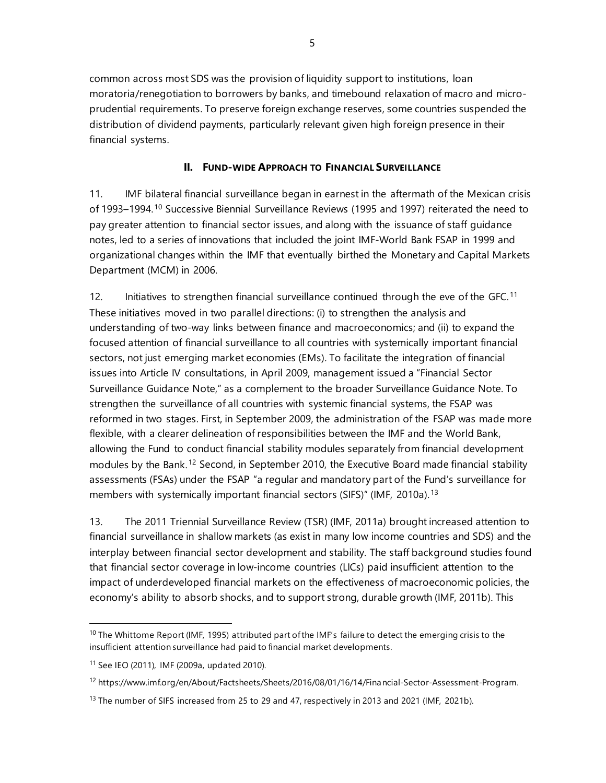common across most SDS was the provision of liquidity support to institutions, loan moratoria/renegotiation to borrowers by banks, and timebound relaxation of macro and microprudential requirements. To preserve foreign exchange reserves, some countries suspended the distribution of dividend payments, particularly relevant given high foreign presence in their financial systems.

#### **II. FUND-WIDE APPROACH TO FINANCIAL SURVEILLANCE**

11. IMF bilateral financial surveillance began in earnest in the aftermath of the Mexican crisis of 1993–1994.[10](#page-10-0) Successive Biennial Surveillance Reviews (1995 and 1997) reiterated the need to pay greater attention to financial sector issues, and along with the issuance of staff guidance notes, led to a series of innovations that included the joint IMF-World Bank FSAP in 1999 and organizational changes within the IMF that eventually birthed the Monetary and Capital Markets Department (MCM) in 2006.

12. Initiatives to strengthen financial surveillance continued through the eve of the GFC.<sup>[11](#page-10-1)</sup> These initiatives moved in two parallel directions: (i) to strengthen the analysis and understanding of two-way links between finance and macroeconomics; and (ii) to expand the focused attention of financial surveillance to all countries with systemically important financial sectors, not just emerging market economies (EMs). To facilitate the integration of financial issues into Article IV consultations, in April 2009, management issued a "Financial Sector Surveillance Guidance Note," as a complement to the broader Surveillance Guidance Note. To strengthen the surveillance of all countries with systemic financial systems, the FSAP was reformed in two stages. First, in September 2009, the administration of the FSAP was made more flexible, with a clearer delineation of responsibilities between the IMF and the World Bank, allowing the Fund to conduct financial stability modules separately from financial development modules by the Bank.<sup>[12](#page-10-2)</sup> Second, in September 2010, the Executive Board made financial stability assessments (FSAs) under the FSAP "a regular and mandatory part of the Fund's surveillance for members with systemically important financial sectors (SIFS)" (IMF, 2010a).<sup>[13](#page-10-3)</sup>

13. The 2011 Triennial Surveillance Review (TSR) (IMF, 2011a) brought increased attention to financial surveillance in shallow markets (as exist in many low income countries and SDS) and the interplay between financial sector development and stability. The staff background studies found that financial sector coverage in low-income countries (LICs) paid insufficient attention to the impact of underdeveloped financial markets on the effectiveness of macroeconomic policies, the economy's ability to absorb shocks, and to support strong, durable growth (IMF, 2011b). This

<span id="page-10-0"></span><sup>&</sup>lt;sup>10</sup> The Whittome Report (IMF, 1995) attributed part of the IMF's failure to detect the emerging crisis to the insufficient attention surveillance had paid to financial market developments.

<span id="page-10-1"></span><sup>11</sup> See IEO (2011), IMF (2009a, updated 2010).

<span id="page-10-2"></span><sup>&</sup>lt;sup>12</sup> https://www.imf.org/en/About/Factsheets/Sheets/2016/08/01/16/14/Financial-Sector-Assessment-Program.

<span id="page-10-3"></span><sup>&</sup>lt;sup>13</sup> The number of SIFS increased from 25 to 29 and 47, respectively in 2013 and 2021 (IMF, 2021b).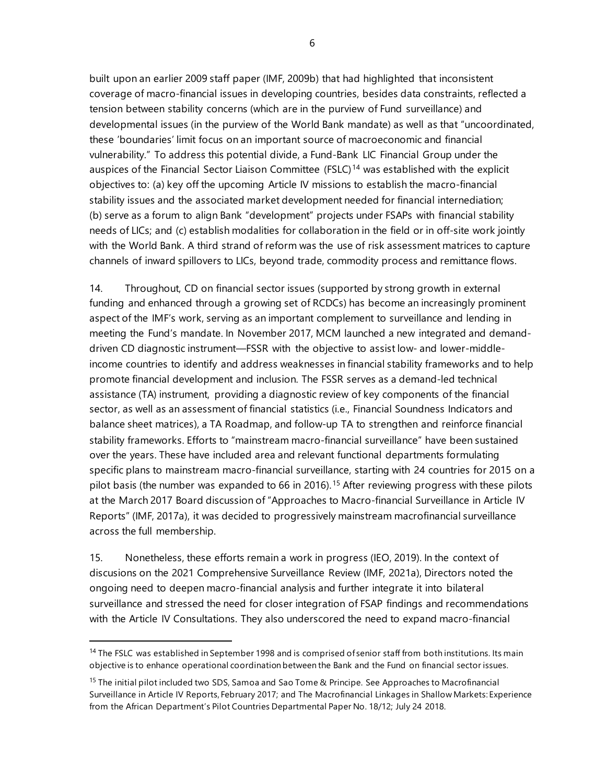built upon an earlier 2009 staff paper (IMF, 2009b) that had highlighted that inconsistent coverage of macro-financial issues in developing countries, besides data constraints, reflected a tension between stability concerns (which are in the purview of Fund surveillance) and developmental issues (in the purview of the World Bank mandate) as well as that "uncoordinated, these 'boundaries' limit focus on an important source of macroeconomic and financial vulnerability." To address this potential divide, a Fund-Bank LIC Financial Group under the auspices of the Financial Sector Liaison Committee (FSLC)<sup>[14](#page-11-0)</sup> was established with the explicit objectives to: (a) key off the upcoming Article IV missions to establish the macro-financial stability issues and the associated market development needed for financial internediation; (b) serve as a forum to align Bank "development" projects under FSAPs with financial stability needs of LICs; and (c) establish modalities for collaboration in the field or in off-site work jointly with the World Bank. A third strand of reform was the use of risk assessment matrices to capture channels of inward spillovers to LICs, beyond trade, commodity process and remittance flows.

14. Throughout, CD on financial sector issues (supported by strong growth in external funding and enhanced through a growing set of RCDCs) has become an increasingly prominent aspect of the IMF's work, serving as an important complement to surveillance and lending in meeting the Fund's mandate. In November 2017, MCM launched a new integrated and demanddriven CD diagnostic instrument—FSSR with the objective to assist low- and lower-middleincome countries to identify and address weaknesses in financial stability frameworks and to help promote financial development and inclusion. The FSSR serves as a demand-led technical assistance (TA) instrument, providing a diagnostic review of key components of the financial sector, as well as an assessment of financial statistics (i.e., Financial Soundness Indicators and balance sheet matrices), a TA Roadmap, and follow-up TA to strengthen and reinforce financial stability frameworks. Efforts to "mainstream macro-financial surveillance" have been sustained over the years. These have included area and relevant functional departments formulating specific plans to mainstream macro-financial surveillance, starting with 24 countries for 2015 on a pilot basis (the number was expanded to 66 in 2016).<sup>[15](#page-11-1)</sup> After reviewing progress with these pilots at the March 2017 Board discussion of "Approaches to Macro-financial Surveillance in Article IV Reports" (IMF, 2017a), it was decided to progressively mainstream macrofinancial surveillance across the full membership.

15. Nonetheless, these efforts remain a work in progress (IEO, 2019). In the context of discusions on the 2021 Comprehensive Surveillance Review (IMF, 2021a), Directors noted the ongoing need to deepen macro-financial analysis and further integrate it into bilateral surveillance and stressed the need for closer integration of FSAP findings and recommendations with the Article IV Consultations. They also underscored the need to expand macro-financial

6

<span id="page-11-0"></span><sup>&</sup>lt;sup>14</sup> The FSLC was established in September 1998 and is comprised of senior staff from both institutions. Its main objective is to enhance operational coordination between the Bank and the Fund on financial sector issues.

<span id="page-11-1"></span><sup>&</sup>lt;sup>15</sup> The initial pilot included two SDS, Samoa and Sao Tome & Principe. See Approaches to Macrofinancial [Surveillance in Article IV Reports,](https://www.imf.org/%7E/media/Files/Publications/PP/pp020217approaches-to-macrofinancial-surveillance-in-article-iv-reports.ashx) February 2017; and The Macrofinancial [Linkages in Shallow Markets: Experience](https://www.imf.org/-/media/Files/Publications/DP/2018/45983-dp1812-microfinancial-linkages-shallow-markets.ashx)  from the African Department's Pilot [Countries Departmental Paper No. 18/12; July 24 2018.](https://www.imf.org/-/media/Files/Publications/DP/2018/45983-dp1812-microfinancial-linkages-shallow-markets.ashx)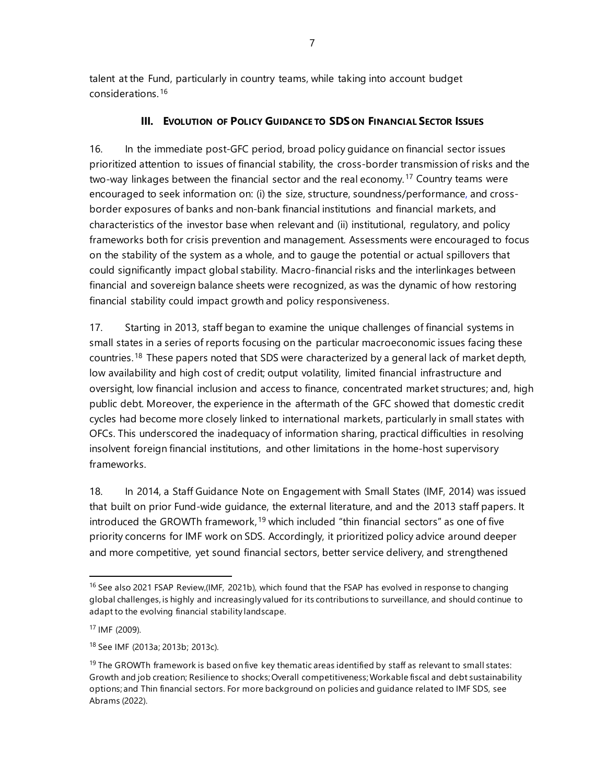talent at the Fund, particularly in country teams, while taking into account budget considerations.[16](#page-12-0)

# **III. EVOLUTION OF POLICY GUIDANCE TO SDS ON FINANCIAL SECTOR ISSUES**

16. In the immediate post-GFC period, broad policy guidance on financial sector issues prioritized attention to issues of financial stability, the cross-border transmission of risks and the two-way linkages between the financial sector and the real economy. [17](#page-12-1) Country teams were encouraged to seek information on: (i) the size, structure, soundness/performance, and crossborder exposures of banks and non-bank financial institutions and financial markets, and characteristics of the investor base when relevant and (ii) institutional, regulatory, and policy frameworks both for crisis prevention and management. Assessments were encouraged to focus on the stability of the system as a whole, and to gauge the potential or actual spillovers that could significantly impact global stability. Macro-financial risks and the interlinkages between financial and sovereign balance sheets were recognized, as was the dynamic of how restoring financial stability could impact growth and policy responsiveness.

17. Starting in 2013, staff began to examine the unique challenges of financial systems in small states in a series of reports focusing on the particular macroeconomic issues facing these countries. <sup>[18](#page-12-2)</sup> These papers noted that SDS were characterized by a general lack of market depth, low availability and high cost of credit; output volatility, limited financial infrastructure and oversight, low financial inclusion and access to finance, concentrated market structures; and, high public debt. Moreover, the experience in the aftermath of the GFC showed that domestic credit cycles had become more closely linked to international markets, particularly in small states with OFCs. This underscored the inadequacy of information sharing, practical difficulties in resolving insolvent foreign financial institutions, and other limitations in the home-host supervisory frameworks.

18. In 2014, a Staff Guidance Note on Engagement with Small States (IMF, 2014) was issued that built on prior Fund-wide guidance, the external literature, and and the 2013 staff papers. It introduced the GROWTh framework, [19](#page-12-3) which included "thin financial sectors" as one of five priority concerns for IMF work on SDS. Accordingly, it prioritized policy advice around deeper and more competitive, yet sound financial sectors, better service delivery, and strengthened

<span id="page-12-0"></span><sup>&</sup>lt;sup>16</sup> See also 2021 FSAP Review,(IMF, 2021b), which found that the FSAP has evolved in response to changing global challenges, is highly and increasingly valued for its contributions to surveillance, and should continue to adapt to the evolving financial stability landscape.

<span id="page-12-1"></span><sup>17</sup> IMF (2009).

<span id="page-12-2"></span><sup>18</sup> See IMF (2013a; 2013b; 2013c).

<span id="page-12-3"></span> $19$  The GROWTh framework is based on five key thematic areas identified by staff as relevant to small states: Growth and job creation; Resilience to shocks; Overall competitiveness; Workable fiscal and debt sustainability options; and Thin financial sectors. For more background on policies and guidance related to IMF SDS, see Abrams (2022).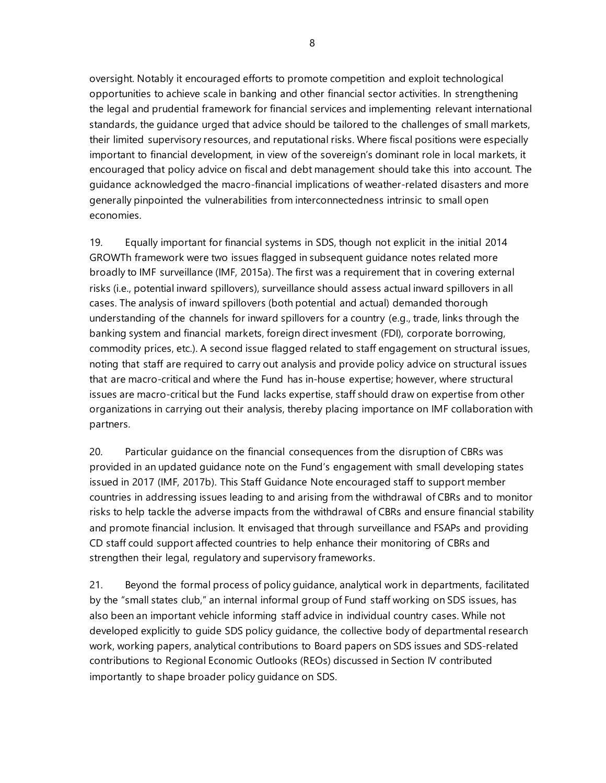oversight. Notably it encouraged efforts to promote competition and exploit technological opportunities to achieve scale in banking and other financial sector activities. In strengthening the legal and prudential framework for financial services and implementing relevant international standards, the guidance urged that advice should be tailored to the challenges of small markets, their limited supervisory resources, and reputational risks. Where fiscal positions were especially important to financial development, in view of the sovereign's dominant role in local markets, it encouraged that policy advice on fiscal and debt management should take this into account. The guidance acknowledged the macro-financial implications of weather-related disasters and more generally pinpointed the vulnerabilities from interconnectedness intrinsic to small open economies.

19. Equally important for financial systems in SDS, though not explicit in the initial 2014 GROWTh framework were two issues flagged in subsequent guidance notes related more broadly to IMF surveillance (IMF, 2015a). The first was a requirement that in covering external risks (i.e., potential inward spillovers), surveillance should assess actual inward spillovers in all cases. The analysis of inward spillovers (both potential and actual) demanded thorough understanding of the channels for inward spillovers for a country (e.g., trade, links through the banking system and financial markets, foreign direct invesment (FDI), corporate borrowing, commodity prices, etc.). A second issue flagged related to staff engagement on structural issues, noting that staff are required to carry out analysis and provide policy advice on structural issues that are macro-critical and where the Fund has in-house expertise; however, where structural issues are macro-critical but the Fund lacks expertise, staff should draw on expertise from other organizations in carrying out their analysis, thereby placing importance on IMF collaboration with partners.

20. Particular guidance on the financial consequences from the disruption of CBRs was provided in an updated guidance note on the Fund's engagement with small developing states issued in 2017 (IMF, 2017b). This Staff Guidance Note encouraged staff to support member countries in addressing issues leading to and arising from the withdrawal of CBRs and to monitor risks to help tackle the adverse impacts from the withdrawal of CBRs and ensure financial stability and promote financial inclusion. It envisaged that through surveillance and FSAPs and providing CD staff could support affected countries to help enhance their monitoring of CBRs and strengthen their legal, regulatory and supervisory frameworks.

21. Beyond the formal process of policy guidance, analytical work in departments, facilitated by the "small states club," an internal informal group of Fund staff working on SDS issues, has also been an important vehicle informing staff advice in individual country cases. While not developed explicitly to guide SDS policy guidance, the collective body of departmental research work, working papers, analytical contributions to Board papers on SDS issues and SDS-related contributions to Regional Economic Outlooks (REOs) discussed in Section IV contributed importantly to shape broader policy guidance on SDS.

8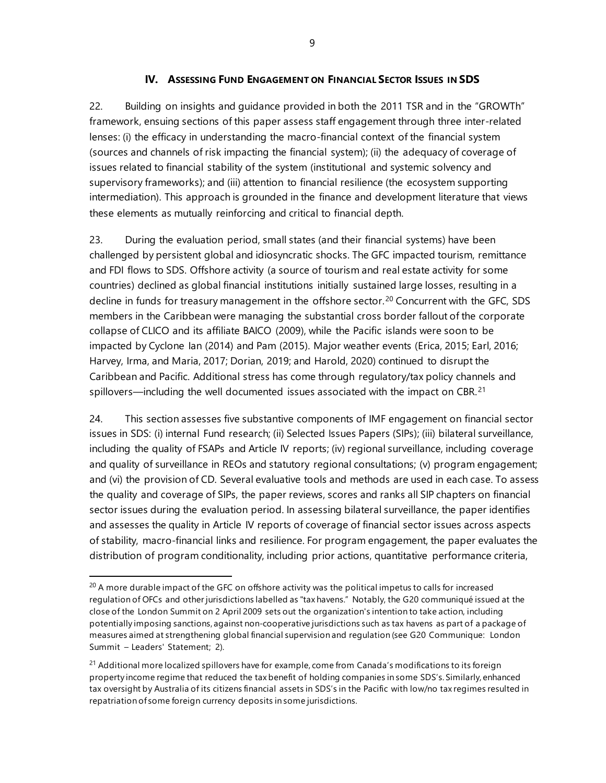#### **IV. ASSESSING FUND ENGAGEMENT ON FINANCIAL SECTOR ISSUES IN SDS**

22. Building on insights and guidance provided in both the 2011 TSR and in the "GROWTh" framework, ensuing sections of this paper assess staff engagement through three inter-related lenses: (i) the efficacy in understanding the macro-financial context of the financial system (sources and channels of risk impacting the financial system); (ii) the adequacy of coverage of issues related to financial stability of the system (institutional and systemic solvency and supervisory frameworks); and (iii) attention to financial resilience (the ecosystem supporting intermediation). This approach is grounded in the finance and development literature that views these elements as mutually reinforcing and critical to financial depth.

23. During the evaluation period, small states (and their financial systems) have been challenged by persistent global and idiosyncratic shocks. The GFC impacted tourism, remittance and FDI flows to SDS. Offshore activity (a source of tourism and real estate activity for some countries) declined as global financial institutions initially sustained large losses, resulting in a decline in funds for treasury management in the offshore sector.<sup>[20](#page-14-0)</sup> Concurrent with the GFC, SDS members in the Caribbean were managing the substantial cross border fallout of the corporate collapse of CLICO and its affiliate BAICO (2009), while the Pacific islands were soon to be impacted by Cyclone Ian (2014) and Pam (2015). Major weather events (Erica, 2015; Earl, 2016; Harvey, Irma, and Maria, 2017; Dorian, 2019; and Harold, 2020) continued to disrupt the Caribbean and Pacific. Additional stress has come through regulatory/tax policy channels and spillovers—including the well documented issues associated with the impact on CBR.<sup>[21](#page-14-1)</sup>

24. This section assesses five substantive components of IMF engagement on financial sector issues in SDS: (i) internal Fund research; (ii) Selected Issues Papers (SIPs); (iii) bilateral surveillance, including the quality of FSAPs and Article IV reports; (iv) regional surveillance, including coverage and quality of surveillance in REOs and statutory regional consultations; (v) program engagement; and (vi) the provision of CD. Several evaluative tools and methods are used in each case. To assess the quality and coverage of SIPs, the paper reviews, scores and ranks all SIP chapters on financial sector issues during the evaluation period. In assessing bilateral surveillance, the paper identifies and assesses the quality in Article IV reports of coverage of financial sector issues across aspects of stability, macro-financial links and resilience. For program engagement, the paper evaluates the distribution of program conditionality, including prior actions, quantitative performance criteria,

<span id="page-14-0"></span> $20$  A more durable impact of the GFC on offshore activity was the political impetus to calls for increased regulation of OFCs and other jurisdictions labelled as "tax havens." Notably, the G20 communiqué issued at the close of the London Summit on 2 April 2009 sets out the organization's intention to take action, including potentially imposing sanctions, against non-cooperative jurisdictions such as tax havens as part of a package of measures aimed at strengthening global financial supervision and regulation (see [G20 Communique: London](https://www.google.com/url?sa=t&rct=j&q=&esrc=s&source=web&cd=&ved=2ahUKEwiulZa9yMbtAhVFnFkKHaodC9EQFjAAegQIBBAC&url=https%3A%2F%2Fwww.imf.org%2Fexternal%2Fnp%2Fsec%2Fpr%2F2009%2Fpdf%2Fg20_040209.pdf&usg=AOvVaw39_k7AVRXZbPN0yNmfw5QA)  Summit – [Leaders' Statement; 2\).](https://www.google.com/url?sa=t&rct=j&q=&esrc=s&source=web&cd=&ved=2ahUKEwiulZa9yMbtAhVFnFkKHaodC9EQFjAAegQIBBAC&url=https%3A%2F%2Fwww.imf.org%2Fexternal%2Fnp%2Fsec%2Fpr%2F2009%2Fpdf%2Fg20_040209.pdf&usg=AOvVaw39_k7AVRXZbPN0yNmfw5QA)

<span id="page-14-1"></span><sup>&</sup>lt;sup>21</sup> Additional more localized spillovers have for example, come from Canada's modifications to its foreign property income regime that reduced the tax benefit of holding companies in some SDS's. Similarly, enhanced tax oversight by Australia of its citizens financial assets in SDS's in the Pacific with low/no tax regimes resulted in repatriation of some foreign currency deposits in some jurisdictions.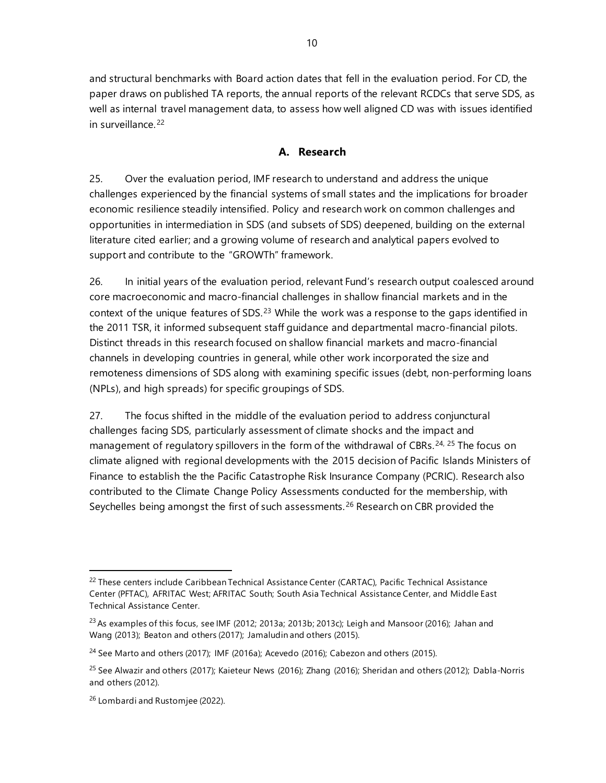and structural benchmarks with Board action dates that fell in the evaluation period. For CD, the paper draws on published TA reports, the annual reports of the relevant RCDCs that serve SDS, as well as internal travel management data, to assess how well aligned CD was with issues identified in surveillance. [22](#page-15-0)

# **A. Research**

25. Over the evaluation period, IMF research to understand and address the unique challenges experienced by the financial systems of small states and the implications for broader economic resilience steadily intensified. Policy and research work on common challenges and opportunities in intermediation in SDS (and subsets of SDS) deepened, building on the external literature cited earlier; and a growing volume of research and analytical papers evolved to support and contribute to the "GROWTh" framework.

26. In initial years of the evaluation period, relevant Fund's research output coalesced around core macroeconomic and macro-financial challenges in shallow financial markets and in the context of the unique features of SDS. $^{23}$  $^{23}$  $^{23}$  While the work was a response to the gaps identified in the 2011 TSR, it informed subsequent staff guidance and departmental macro-financial pilots. Distinct threads in this research focused on shallow financial markets and macro-financial channels in developing countries in general, while other work incorporated the size and remoteness dimensions of SDS along with examining specific issues (debt, non-performing loans (NPLs), and high spreads) for specific groupings of SDS.

27. The focus shifted in the middle of the evaluation period to address conjunctural challenges facing SDS, particularly assessment of climate shocks and the impact and management of regulatory spillovers in the form of the withdrawal of CBRs.<sup>[24,](#page-15-2) [25](#page-15-3)</sup> The focus on climate aligned with regional developments with the 2015 decision of Pacific Islands Ministers of Finance to establish the [the Pacific Catastrophe Risk Insurance Company \(PCRIC\).](https://www.reinsurancene.ws/pacific-catastrophe-risk-insurance-company-increases-reinsurance-19/) Research also contributed to the Climate Change Policy Assessments conducted for the membership, with Seychelles being amongst the first of such assessments.<sup>[26](#page-15-4)</sup> Research on CBR provided the

<span id="page-15-0"></span><sup>&</sup>lt;sup>22</sup> These centers include Caribbean Technical Assistance Center (CARTAC), Pacific Technical Assistance Center (PFTAC), AFRITAC West; AFRITAC South; South Asia Technical Assistance Center, and Middle East Technical Assistance Center.

<span id="page-15-1"></span><sup>&</sup>lt;sup>23</sup> As examples of this focus, see IMF (2012; 2013a; 2013b; 2013c); Leigh and Mansoor (2016); Jahan and Wang (2013); Beaton and others (2017); Jamaludin and others (2015).

<span id="page-15-2"></span> $24$  See Marto and others (2017); IMF (2016a); Acevedo (2016); Cabezon and others (2015).

<span id="page-15-3"></span><sup>&</sup>lt;sup>25</sup> See Alwazir and others (2017); Kaieteur News (2016); Zhang (2016); Sheridan and others (2012); Dabla-Norris and others (2012).

<span id="page-15-4"></span><sup>&</sup>lt;sup>26</sup> Lombardi and Rustomjee (2022).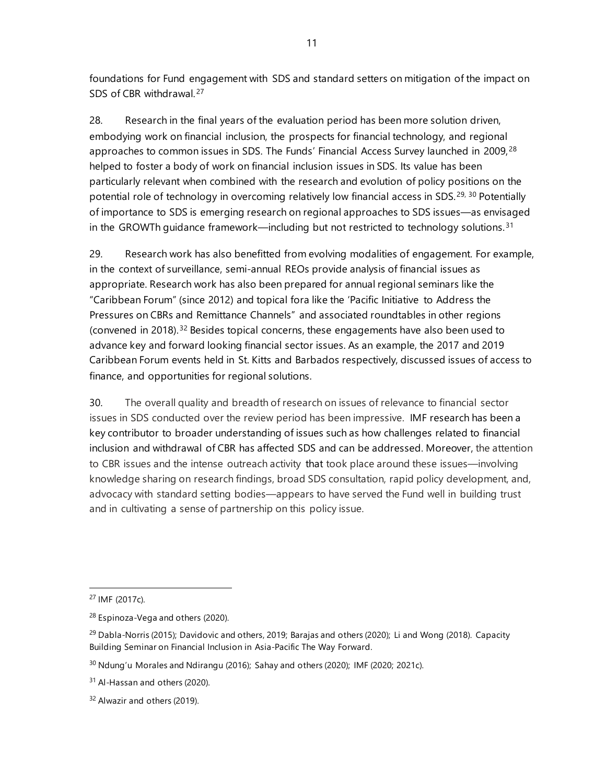foundations for Fund engagement with SDS and standard setters on mitigation of the impact on SDS of CBR withdrawal.<sup>[27](#page-16-0)</sup>

28. Research in the final years of the evaluation period has been more solution driven, embodying work on financial inclusion, the prospects for financial technology, and regional approaches to common issues in SDS. The Funds' Financial Access Survey launched in 2009,<sup>[28](#page-16-1)</sup> helped to foster a body of work on financial inclusion issues in SDS. Its value has been particularly relevant when combined with the research and evolution of policy positions on the potential role of technology in overcoming relatively low financial access in SDS.<sup>[29,](#page-16-2) [30](#page-16-3)</sup> Potentially of importance to SDS is emerging research on regional approaches to SDS issues—as envisaged in the GROWTh guidance framework—including but not restricted to technology solutions.<sup>[31](#page-16-4)</sup>

29. Research work has also benefitted from evolving modalities of engagement. For example, in the context of surveillance, semi-annual REOs provide analysis of financial issues as appropriate. Research work has also been prepared for annual regional seminars like the "Caribbean Forum" (since 2012) and topical fora like the 'Pacific Initiative to Address the Pressures on CBRs and Remittance Channels" and associated roundtables in other regions (convened in 2018).[32](#page-16-5) Besides topical concerns, these engagements have also been used to advance key and forward looking financial sector issues. As an example, the 2017 and 2019 Caribbean Forum events held in St. Kitts and Barbados respectively, discussed issues of access to finance, and opportunities for regional solutions.

30. The overall quality and breadth of research on issues of relevance to financial sector issues in SDS conducted over the review period has been impressive. IMF research has been a key contributor to broader understanding of issues such as how challenges related to financial inclusion and withdrawal of CBR has affected SDS and can be addressed. Moreover, the attention to CBR issues and the intense outreach activity that took place around these issues—involving knowledge sharing on research findings, broad SDS consultation, rapid policy development, and, advocacy with standard setting bodies—appears to have served the Fund well in building trust and in cultivating a sense of partnership on this policy issue.

<sup>27</sup> IMF (2017c).

<span id="page-16-1"></span><span id="page-16-0"></span><sup>28</sup> Espinoza-Vega and others (2020).

<span id="page-16-2"></span> $29$  Dabla-Norris (2015); Davidovic and others, 2019; Barajas and others (2020); Li and Wong (2018). Capacity [Building Seminar on Financial Inclusion in Asia-Pacific The Way Forward.](https://www.imf.org/en/News/Seminars/Conferences/2017/12/01/capacity-building-seminar-on-financial-inclusion-in-asia-pacific-the-way-forward)

<span id="page-16-3"></span> $30$  Ndung'u Morales and Ndirangu (2016); Sahay and others (2020); IMF (2020; 2021c).

<span id="page-16-4"></span><sup>&</sup>lt;sup>31</sup> Al-Hassan and others (2020).

<span id="page-16-5"></span><sup>&</sup>lt;sup>32</sup> Alwazir and others (2019).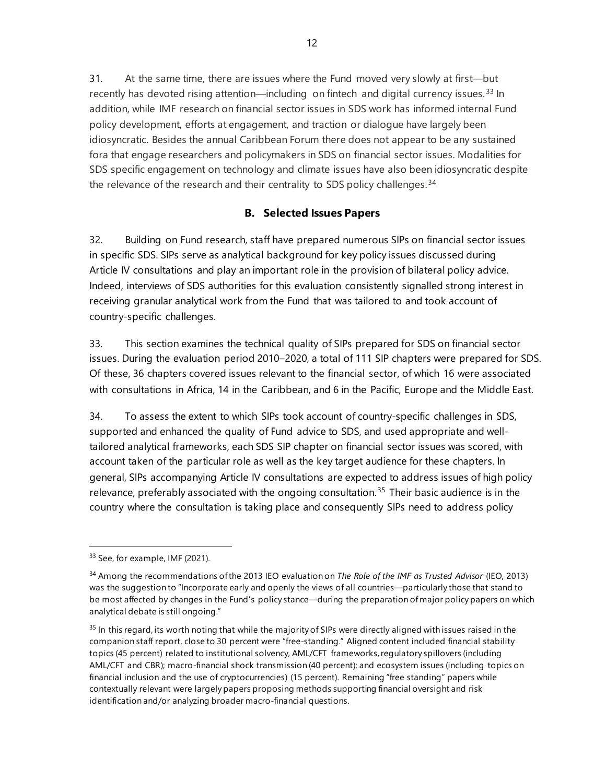31. At the same time, there are issues where the Fund moved very slowly at first—but recently has devoted rising attention—including on fintech and digital currency issues.<sup>[33](#page-17-0)</sup> In addition, while IMF research on financial sector issues in SDS work has informed internal Fund policy development, efforts at engagement, and traction or dialogue have largely been idiosyncratic. Besides the annual Caribbean Forum there does not appear to be any sustained fora that engage researchers and policymakers in SDS on financial sector issues. Modalities for SDS specific engagement on technology and climate issues have also been idiosyncratic despite the relevance of the research and their centrality to SDS policy challenges.<sup>[34](#page-17-1)</sup>

# **B. Selected Issues Papers**

32. Building on Fund research, staff have prepared numerous SIPs on financial sector issues in specific SDS. SIPs serve as analytical background for key policy issues discussed during Article IV consultations and play an important role in the provision of bilateral policy advice. Indeed, interviews of SDS authorities for this evaluation consistently signalled strong interest in receiving granular analytical work from the Fund that was tailored to and took account of country-specific challenges.

33. This section examines the technical quality of SIPs prepared for SDS on financial sector issues. During the evaluation period 2010–2020, a total of 111 SIP chapters were prepared for SDS. Of these, 36 chapters covered issues relevant to the financial sector, of which 16 were associated with consultations in Africa, 14 in the Caribbean, and 6 in the Pacific, Europe and the Middle East.

34. To assess the extent to which SIPs took account of country-specific challenges in SDS, supported and enhanced the quality of Fund advice to SDS, and used appropriate and welltailored analytical frameworks, each SDS SIP chapter on financial sector issues was scored, with account taken of the particular role as well as the key target audience for these chapters. In general, SIPs accompanying Article IV consultations are expected to address issues of high policy relevance, preferably associated with the ongoing consultation.<sup>[35](#page-17-2)</sup> Their basic audience is in the country where the consultation is taking place and consequently SIPs need to address policy

<span id="page-17-0"></span><sup>33</sup> See, for example, IMF (2021).

<span id="page-17-1"></span><sup>34</sup> Among the recommendations of the 2013 IEO evaluation on *[The Role of the IMF as Trusted Advisor](https://ieo.imf.org/en/our-work/Evaluations/Completed/2013-0220-the-role-of-the-imf-as-trusted-advisor)* (IEO, 2013) was the suggestion to "Incorporate early and openly the views of all countries—particularly those that stand to be most affected by changes in the Fund's policy stance—during the preparation of major policy papers on which analytical debate is still ongoing."

<span id="page-17-2"></span> $35$  In this regard, its worth noting that while the majority of SIPs were directly aligned with issues raised in the companion staff report, close to 30 percent were "free-standing." Aligned content included financial stability topics (45 percent) related to institutional solvency, AML/CFT frameworks, regulatory spillovers (including AML/CFT and CBR); macro-financial shock transmission (40 percent); and ecosystem issues (including topics on financial inclusion and the use of cryptocurrencies) (15 percent). Remaining "free standing" papers while contextually relevant were largely papers proposing methods supporting financial oversight and risk identification and/or analyzing broader macro-financial questions.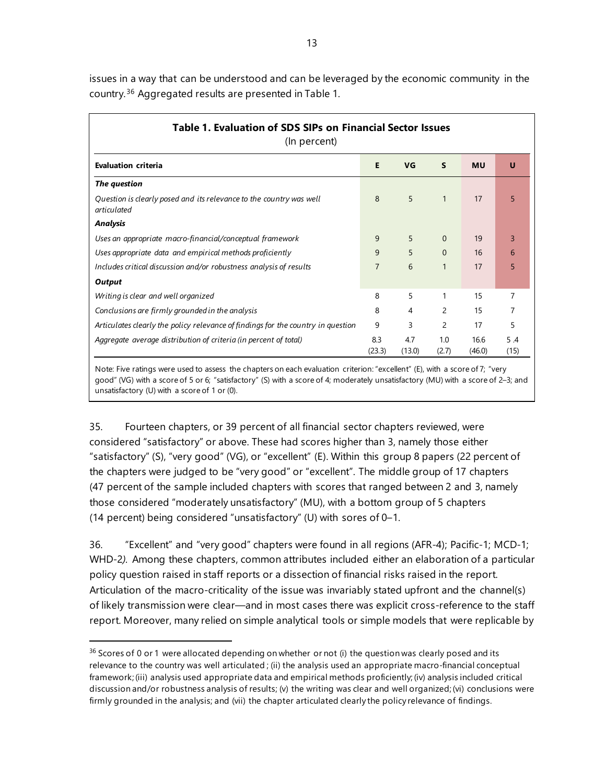issues in a way that can be understood and can be leveraged by the economic community in the country. [36](#page-18-0) Aggregated results are presented in Table 1.

| Table 1. Evaluation of SDS SIPs on Financial Sector Issues<br>(In percent)         |               |               |                |                |             |
|------------------------------------------------------------------------------------|---------------|---------------|----------------|----------------|-------------|
| <b>Evaluation criteria</b>                                                         | E             | VG            | $\mathsf{s}$   | <b>MU</b>      | U           |
| The question                                                                       |               |               |                |                |             |
| Question is clearly posed and its relevance to the country was well<br>articulated | 8             | 5             | $\mathbf{1}$   | 17             | 5           |
| <b>Analysis</b>                                                                    |               |               |                |                |             |
| Uses an appropriate macro-financial/conceptual framework                           | 9             | 5             | $\Omega$       | 19             | 3           |
| Uses appropriate data and empirical methods proficiently                           | 9             | 5             | $\Omega$       | 16             | 6           |
| Includes critical discussion and/or robustness analysis of results                 | 7             | 6             | $\mathbf{1}$   | 17             | 5           |
| Output                                                                             |               |               |                |                |             |
| Writing is clear and well organized                                                | 8             | 5             | 1              | 15             | 7           |
| Conclusions are firmly grounded in the analysis                                    | 8             | 4             | 2              | 15             | 7           |
| Articulates clearly the policy relevance of findings for the country in question   | 9             | 3             | $\overline{c}$ | 17             | 5           |
| Aggregate average distribution of criteria (in percent of total)                   | 8.3<br>(23.3) | 4.7<br>(13.0) | 1.0<br>(2.7)   | 16.6<br>(46.0) | 5.4<br>(15) |

Note: Five ratings were used to assess the chapters on each evaluation criterion: "excellent" (E), with a score of 7; "very good" (VG) with a score of 5 or 6; "satisfactory" (S) with a score of 4; moderately unsatisfactory (MU) with a score of 2–3; and unsatisfactory (U) with a score of 1 or (0).

35. Fourteen chapters, or 39 percent of all financial sector chapters reviewed, were considered "satisfactory" or above. These had scores higher than 3, namely those either "satisfactory" (S), "very good" (VG), or "excellent" (E). Within this group 8 papers (22 percent of the chapters were judged to be "very good" or "excellent". The middle group of 17 chapters (47 percent of the sample included chapters with scores that ranged between 2 and 3, namely those considered "moderately unsatisfactory" (MU), with a bottom group of 5 chapters (14 percent) being considered "unsatisfactory" (U) with sores of 0–1.

36. "Excellent" and "very good" chapters were found in all regions (AFR-4); Pacific-1; MCD-1; WHD-2*).* Among these chapters, common attributes included either an elaboration of a particular policy question raised in staff reports or a dissection of financial risks raised in the report. Articulation of the macro-criticality of the issue was invariably stated upfront and the channel(s) of likely transmission were clear—and in most cases there was explicit cross-reference to the staff report. Moreover, many relied on simple analytical tools or simple models that were replicable by

<span id="page-18-0"></span><sup>&</sup>lt;sup>36</sup> Scores of 0 or 1 were allocated depending on whether or not (i) the question was clearly posed and its relevance to the country was well articulated ; (ii) the analysis used an appropriate macro-financial conceptual framework; (iii) analysis used appropriate data and empirical methods proficiently; (iv) analysis included critical discussion and/or robustness analysis of results; (v) the writing was clear and well organized; (vi) conclusions were firmly grounded in the analysis; and (vii) the chapter articulated clearly the policy relevance of findings.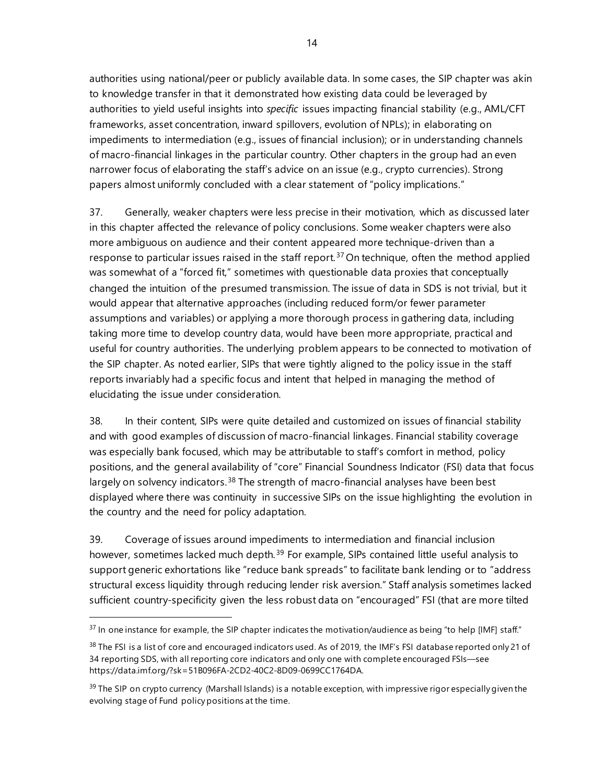authorities using national/peer or publicly available data. In some cases, the SIP chapter was akin to knowledge transfer in that it demonstrated how existing data could be leveraged by authorities to yield useful insights into *specific* issues impacting financial stability (e.g., AML/CFT frameworks, asset concentration, inward spillovers, evolution of NPLs); in elaborating on impediments to intermediation (e.g., issues of financial inclusion); or in understanding channels of macro-financial linkages in the particular country. Other chapters in the group had an even narrower focus of elaborating the staff's advice on an issue (e.g., crypto currencies). Strong papers almost uniformly concluded with a clear statement of "policy implications."

37. Generally, weaker chapters were less precise in their motivation, which as discussed later in this chapter affected the relevance of policy conclusions. Some weaker chapters were also more ambiguous on audience and their content appeared more technique-driven than a response to particular issues raised in the staff report.<sup>[37](#page-19-0)</sup> On technique, often the method applied was somewhat of a "forced fit," sometimes with questionable data proxies that conceptually changed the intuition of the presumed transmission. The issue of data in SDS is not trivial, but it would appear that alternative approaches (including reduced form/or fewer parameter assumptions and variables) or applying a more thorough process in gathering data, including taking more time to develop country data, would have been more appropriate, practical and useful for country authorities. The underlying problem appears to be connected to motivation of the SIP chapter. As noted earlier, SIPs that were tightly aligned to the policy issue in the staff reports invariably had a specific focus and intent that helped in managing the method of elucidating the issue under consideration.

38. In their content, SIPs were quite detailed and customized on issues of financial stability and with good examples of discussion of macro-financial linkages. Financial stability coverage was especially bank focused, which may be attributable to staff's comfort in method, policy positions, and the general availability of "core" Financial Soundness Indicator (FSI) data that focus largely on solvency indicators.<sup>[38](#page-19-1)</sup> The strength of macro-financial analyses have been best displayed where there was continuity in successive SIPs on the issue highlighting the evolution in the country and the need for policy adaptation.

39. Coverage of issues around impediments to intermediation and financial inclusion however, sometimes lacked much depth.<sup>[39](#page-19-2)</sup> For example, SIPs contained little useful analysis to support generic exhortations like "reduce bank spreads" to facilitate bank lending or to "address structural excess liquidity through reducing lender risk aversion." Staff analysis sometimes lacked sufficient country-specificity given the less robust data on "encouraged" FSI (that are more tilted

<span id="page-19-0"></span> $37$  In one instance for example, the SIP chapter indicates the motivation/audience as being "to help [IMF] staff."

<span id="page-19-1"></span> $38$  The FSI is a list of core and encouraged indicators used. As of 2019, the IMF's FSI database reported only 21 of 34 reporting SDS, with all reporting core indicators and only one with complete encouraged FSIs—see [https://data.imf.org/?sk=51B096FA-2CD2-40C2-8D09-0699CC1764DA.](https://data.imf.org/?sk=51B096FA-2CD2-40C2-8D09-0699CC1764DA) 

<span id="page-19-2"></span> $39$  The SIP on crypto currency (Marshall Islands) is a notable exception, with impressive rigor especially given the evolving stage of Fund policy positions at the time.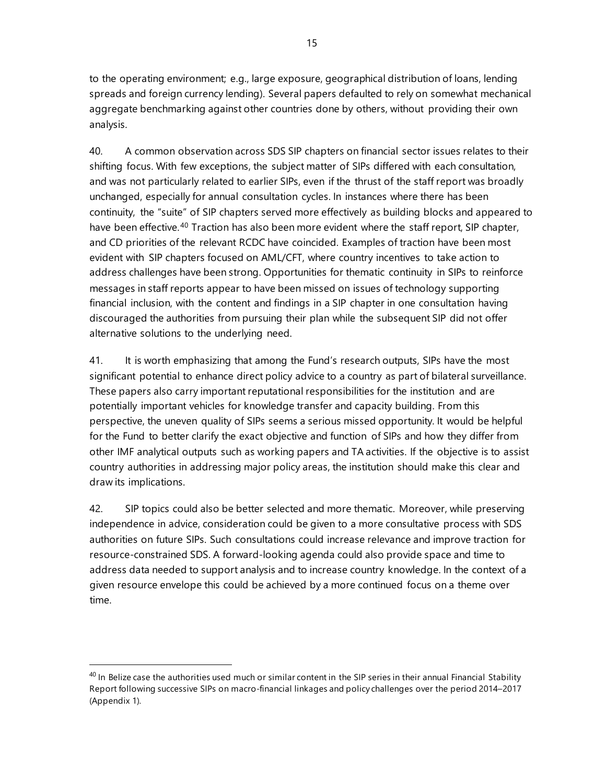to the operating environment; e.g., large exposure, geographical distribution of loans, lending spreads and foreign currency lending). Several papers defaulted to rely on somewhat mechanical aggregate benchmarking against other countries done by others, without providing their own analysis.

40. A common observation across SDS SIP chapters on financial sector issues relates to their shifting focus. With few exceptions, the subject matter of SIPs differed with each consultation, and was not particularly related to earlier SIPs, even if the thrust of the staff report was broadly unchanged, especially for annual consultation cycles. In instances where there has been continuity, the "suite" of SIP chapters served more effectively as building blocks and appeared to have been effective.<sup>[40](#page-20-0)</sup> Traction has also been more evident where the staff report, SIP chapter, and CD priorities of the relevant RCDC have coincided. Examples of traction have been most evident with SIP chapters focused on AML/CFT, where country incentives to take action to address challenges have been strong. Opportunities for thematic continuity in SIPs to reinforce messages in staff reports appear to have been missed on issues of technology supporting financial inclusion, with the content and findings in a SIP chapter in one consultation having discouraged the authorities from pursuing their plan while the subsequent SIP did not offer alternative solutions to the underlying need.

41. It is worth emphasizing that among the Fund's research outputs, SIPs have the most significant potential to enhance direct policy advice to a country as part of bilateral surveillance. These papers also carry important reputational responsibilities for the institution and are potentially important vehicles for knowledge transfer and capacity building. From this perspective, the uneven quality of SIPs seems a serious missed opportunity. It would be helpful for the Fund to better clarify the exact objective and function of SIPs and how they differ from other IMF analytical outputs such as working papers and TA activities. If the objective is to assist country authorities in addressing major policy areas, the institution should make this clear and draw its implications.

42. SIP topics could also be better selected and more thematic. Moreover, while preserving independence in advice, consideration could be given to a more consultative process with SDS authorities on future SIPs. Such consultations could increase relevance and improve traction for resource-constrained SDS. A forward-looking agenda could also provide space and time to address data needed to support analysis and to increase country knowledge. In the context of a given resource envelope this could be achieved by a more continued focus on a theme over time.

<span id="page-20-0"></span> $40$  In Belize case the authorities used much or similar content in the SIP series in their annual Financial Stability Report following successive SIPs on macro-financial linkages and policy challenges over the period 2014–2017 (Appendix 1).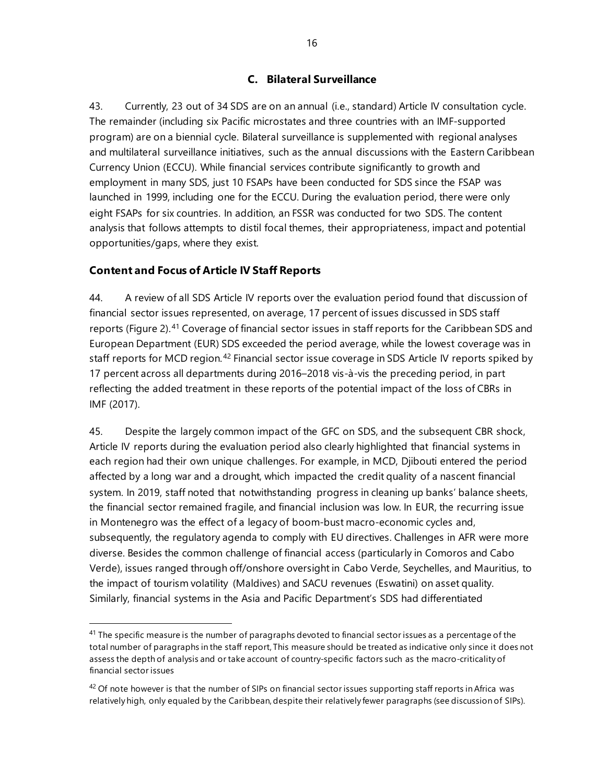# **C. Bilateral Surveillance**

43. Currently, 23 out of 34 SDS are on an annual (i.e., standard) Article IV consultation cycle. The remainder (including six Pacific microstates and three countries with an IMF-supported program) are on a biennial cycle. Bilateral surveillance is supplemented with regional analyses and multilateral surveillance initiatives, such as the annual discussions with the Eastern Caribbean Currency Union (ECCU). While financial services contribute significantly to growth and employment in many SDS, just 10 FSAPs have been conducted for SDS since the FSAP was launched in 1999, including one for the ECCU. During the evaluation period, there were only eight FSAPs for six countries. In addition, an FSSR was conducted for two SDS. The content analysis that follows attempts to distil focal themes, their appropriateness, impact and potential opportunities/gaps, where they exist.

### **Content and Focus of Article IV Staff Reports**

44. A review of all SDS Article IV reports over the evaluation period found that discussion of financial sector issues represented, on average, 17 percent of issues discussed in SDS staff reports (Figure 2).<sup>[41](#page-21-0)</sup> Coverage of financial sector issues in staff reports for the Caribbean SDS and European Department (EUR) SDS exceeded the period average, while the lowest coverage was in staff reports for MCD region.<sup>[42](#page-21-1)</sup> Financial sector issue coverage in SDS Article IV reports spiked by 17 percent across all departments during 2016–2018 vis-à-vis the preceding period, in part reflecting the added treatment in these reports of the potential impact of the loss of CBRs in IMF (2017).

45. Despite the largely common impact of the GFC on SDS, and the subsequent CBR shock, Article IV reports during the evaluation period also clearly highlighted that financial systems in each region had their own unique challenges. For example, in MCD, Djibouti entered the period affected by a long war and a drought, which impacted the credit quality of a nascent financial system. In 2019, staff noted that notwithstanding progress in cleaning up banks' balance sheets, the financial sector remained fragile, and financial inclusion was low. In EUR, the recurring issue in Montenegro was the effect of a legacy of boom-bust macro-economic cycles and, subsequently, the regulatory agenda to comply with EU directives. Challenges in AFR were more diverse. Besides the common challenge of financial access (particularly in Comoros and Cabo Verde), issues ranged through off/onshore oversight in Cabo Verde, Seychelles, and Mauritius, to the impact of tourism volatility (Maldives) and SACU revenues (Eswatini) on asset quality. Similarly, financial systems in the Asia and Pacific Department's SDS had differentiated

<span id="page-21-0"></span><sup>&</sup>lt;sup>41</sup> The specific measure is the number of paragraphs devoted to financial sector issues as a percentage of the total number of paragraphs in the staff report, This measure should be treated as indicative only since it does not assess the depth of analysis and or take account of country-specific factors such as the macro-criticality of financial sector issues

<span id="page-21-1"></span> $42$  Of note however is that the number of SIPs on financial sector issues supporting staff reports in Africa was relatively high, only equaled by the Caribbean, despite their relatively fewer paragraphs (see discussion of SIPs).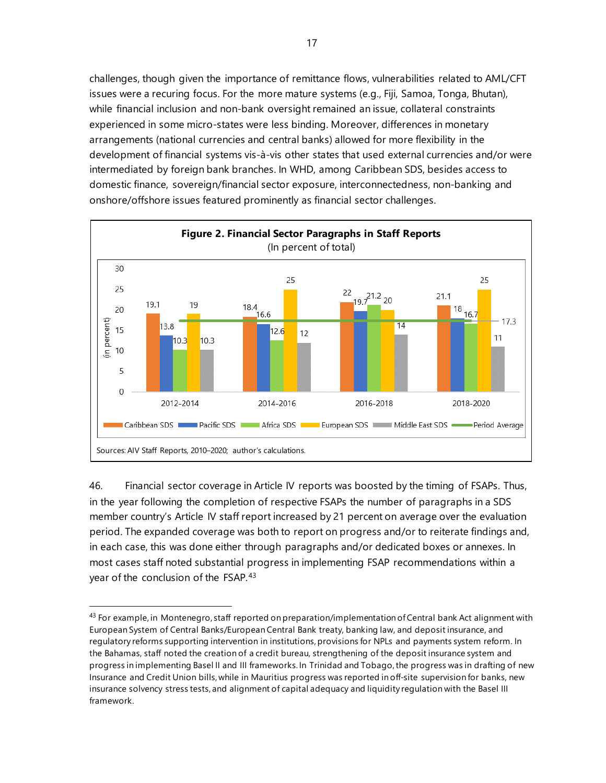challenges, though given the importance of remittance flows, vulnerabilities related to AML/CFT issues were a recuring focus. For the more mature systems (e.g., Fiji, Samoa, Tonga, Bhutan), while financial inclusion and non-bank oversight remained an issue, collateral constraints experienced in some micro-states were less binding. Moreover, differences in monetary arrangements (national currencies and central banks) allowed for more flexibility in the development of financial systems vis-à-vis other states that used external currencies and/or were intermediated by foreign bank branches. In WHD, among Caribbean SDS, besides access to domestic finance, sovereign/financial sector exposure, interconnectedness, non-banking and onshore/offshore issues featured prominently as financial sector challenges.



46. Financial sector coverage in Article IV reports was boosted by the timing of FSAPs. Thus, in the year following the completion of respective FSAPs the number of paragraphs in a SDS member country's Article IV staff report increased by 21 percent on average over the evaluation period. The expanded coverage was both to report on progress and/or to reiterate findings and, in each case, this was done either through paragraphs and/or dedicated boxes or annexes. In most cases staff noted substantial progress in implementing FSAP recommendations within a year of the conclusion of the FSAP.<sup>[43](#page-22-0)</sup>

<span id="page-22-0"></span><sup>43</sup> For example, in Montenegro, staff reported on preparation/implementation of Central bank Act alignment with European System of Central Banks/European Central Bank treaty, banking law, and deposit insurance, and regulatory reforms supporting intervention in institutions, provisions for NPLs and payments system reform. In the Bahamas, staff noted the creation of a credit bureau, strengthening of the deposit insurance system and progress in implementing Basel II and III frameworks. In Trinidad and Tobago, the progress was in drafting of new Insurance and Credit Union bills, while in Mauritius progress was reported in off-site supervision for banks, new insurance solvency stress tests, and alignment of capital adequacy and liquidity regulation with the Basel III framework.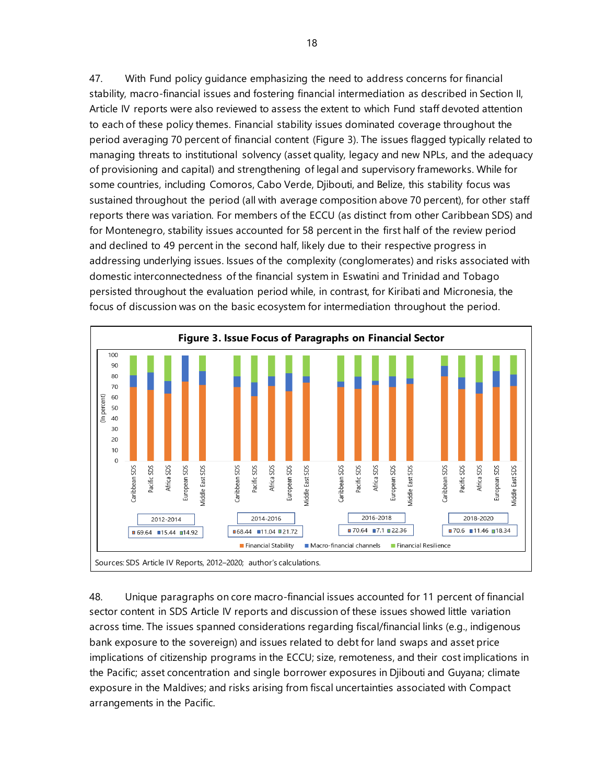47. With Fund policy guidance emphasizing the need to address concerns for financial stability, macro-financial issues and fostering financial intermediation as described in Section II, Article IV reports were also reviewed to assess the extent to which Fund staff devoted attention to each of these policy themes. Financial stability issues dominated coverage throughout the period averaging 70 percent of financial content (Figure 3). The issues flagged typically related to managing threats to institutional solvency (asset quality, legacy and new NPLs, and the adequacy of provisioning and capital) and strengthening of legal and supervisory frameworks. While for some countries, including Comoros, Cabo Verde, Djibouti, and Belize, this stability focus was sustained throughout the period (all with average composition above 70 percent), for other staff reports there was variation. For members of the ECCU (as distinct from other Caribbean SDS) and for Montenegro, stability issues accounted for 58 percent in the first half of the review period and declined to 49 percent in the second half, likely due to their respective progress in addressing underlying issues. Issues of the complexity (conglomerates) and risks associated with domestic interconnectedness of the financial system in Eswatini and Trinidad and Tobago persisted throughout the evaluation period while, in contrast, for Kiribati and Micronesia, the focus of discussion was on the basic ecosystem for intermediation throughout the period.



48. Unique paragraphs on core macro-financial issues accounted for 11 percent of financial sector content in SDS Article IV reports and discussion of these issues showed little variation across time. The issues spanned considerations regarding fiscal/financial links (e.g., indigenous bank exposure to the sovereign) and issues related to debt for land swaps and asset price implications of citizenship programs in the ECCU; size, remoteness, and their cost implications in the Pacific; asset concentration and single borrower exposures in Djibouti and Guyana; climate exposure in the Maldives; and risks arising from fiscal uncertainties associated with Compact arrangements in the Pacific.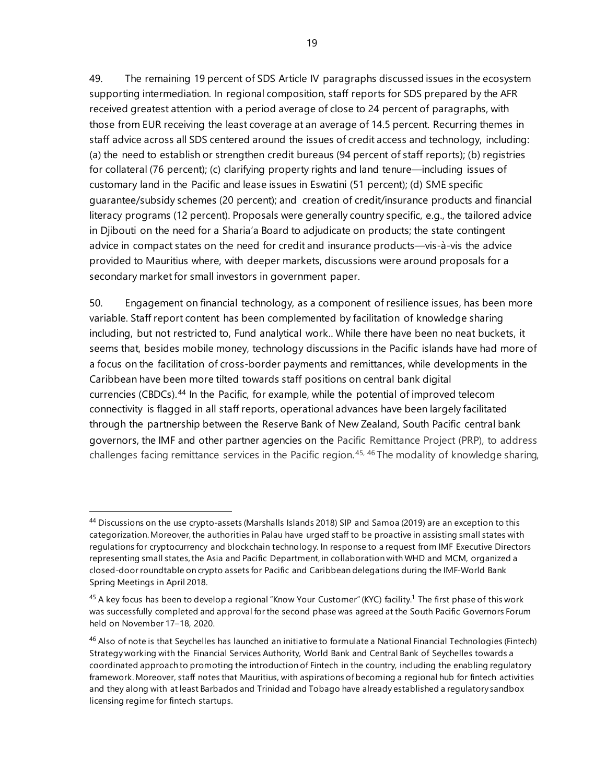49. The remaining 19 percent of SDS Article IV paragraphs discussed issues in the ecosystem supporting intermediation. In regional composition, staff reports for SDS prepared by the AFR received greatest attention with a period average of close to 24 percent of paragraphs, with those from EUR receiving the least coverage at an average of 14.5 percent. Recurring themes in staff advice across all SDS centered around the issues of credit access and technology, including: (a) the need to establish or strengthen credit bureaus (94 percent of staff reports); (b) registries for collateral (76 percent); (c) clarifying property rights and land tenure—including issues of customary land in the Pacific and lease issues in Eswatini (51 percent); (d) SME specific guarantee/subsidy schemes (20 percent); and creation of credit/insurance products and financial literacy programs (12 percent). Proposals were generally country specific, e.g., the tailored advice in Djibouti on the need for a Sharia'a Board to adjudicate on products; the state contingent advice in compact states on the need for credit and insurance products—vis-à-vis the advice provided to Mauritius where, with deeper markets, discussions were around proposals for a secondary market for small investors in government paper.

50. Engagement on financial technology, as a component of resilience issues, has been more variable. Staff report content has been complemented by facilitation of knowledge sharing including, but not restricted to, Fund analytical work.. While there have been no neat buckets, it seems that, besides mobile money, technology discussions in the Pacific islands have had more of a focus on the facilitation of cross-border payments and remittances, while developments in the Caribbean have been more tilted towards staff positions on central bank digital currencies (CBDCs). [44](#page-24-0) In the Pacific, for example, while the potential of improved telecom connectivity is flagged in all staff reports, operational advances have been largely facilitated through the partnership between the Reserve Bank of New Zealand, South Pacific central bank governors, the IMF and other partner agencies on the Pacific Remittance Project (PRP), to address challenges facing remittance services in the Pacific region.<sup>[45](#page-24-1), [46](#page-24-2)</sup> The modality of knowledge sharing,

<span id="page-24-0"></span><sup>44</sup> Discussions on the use crypto-assets (Marshalls Islands 2018) SIP and Samoa (2019) are an exception to this categorization. Moreover, the authorities in Palau have urged staff to be proactive in assisting small states with regulations for cryptocurrency and blockchain technology. In response to a request from IMF Executive Directors representing small states, the Asia and Pacific Department, in collaboration with WHD and MCM, organized a closed-door roundtable on crypto assets for Pacific and Caribbean delegations during the IMF-World Bank Spring Meetings in April 2018.

<span id="page-24-1"></span><sup>&</sup>lt;sup>45</sup> A key focus has been to develop a regional "Know Your Customer" (KYC) facility.<sup>[1](https://www.rbnz.govt.nz/regulation-and-supervision/banks/relationships/pacific-remittances#fnB1)</sup> The first phase of this work was successfully completed and approval for the second phase was agreed at the South Pacific Governors Forum held on November 17–18, 2020.

<span id="page-24-2"></span><sup>&</sup>lt;sup>46</sup> Also of note is that Seychelles has launched an initiative to formulate a National Financial Technologies (Fintech) Strategy working with the Financial Services Authority, World Bank and Central Bank of Seychelles towards a coordinated approach to promoting the introduction of Fintech in the country, including the enabling regulatory framework. Moreover, staff notes that Mauritius, with aspirations of becoming a regional hub for fintech activities and they along with at least Barbados and Trinidad and Tobago have already established a regulatory sandbox licensing regime for fintech startups.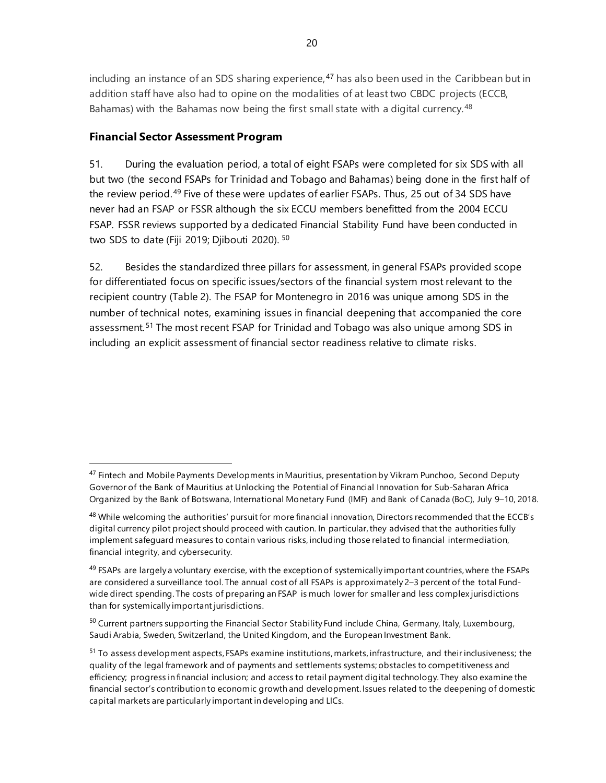including an instance of an SDS sharing experience, $47$  has also been used in the Caribbean but in addition staff have also had to opine on the modalities of at least two CBDC projects (ECCB, Bahamas) with the Bahamas now being the first small state with a digital currency.<sup>[48](#page-25-1)</sup>

# **Financial Sector Assessment Program**

51. During the evaluation period, a total of eight FSAPs were completed for six SDS with all but two (the second FSAPs for Trinidad and Tobago and Bahamas) being done in the first half of the review period.[49](#page-25-2) Five of these were updates of earlier FSAPs. Thus, 25 out of 34 SDS have never had an FSAP or FSSR although the six ECCU members benefitted from the 2004 ECCU FSAP. FSSR reviews supported by a dedicated Financial Stability Fund have been conducted in two SDS to date (Fiji 2019; Djibouti 2020). [50](#page-25-3)

52. Besides the standardized three pillars for assessment, in general FSAPs provided scope for differentiated focus on specific issues/sectors of the financial system most relevant to the recipient country (Table 2). The FSAP for Montenegro in 2016 was unique among SDS in the number of technical notes, examining issues in financial deepening that accompanied the core assessment.[51](#page-25-4) The most recent FSAP for Trinidad and Tobago was also unique among SDS in including an explicit assessment of financial sector readiness relative to climate risks.

<span id="page-25-0"></span> $47$  Fintech and Mobile Payments Developments in Mauritius, [presentation](https://www.imf.org/en/News/Seminars/Conferences/2018/06/18/%7E/media/F0661FA0B9F644F3B3B4911FC01D562E.ashx) by Vikram Punchoo, Second Deputy Governor of the Bank of Mauritius at Unlocking the Potential of Financial Innovation for Sub-Saharan Africa Organized by the Bank of Botswana, International Monetary Fund (IMF) and Bank of Canada (BoC), July 9–10, 2018.

<span id="page-25-1"></span><sup>&</sup>lt;sup>48</sup> While welcoming the authorities' pursuit for more financial innovation, Directors recommended that the ECCB's digital currency pilot project should proceed with caution. In particular, they advised that the authorities fully implement safeguard measures to contain various risks, including those related to financial intermediation, financial integrity, and cybersecurity.

<span id="page-25-2"></span> $49$  FSAPs are largely a voluntary exercise, with the exception of systemically important countries, where the FSAPs are considered a surveillance tool. The annual cost of all FSAPs is approximately 2–3 percent of the total Fundwide direct spending. The costs of preparing an FSAP is much lower for smaller and less complex jurisdictions than for systemically important jurisdictions.

<span id="page-25-3"></span><sup>&</sup>lt;sup>50</sup> Current partners supporting the Financial Sector Stability Fund include China, Germany, Italy, Luxembourg, Saudi Arabia, Sweden, Switzerland, the United Kingdom, and the European Investment Bank.

<span id="page-25-4"></span><sup>&</sup>lt;sup>51</sup> To assess development aspects, FSAPs examine institutions, markets, infrastructure, and their inclusiveness; the quality of the legal framework and of payments and settlements systems; obstacles to competitiveness and efficiency; progress in financial inclusion; and access to retail payment digital technology. They also examine the financial sector's contribution to economic growth and development. Issues related to the deepening of domestic capital markets are particularly important in developing and LICs.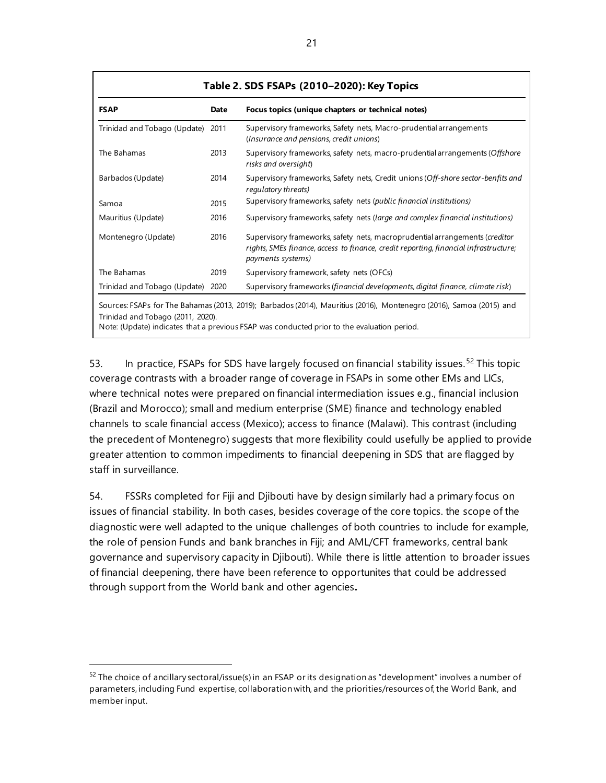| Table 2. SDS FSAPs (2010-2020): Key Topics |             |                                                                                                                                                                                                                    |  |
|--------------------------------------------|-------------|--------------------------------------------------------------------------------------------------------------------------------------------------------------------------------------------------------------------|--|
| <b>FSAP</b>                                | <b>Date</b> | Focus topics (unique chapters or technical notes)                                                                                                                                                                  |  |
| Trinidad and Tobago (Update)               | 2011        | Supervisory frameworks, Safety nets, Macro-prudential arrangements<br>(Insurance and pensions, credit unions)                                                                                                      |  |
| The Bahamas                                | 2013        | Supervisory frameworks, safety nets, macro-prudential arrangements (Offshore<br>risks and oversight)                                                                                                               |  |
| Barbados (Update)                          | 2014        | Supervisory frameworks, Safety nets, Credit unions (Off-shore sector-benfits and<br>regulatory threats)                                                                                                            |  |
| Samoa                                      | 2015        | Supervisory frameworks, safety nets (public financial institutions)                                                                                                                                                |  |
| Mauritius (Update)                         | 2016        | Supervisory frameworks, safety nets (large and complex financial institutions)                                                                                                                                     |  |
| Montenegro (Update)                        | 2016        | Supervisory frameworks, safety nets, macroprudential arrangements (creditor<br>rights, SMEs finance, access to finance, credit reporting, financial infrastructure;<br>payments systems)                           |  |
| The Bahamas                                | 2019        | Supervisory framework, safety nets (OFCs)                                                                                                                                                                          |  |
| Trinidad and Tobago (Update) 2020          |             | Supervisory frameworks (financial developments, digital finance, climate risk)                                                                                                                                     |  |
| Trinidad and Tobago (2011, 2020).          |             | Sources: FSAPs for The Bahamas (2013, 2019); Barbados (2014), Mauritius (2016), Montenegro (2016), Samoa (2015) and<br>Note: (Update) indicates that a previous FSAP was conducted prior to the evaluation period. |  |

53. In practice, FSAPs for SDS have largely focused on financial stability issues.<sup>[52](#page-26-0)</sup> This topic coverage contrasts with a broader range of coverage in FSAPs in some other EMs and LICs, where technical notes were prepared on financial intermediation issues e.g., financial inclusion (Brazil and Morocco); small and medium enterprise (SME) finance and technology enabled channels to scale financial access (Mexico); access to finance (Malawi). This contrast (including the precedent of Montenegro) suggests that more flexibility could usefully be applied to provide greater attention to common impediments to financial deepening in SDS that are flagged by staff in surveillance.

54. FSSRs completed for Fiji and Djibouti have by design similarly had a primary focus on issues of financial stability. In both cases, besides coverage of the core topics. the scope of the diagnostic were well adapted to the unique challenges of both countries to include for example, the role of pension Funds and bank branches in Fiji; and AML/CFT frameworks, central bank governance and supervisory capacity in Djibouti). While there is little attention to broader issues of financial deepening, there have been reference to opportunites that could be addressed through support from the World bank and other agencies**.**

<span id="page-26-0"></span> $52$  The choice of ancillary sectoral/issue(s) in an FSAP or its designation as "development" involves a number of parameters, including Fund expertise, collaboration with, and the priorities/resources of, the World Bank, and member input.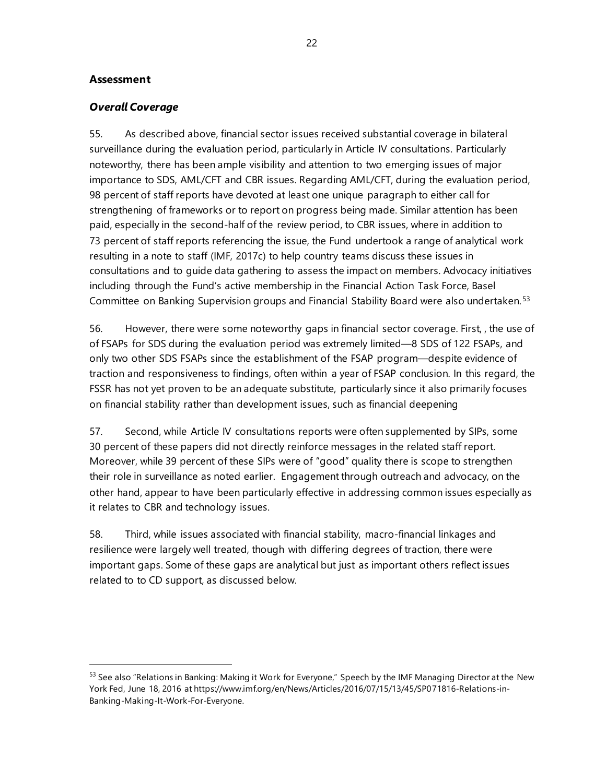#### **Assessment**

#### *Overall Coverage*

55. As described above, financial sector issues received substantial coverage in bilateral surveillance during the evaluation period, particularly in Article IV consultations. Particularly noteworthy, there has been ample visibility and attention to two emerging issues of major importance to SDS, AML/CFT and CBR issues. Regarding AML/CFT, during the evaluation period, 98 percent of staff reports have devoted at least one unique paragraph to either call for strengthening of frameworks or to report on progress being made. Similar attention has been paid, especially in the second-half of the review period, to CBR issues, where in addition to 73 percent of staff reports referencing the issue, the Fund undertook a range of analytical work resulting in a note to staff (IMF, 2017c) to help country teams discuss these issues in consultations and to guide data gathering to assess the impact on members. Advocacy initiatives including through the Fund's active membership in the Financial Action Task Force, Basel Committee on Banking Supervision groups and Financial Stability Board were also undertaken.[53](#page-27-0)

56. However, there were some noteworthy gaps in financial sector coverage. First, , the use of of FSAPs for SDS during the evaluation period was extremely limited—8 SDS of 122 FSAPs, and only two other SDS FSAPs since the establishment of the FSAP program—despite evidence of traction and responsiveness to findings, often within a year of FSAP conclusion. In this regard, the FSSR has not yet proven to be an adequate substitute, particularly since it also primarily focuses on financial stability rather than development issues, such as financial deepening

57. Second, while Article IV consultations reports were often supplemented by SIPs, some 30 percent of these papers did not directly reinforce messages in the related staff report. Moreover, while 39 percent of these SIPs were of "good" quality there is scope to strengthen their role in surveillance as noted earlier. Engagement through outreach and advocacy, on the other hand, appear to have been particularly effective in addressing common issues especially as it relates to CBR and technology issues.

58. Third, while issues associated with financial stability, macro-financial linkages and resilience were largely well treated, though with differing degrees of traction, there were important gaps. Some of these gaps are analytical but just as important others reflect issues related to to CD support, as discussed below.

<span id="page-27-0"></span><sup>&</sup>lt;sup>53</sup> See also "Relations in Banking: Making it Work for Everyone," Speech by the IMF Managing Director at the New York Fed, June 18, 2016 a[t https://www.imf.org/en/News/Articles/2016/07/15/13/45/SP071816-Relations-in-](https://www.imf.org/en/News/Articles/2016/07/15/13/45/SP071816-Relations-in-Banking-Making-It-Work-For-Everyone)[Banking-Making-It-Work-For-Everyone.](https://www.imf.org/en/News/Articles/2016/07/15/13/45/SP071816-Relations-in-Banking-Making-It-Work-For-Everyone)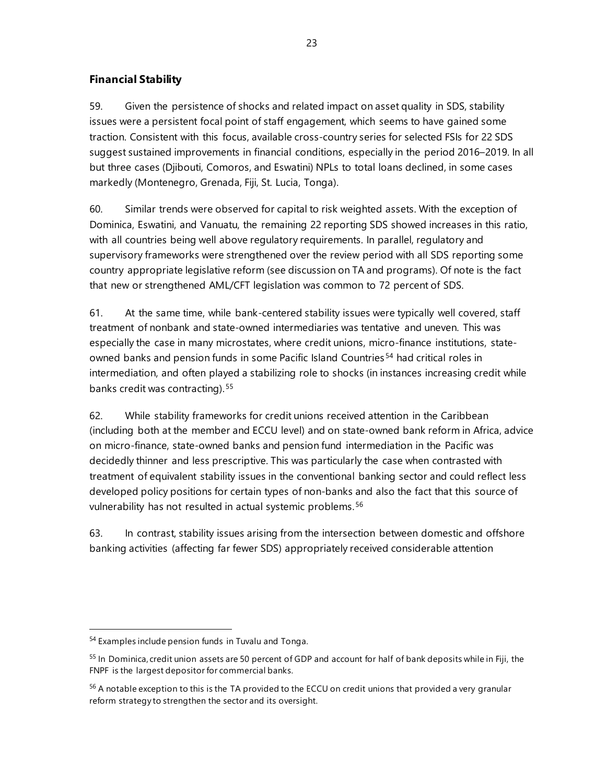# **Financial Stability**

59. Given the persistence of shocks and related impact on asset quality in SDS, stability issues were a persistent focal point of staff engagement, which seems to have gained some traction. Consistent with this focus, available cross-country series for selected FSIs for 22 SDS suggest sustained improvements in financial conditions, especially in the period 2016–2019. In all but three cases (Djibouti, Comoros, and Eswatini) NPLs to total loans declined, in some cases markedly (Montenegro, Grenada, Fiji, St. Lucia, Tonga).

60. Similar trends were observed for capital to risk weighted assets. With the exception of Dominica, Eswatini, and Vanuatu, the remaining 22 reporting SDS showed increases in this ratio, with all countries being well above regulatory requirements. In parallel, regulatory and supervisory frameworks were strengthened over the review period with all SDS reporting some country appropriate legislative reform (see discussion on TA and programs). Of note is the fact that new or strengthened AML/CFT legislation was common to 72 percent of SDS.

61. At the same time, while bank-centered stability issues were typically well covered, staff treatment of nonbank and state-owned intermediaries was tentative and uneven. This was especially the case in many microstates, where credit unions, micro-finance institutions, stateowned banks and pension funds in some Pacific Island Countries [54](#page-28-0) had critical roles in intermediation, and often played a stabilizing role to shocks (in instances increasing credit while banks credit was contracting).<sup>[55](#page-28-1)</sup>

62. While stability frameworks for credit unions received attention in the Caribbean (including both at the member and ECCU level) and on state-owned bank reform in Africa, advice on micro-finance, state-owned banks and pension fund intermediation in the Pacific was decidedly thinner and less prescriptive. This was particularly the case when contrasted with treatment of equivalent stability issues in the conventional banking sector and could reflect less developed policy positions for certain types of non-banks and also the fact that this source of vulnerability has not resulted in actual systemic problems.<sup>[56](#page-28-2)</sup>

63. In contrast, stability issues arising from the intersection between domestic and offshore banking activities (affecting far fewer SDS) appropriately received considerable attention

<span id="page-28-0"></span><sup>54</sup> Examples include pension funds in Tuvalu and Tonga.

<span id="page-28-1"></span><sup>&</sup>lt;sup>55</sup> In Dominica, credit union assets are 50 percent of GDP and account for half of bank deposits while in Fiji, the FNPF is the largest depositor for commercial banks.

<span id="page-28-2"></span><sup>&</sup>lt;sup>56</sup> A notable exception to this is the TA provided to the ECCU on credit unions that provided a very granular reform strategy to strengthen the sector and its oversight.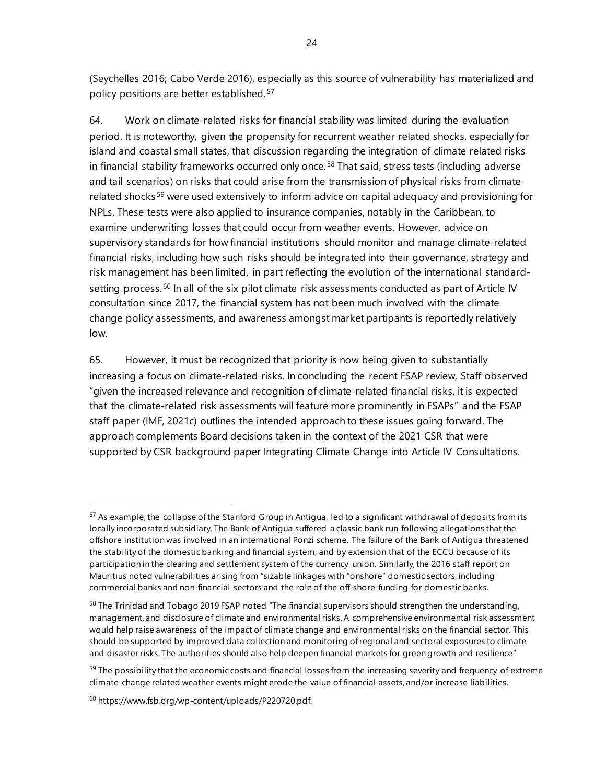(Seychelles 2016; Cabo Verde 2016), especially as this source of vulnerability has materialized and policy positions are better established.[57](#page-29-0)

64. Work on climate-related risks for financial stability was limited during the evaluation period. It is noteworthy, given the propensity for recurrent weather related shocks, especially for island and coastal small states, that discussion regarding the integration of climate related risks in financial stability frameworks occurred only once.<sup>[58](#page-29-1)</sup> That said, stress tests (including adverse and tail scenarios) on risks that could arise from the transmission of physical risks from climate-related shocks<sup>[59](#page-29-2)</sup> were used extensively to inform advice on capital adequacy and provisioning for NPLs. These tests were also applied to insurance companies, notably in the Caribbean, to examine underwriting losses that could occur from weather events. However, advice on supervisory standards for how financial institutions should monitor and manage climate-related financial risks, including how such risks should be integrated into their governance, strategy and risk management has been limited, in part reflecting the evolution of the international standard-setting process.<sup>[60](#page-29-3)</sup> In all of the six pilot climate risk assessments conducted as part of Article IV consultation since 2017, the financial system has not been much involved with the climate change policy assessments, and awareness amongst market partipants is reportedly relatively low.

65. However, it must be recognized that priority is now being given to substantially increasing a focus on climate-related risks. In concluding the recent FSAP review, Staff observed "given the increased relevance and recognition of climate-related financial risks, it is expected that the climate-related risk assessments will feature more prominently in FSAPs" and the FSAP staff paper (IMF, 2021c) outlines the intended approach to these issues going forward. The approach complements Board decisions taken in the context of the 2021 CSR that were supported by CSR background paper Integrating Climate Change into Article IV Consultations.

<span id="page-29-0"></span> $57$  As example, the collapse of the Stanford Group in Antigua, led to a significant withdrawal of deposits from its locally incorporated subsidiary. The Bank of Antigua suffered a classic bank run following allegations that the offshore institution was involved in an international Ponzi scheme. The failure of the Bank of Antigua threatened the stability of the domestic banking and financial system, and by extension that of the ECCU because of its participation in the clearing and settlement system of the currency union. Similarly, the 2016 staff report on Mauritius noted vulnerabilities arising from "sizable linkages with "onshore" domestic sectors, including commercial banks and non-financial sectors and the role of the off-shore funding for domestic banks.

<span id="page-29-1"></span><sup>&</sup>lt;sup>58</sup> The Trinidad and Tobago 2019 FSAP noted "The financial supervisors should strengthen the understanding, management, and disclosure of climate and environmental risks. A comprehensive environmental risk assessment would help raise awareness of the impact of climate change and environmental risks on the financial sector. This should be supported by improved data collection and monitoring of regional and sectoral exposures to climate and disaster risks. The authorities should also help deepen financial markets for green growth and resilience"

<span id="page-29-2"></span><sup>&</sup>lt;sup>59</sup> The possibility that the economic costs and financial losses from the increasing severity and frequency of extreme climate-change related weather events might erode the value of financial assets, and/or increase liabilities.

<span id="page-29-3"></span><sup>60</sup> [https://www.fsb.org/wp-content/uploads/P220720.pdf.](https://www.fsb.org/wp-content/uploads/P220720.pdf)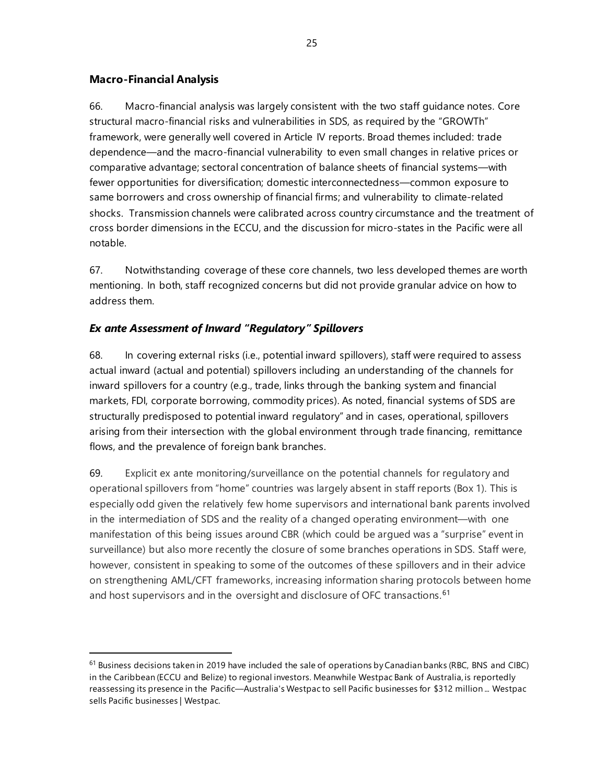### **Macro-Financial Analysis**

66. Macro-financial analysis was largely consistent with the two staff guidance notes. Core structural macro-financial risks and vulnerabilities in SDS, as required by the "GROWTh" framework, were generally well covered in Article IV reports. Broad themes included: trade dependence—and the macro-financial vulnerability to even small changes in relative prices or comparative advantage; sectoral concentration of balance sheets of financial systems—with fewer opportunities for diversification; domestic interconnectedness—common exposure to same borrowers and cross ownership of financial firms; and vulnerability to climate-related shocks. Transmission channels were calibrated across country circumstance and the treatment of cross border dimensions in the ECCU, and the discussion for micro-states in the Pacific were all notable.

67. Notwithstanding coverage of these core channels, two less developed themes are worth mentioning. In both, staff recognized concerns but did not provide granular advice on how to address them.

# *Ex ante Assessment of Inward "Regulatory" Spillovers*

68. In covering external risks (i.e., potential inward spillovers), staff were required to assess actual inward (actual and potential) spillovers including an understanding of the channels for inward spillovers for a country (e.g., trade, links through the banking system and financial markets, FDI, corporate borrowing, commodity prices). As noted, financial systems of SDS are structurally predisposed to potential inward regulatory" and in cases, operational, spillovers arising from their intersection with the global environment through trade financing, remittance flows, and the prevalence of foreign bank branches.

69. Explicit ex ante monitoring/surveillance on the potential channels for regulatory and operational spillovers from "home" countries was largely absent in staff reports (Box 1). This is especially odd given the relatively few home supervisors and international bank parents involved in the intermediation of SDS and the reality of a changed operating environment—with one manifestation of this being issues around CBR (which could be argued was a "surprise" event in surveillance) but also more recently the closure of some branches operations in SDS. Staff were, however, consistent in speaking to some of the outcomes of these spillovers and in their advice on strengthening AML/CFT frameworks, increasing information sharing protocols between home and host supervisors and in the oversight and disclosure of OFC transactions.<sup>[61](#page-30-0)</sup>

<span id="page-30-0"></span> $61$  Business decisions taken in 2019 have included the sale of operations by Canadian banks (RBC, BNS and CIBC) in the Caribbean (ECCU and Belize) to regional investors. Meanwhile Westpac Bank of Australia, is reportedly reassessing its presence in the Pacific[—Australia's Westpac to sell Pacific businesses for \\$312 million ...](https://www.nasdaq.com/articles/australias-westpac-to-sell-pacific-businesses-for-%24312-million-2020-12-06) [Westpac](https://www.westpac.com.au/about-westpac/media/media-releases/2020/7-december/)  [sells Pacific businesses | Westpac.](https://www.westpac.com.au/about-westpac/media/media-releases/2020/7-december/)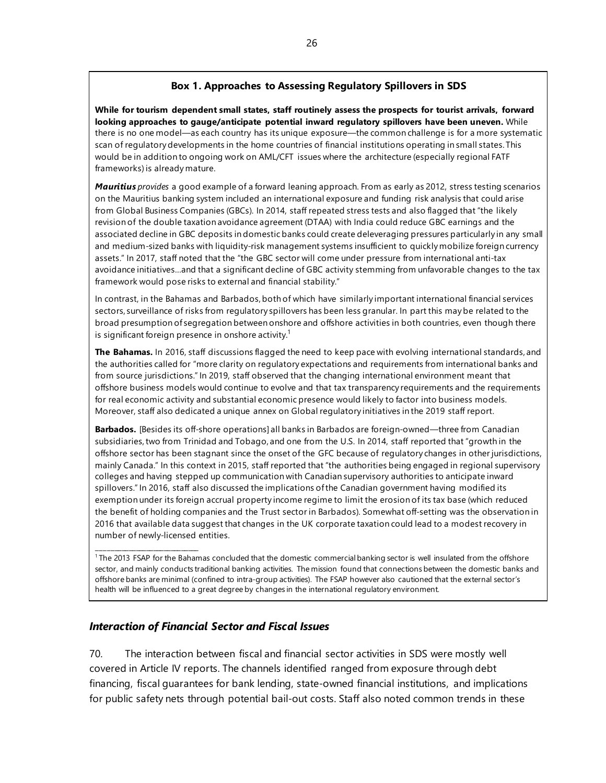### **Box 1. Approaches to Assessing Regulatory Spillovers in SDS**

**While for tourism dependent small states, staff routinely assess the prospects for tourist arrivals, forward looking approaches to gauge/anticipate potential inward regulatory spillovers have been uneven.** While there is no one model—as each country has its unique exposure—the common challenge is for a more systematic scan of regulatory developments in the home countries of financial institutions operating in small states. This would be in addition to ongoing work on AML/CFT issues where the architecture (especially regional FATF frameworks) is already mature.

*Mauritius provides* a good example of a forward leaning approach. From as early as 2012, stress testing scenarios on the Mauritius banking system included an international exposure and funding risk analysis that could arise from Global Business Companies (GBCs). In 2014, staff repeated stress tests and also flagged that "the likely revision of the double taxation avoidance agreement (DTAA) with India could reduce GBC earnings and the associated decline in GBC deposits in domestic banks could create deleveraging pressures particularly in any small and medium-sized banks with liquidity-risk management systems insufficient to quickly mobilize foreign currency assets." In 2017, staff noted that the "the GBC sector will come under pressure from international anti-tax avoidance initiatives…and that a significant decline of GBC activity stemming from unfavorable changes to the tax framework would pose risks to external and financial stability."

In contrast, in the Bahamas and Barbados, both of which have similarly important international financial services sectors, surveillance of risks from regulatory spillovers has been less granular. In part this may be related to the broad presumption of segregation between onshore and offshore activities in both countries, even though there is significant foreign presence in onshore activity.<sup>1</sup>

**The Bahamas.** In 2016, staff discussions flagged the need to keep pace with evolving international standards, and the authorities called for "more clarity on regulatory expectations and requirements from international banks and from source jurisdictions." In 2019, staff observed that the changing international environment meant that offshore business models would continue to evolve and that tax transparency requirements and the requirements for real economic activity and substantial economic presence would likely to factor into business models. Moreover, staff also dedicated a unique annex on Global regulatory initiatives in the 2019 staff report.

**Barbados.** [Besides its off-shore operations] all banks in Barbados are foreign-owned—three from Canadian subsidiaries, two from Trinidad and Tobago, and one from the U.S. In 2014, staff reported that "growth in the offshore sector has been stagnant since the onset of the GFC because of regulatory changes in other jurisdictions, mainly Canada." In this context in 2015, staff reported that "the authorities being engaged in regional supervisory colleges and having stepped up communication with Canadian supervisory authorities to anticipate inward spillovers." In 2016, staff also discussed the implications of the Canadian government having modified its exemption under its foreign accrual property income regime to limit the erosion of its tax base (which reduced the benefit of holding companies and the Trust sector in Barbados). Somewhat off-setting was the observation in 2016 that available data suggest that changes in the UK corporate taxation could lead to a modest recovery in number of newly-licensed entities.

 $1$ The 2013 FSAP for the Bahamas concluded that the domestic commercial banking sector is well insulated from the offshore sector, and mainly conducts traditional banking activities. The mission found that connections between the domestic banks and offshore banks are minimal (confined to intra-group activities). The FSAP however also cautioned that the external sector's health will be influenced to a great degree by changes in the international regulatory environment.

#### *Interaction of Financial Sector and Fiscal Issues*

\_\_\_\_\_\_\_\_\_\_\_\_\_\_\_\_\_\_\_\_\_\_\_\_\_\_\_\_\_

70. The interaction between fiscal and financial sector activities in SDS were mostly well covered in Article IV reports. The channels identified ranged from exposure through debt financing, fiscal guarantees for bank lending, state-owned financial institutions, and implications for public safety nets through potential bail-out costs. Staff also noted common trends in these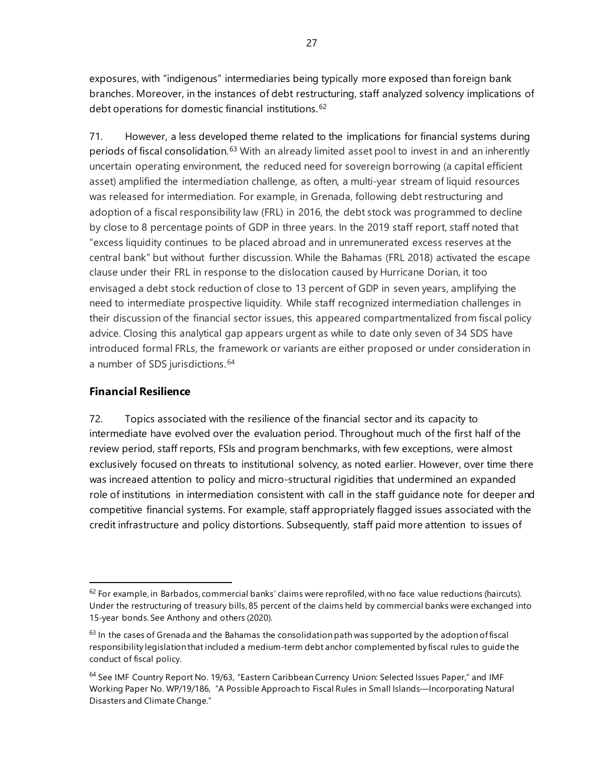exposures, with "indigenous" intermediaries being typically more exposed than foreign bank branches. Moreover, in the instances of debt restructuring, staff analyzed solvency implications of debt operations for domestic financial institutions.<sup>[62](#page-32-0)</sup>

71. However, a less developed theme related to the implications for financial systems during periods of fiscal consolidation.<sup>[63](#page-32-1)</sup> With an already limited asset pool to invest in and an inherently uncertain operating environment, the reduced need for sovereign borrowing (a capital efficient asset) amplified the intermediation challenge, as often, a multi-year stream of liquid resources was released for intermediation. For example, in Grenada, following debt restructuring and adoption of a fiscal responsibility law (FRL) in 2016, the debt stock was programmed to decline by close to 8 percentage points of GDP in three years. In the 2019 staff report, staff noted that "excess liquidity continues to be placed abroad and in unremunerated excess reserves at the central bank" but without further discussion. While the Bahamas (FRL 2018) activated the escape clause under their FRL in response to the dislocation caused by Hurricane Dorian, it too envisaged a debt stock reduction of close to 13 percent of GDP in seven years, amplifying the need to intermediate prospective liquidity. While staff recognized intermediation challenges in their discussion of the financial sector issues, this appeared compartmentalized from fiscal policy advice. Closing this analytical gap appears urgent as while to date only seven of 34 SDS have introduced formal FRLs, the framework or variants are either proposed or under consideration in a number of SDS jurisdictions.<sup>[64](#page-32-2)</sup>

# **Financial Resilience**

72. Topics associated with the resilience of the financial sector and its capacity to intermediate have evolved over the evaluation period. Throughout much of the first half of the review period, staff reports, FSIs and program benchmarks, with few exceptions, were almost exclusively focused on threats to institutional solvency, as noted earlier. However, over time there was increaed attention to policy and micro-structural rigidities that undermined an expanded role of institutions in intermediation consistent with call in the staff guidance note for deeper and competitive financial systems. For example, staff appropriately flagged issues associated with the credit infrastructure and policy distortions. Subsequently, staff paid more attention to issues of

<span id="page-32-0"></span> $62$  For example, in Barbados, commercial banks' claims were reprofiled, with no face value reductions (haircuts). Under the restructuring of treasury bills, 85 percent of the claims held by commercial banks were exchanged into 15-year bonds. See Anthony and others (2020).

<span id="page-32-1"></span> $63$  In the cases of Grenada and the Bahamas the consolidation path was supported by the adoption of fiscal responsibility legislation that included a medium-term debt anchor complemented by fiscal rules to guide the conduct of fiscal policy.

<span id="page-32-2"></span><sup>&</sup>lt;sup>64</sup> See IMF Country Report No. 19/63, ["Eastern Caribbean Currency Union: Selected Issues Paper,](https://www.imf.org/-/media/Files/Publications/CR/2019/1ECCEA2019002.ashx)" and IMF Working Paper No. WP/19/186, ["A Possible Approach to Fiscal Rules in Small Islands—Incorporating Natural](https://www.imf.org/-/media/Files/Publications/WP/2019/wpiea2019186-print-pdf.ashx)  [Disasters and Climate Change.](https://www.imf.org/-/media/Files/Publications/WP/2019/wpiea2019186-print-pdf.ashx)"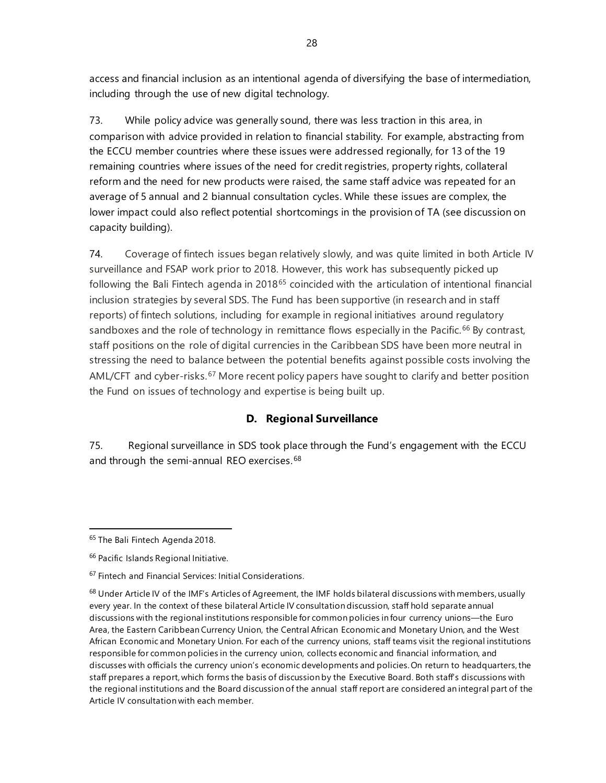access and financial inclusion as an intentional agenda of diversifying the base of intermediation, including through the use of new digital technology.

73. While policy advice was generally sound, there was less traction in this area, in comparison with advice provided in relation to financial stability. For example, abstracting from the ECCU member countries where these issues were addressed regionally, for 13 of the 19 remaining countries where issues of the need for credit registries, property rights, collateral reform and the need for new products were raised, the same staff advice was repeated for an average of 5 annual and 2 biannual consultation cycles. While these issues are complex, the lower impact could also reflect potential shortcomings in the provision of TA (see discussion on capacity building).

74. Coverage of fintech issues began relatively slowly, and was quite limited in both Article IV surveillance and FSAP work prior to 2018. However, this work has subsequently picked up following the Bali Fintech agenda in 2018<sup>[65](#page-33-0)</sup> coincided with the articulation of intentional financial inclusion strategies by several SDS. The Fund has been supportive (in research and in staff reports) of fintech solutions, including for example in regional initiatives around regulatory sandboxes and the role of technology in remittance flows especially in the Pacific.<sup>[66](#page-33-1)</sup> By contrast, staff positions on the role of digital currencies in the Caribbean SDS have been more neutral in stressing the need to balance between the potential benefits against possible costs involving the AML/CFT and cyber-risks.<sup>[67](#page-33-2)</sup> More recent policy papers have sought to clarify and better position the Fund on issues of technology and expertise is being built up.

# **D. Regional Surveillance**

75. Regional surveillance in SDS took place through the Fund's engagement with the ECCU and through the semi-annual REO exercises.<sup>[68](#page-33-3)</sup>

<span id="page-33-0"></span><sup>&</sup>lt;sup>65</sup> The Bali Fintech [Agenda](https://www.imf.org/en/Publications/Policy-Papers/Issues/2018/10/11/pp101118-bali-fintech-agenda) 2018.

<span id="page-33-1"></span><sup>66</sup> [Pacific Islands Regional Initiative.](https://www.afi-global.org/initiatives/pacific-islands-regional-initiative-piri)

<span id="page-33-2"></span><sup>67</sup> Fintech [and Financial Services: Initial](https://www.imf.org/en/Publications/Staff-Discussion-Notes/Issues/2017/06/16/Fintech-and-Financial-Services-Initial-Considerations-44985) Considerations.

<span id="page-33-3"></span> $68$  Under Article IV of the IMF's Articles of Agreement, the IMF holds bilateral discussions with members, usually every year. In the context of these bilateral Article IV consultation discussion, staff hold separate annual discussions with the regional institutions responsible for common policies in four currency unions—the Euro Area, the Eastern Caribbean Currency Union, the Central African Economic and Monetary Union, and the West African Economic and Monetary Union. For each of the currency unions, staff teams visit the regional institutions responsible for common policies in the currency union, collects economic and financial information, and discusses with officials the currency union's economic developments and policies. On return to headquarters, the staff prepares a report, which forms the basis of discussion by the Executive Board. Both staff's discussions with the regional institutions and the Board discussion of the annual staff report are considered an integral part of the Article IV consultation with each member.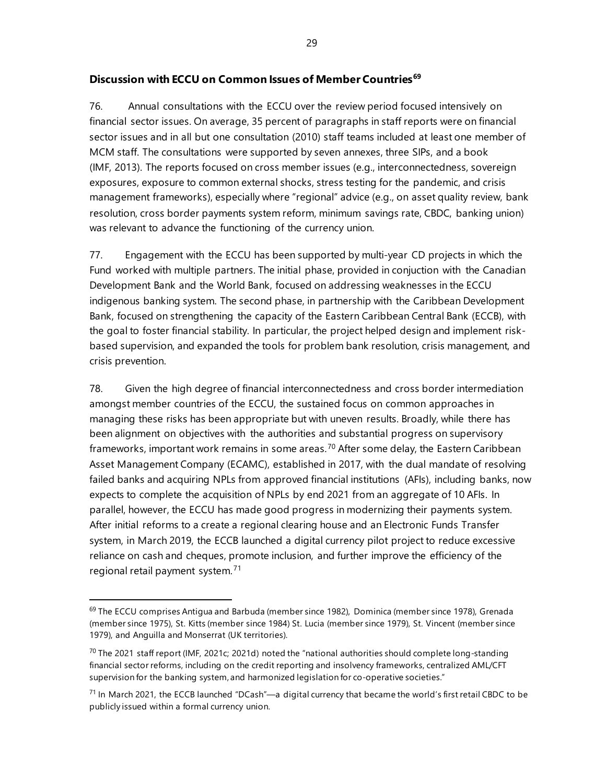# **Discussion with ECCU on Common Issues of Member Countries[69](#page-34-0)**

76. Annual consultations with the ECCU over the review period focused intensively on financial sector issues. On average, 35 percent of paragraphs in staff reports were on financial sector issues and in all but one consultation (2010) staff teams included at least one member of MCM staff. The consultations were supported by seven annexes, three SIPs, and a book (IMF, 2013). The reports focused on cross member issues (e.g., interconnectedness, sovereign exposures, exposure to common external shocks, stress testing for the pandemic, and crisis management frameworks), especially where "regional" advice (e.g., on asset quality review, bank resolution, cross border payments system reform, minimum savings rate, CBDC, banking union) was relevant to advance the functioning of the currency union.

77. Engagement with the ECCU has been supported by multi-year CD projects in which the Fund worked with multiple partners. The initial phase, provided in conjuction with the Canadian Development Bank and the World Bank, focused on addressing weaknesses in the ECCU indigenous banking system. The second phase, in partnership with the Caribbean Development Bank, focused on strengthening the capacity of the Eastern Caribbean Central Bank (ECCB), with the goal to foster financial stability. In particular, the project helped design and implement riskbased supervision, and expanded the tools for problem bank resolution, crisis management, and crisis prevention.

78. Given the high degree of financial interconnectedness and cross border intermediation amongst member countries of the ECCU, the sustained focus on common approaches in managing these risks has been appropriate but with uneven results. Broadly, while there has been alignment on objectives with the authorities and substantial progress on supervisory frameworks, important work remains in some areas.<sup>[70](#page-34-1)</sup> After some delay, the Eastern Caribbean Asset Management Company (ECAMC), established in 2017, with the dual mandate of resolving failed banks and acquiring NPLs from approved financial institutions (AFIs), including banks, now expects to complete the acquisition of NPLs by end 2021 from an aggregate of 10 AFIs. In parallel, however, the ECCU has made good progress in modernizing their payments system. After initial reforms to a create a regional clearing house and an Electronic Funds Transfer system, in March 2019, the ECCB launched a digital currency pilot project to reduce excessive reliance on cash and cheques, promote inclusion, and further improve the efficiency of the regional retail payment system.[71](#page-34-2)

<span id="page-34-0"></span> $69$  The ECCU comprises Antigua and Barbuda (member since 1982), Dominica (member since 1978), Grenada (member since 1975), St. Kitts (member since 1984) St. Lucia (member since 1979), St. Vincent (member since 1979), and Anguilla and Monserrat (UK territories).

<span id="page-34-1"></span> $70$  The 2021 staff report (IMF, 2021c; 2021d) noted the "national authorities should complete long-standing financial sector reforms, including on the credit reporting and insolvency frameworks, centralized AML/CFT supervision for the banking system, and harmonized legislation for co-operative societies."

<span id="page-34-2"></span><sup>&</sup>lt;sup>71</sup> In March 2021, the ECCB launched "DCash"—a digital currency that became the world's first retail CBDC to be publicly issued within a formal currency union.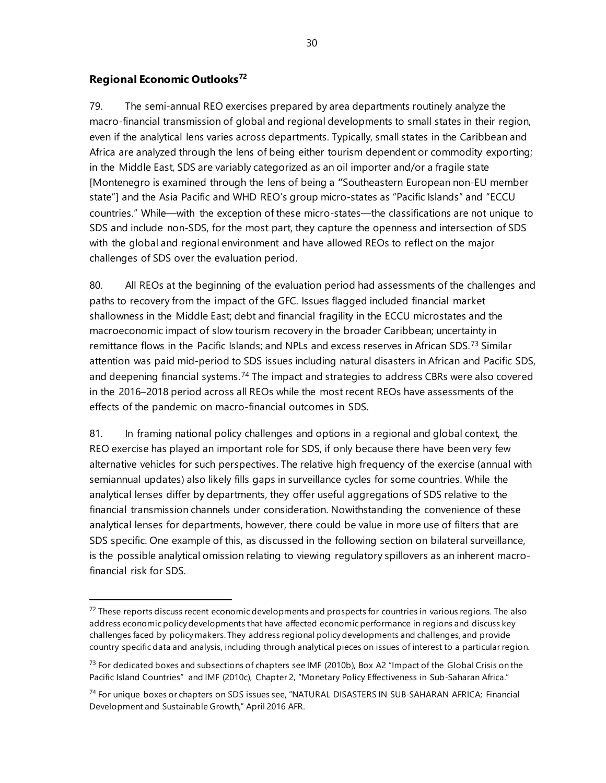### **Regional Economic Outlooks[72](#page-35-0)**

79. The semi-annual REO exercises prepared by area departments routinely analyze the macro-financial transmission of global and regional developments to small states in their region, even if the analytical lens varies across departments. Typically, small states in the Caribbean and Africa are analyzed through the lens of being either tourism dependent or commodity exporting; in the Middle East, SDS are variably categorized as an oil importer and/or a fragile state [Montenegro is examined through the lens of being a **"**Southeastern European non-EU member state"] and the Asia Pacific and WHD REO's group micro-states as "Pacific Islands" and "ECCU countries." While—with the exception of these micro-states—the classifications are not unique to SDS and include non-SDS, for the most part, they capture the openness and intersection of SDS with the global and regional environment and have allowed REOs to reflect on the major challenges of SDS over the evaluation period.

80. All REOs at the beginning of the evaluation period had assessments of the challenges and paths to recovery from the impact of the GFC. Issues flagged included financial market shallowness in the Middle East; debt and financial fragility in the ECCU microstates and the macroeconomic impact of slow tourism recovery in the broader Caribbean; uncertainty in remittance flows in the Pacific Islands; and NPLs and excess reserves in African SDS.<sup>[73](#page-35-1)</sup> Similar attention was paid mid-period to SDS issues including natural disasters in African and Pacific SDS, and deepening financial systems.<sup>[74](#page-35-2)</sup> The impact and strategies to address CBRs were also covered in the 2016–2018 period across all REOs while the most recent REOs have assessments of the effects of the pandemic on macro-financial outcomes in SDS.

81. In framing national policy challenges and options in a regional and global context, the REO exercise has played an important role for SDS, if only because there have been very few alternative vehicles for such perspectives. The relative high frequency of the exercise (annual with semiannual updates) also likely fills gaps in surveillance cycles for some countries. While the analytical lenses differ by departments, they offer useful aggregations of SDS relative to the financial transmission channels under consideration. Nowithstanding the convenience of these analytical lenses for departments, however, there could be value in more use of filters that are SDS specific. One example of this, as discussed in the following section on bilateral surveillance, is the possible analytical omission relating to viewing regulatory spillovers as an inherent macrofinancial risk for SDS.

<span id="page-35-0"></span> $72$  These reports discuss recent economic developments and prospects for countries in various regions. The also address economic policy developments that have affected economic performance in regions and discuss key challenges faced by policy makers. They address regional policy developments and challenges, and provide country specific data and analysis, including through analytical pieces on issues of interest to a particular region.

<span id="page-35-1"></span> $^{73}$  For dedicated boxes and subsections of chapters see IMF (2010b), Box A2 "Impact of the Global Crisis on the Pacific Island Countries" and IMF (2010c), Chapter 2, "Monetary Policy Effectiveness in Sub-Saharan Africa."

<span id="page-35-2"></span><sup>74</sup> For unique boxes or chapters on SDS issues see, "NATURAL DISASTERS IN SUB-SAHARAN AFRICA; Financial Development and Sustainable Growth," April 2016 AFR.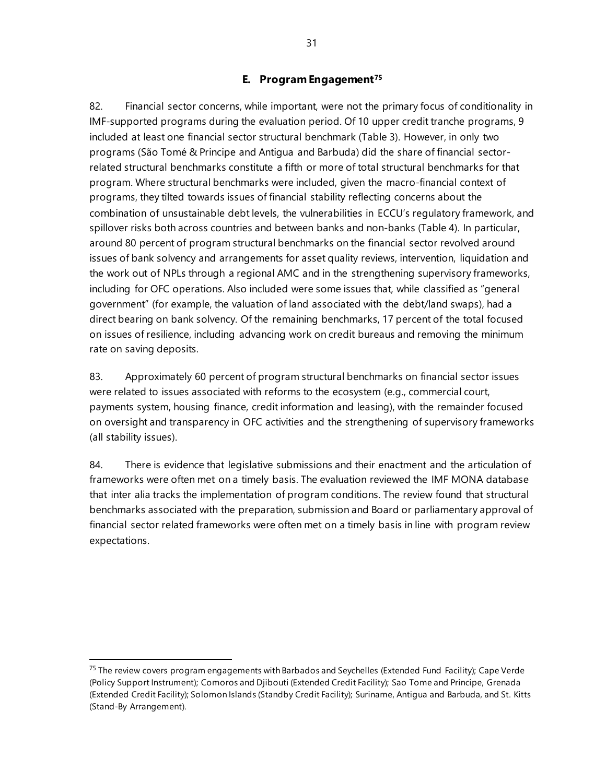### **E. Program Engagement[75](#page-36-0)**

82. Financial sector concerns, while important, were not the primary focus of conditionality in IMF-supported programs during the evaluation period. Of 10 upper credit tranche programs, 9 included at least one financial sector structural benchmark (Table 3). However, in only two programs (São Tomé & Principe and Antigua and Barbuda) did the share of financial sectorrelated structural benchmarks constitute a fifth or more of total structural benchmarks for that program. Where structural benchmarks were included, given the macro-financial context of programs, they tilted towards issues of financial stability reflecting concerns about the combination of unsustainable debt levels, the vulnerabilities in ECCU's regulatory framework, and spillover risks both across countries and between banks and non-banks (Table 4). In particular, around 80 percent of program structural benchmarks on the financial sector revolved around issues of bank solvency and arrangements for asset quality reviews, intervention, liquidation and the work out of NPLs through a regional AMC and in the strengthening supervisory frameworks, including for OFC operations. Also included were some issues that, while classified as "general government" (for example, the valuation of land associated with the debt/land swaps), had a direct bearing on bank solvency. Of the remaining benchmarks, 17 percent of the total focused on issues of resilience, including advancing work on credit bureaus and removing the minimum rate on saving deposits.

83. Approximately 60 percent of program structural benchmarks on financial sector issues were related to issues associated with reforms to the ecosystem (e.g., commercial court, payments system, housing finance, credit information and leasing), with the remainder focused on oversight and transparency in OFC activities and the strengthening of supervisory frameworks (all stability issues).

84. There is evidence that legislative submissions and their enactment and the articulation of frameworks were often met on a timely basis. The evaluation reviewed the IMF MONA database that inter alia tracks the implementation of program conditions. The review found that structural benchmarks associated with the preparation, submission and Board or parliamentary approval of financial sector related frameworks were often met on a timely basis in line with program review expectations.

<span id="page-36-0"></span> $75$  The review covers program engagements with Barbados and Seychelles (Extended Fund Facility); Cape Verde (Policy Support Instrument); Comoros and Djibouti (Extended Credit Facility); Sao Tome and Principe, Grenada (Extended Credit Facility); Solomon Islands (Standby Credit Facility); Suriname, Antigua and Barbuda, and St. Kitts (Stand-By Arrangement).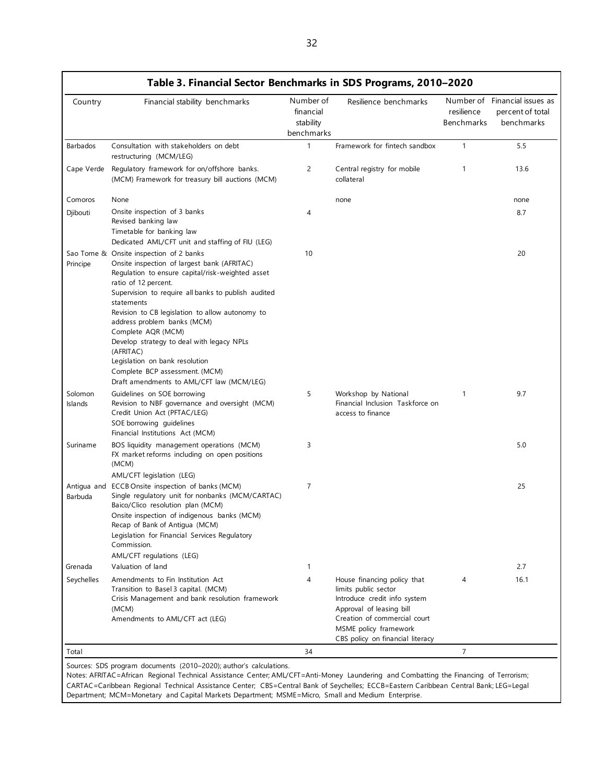|                    | Table 3. Financial Sector Benchmarks in SDS Programs, 2010-2020                                                                                                                                                                                                                                                                                                                                                                                                                                                            |                                                   |                                                                                                                                                                                                              |                          |                                                                 |
|--------------------|----------------------------------------------------------------------------------------------------------------------------------------------------------------------------------------------------------------------------------------------------------------------------------------------------------------------------------------------------------------------------------------------------------------------------------------------------------------------------------------------------------------------------|---------------------------------------------------|--------------------------------------------------------------------------------------------------------------------------------------------------------------------------------------------------------------|--------------------------|-----------------------------------------------------------------|
| Country            | Financial stability benchmarks                                                                                                                                                                                                                                                                                                                                                                                                                                                                                             | Number of<br>financial<br>stability<br>benchmarks | Resilience benchmarks                                                                                                                                                                                        | resilience<br>Benchmarks | Number of Financial issues as<br>percent of total<br>benchmarks |
| Barbados           | Consultation with stakeholders on debt<br>restructuring (MCM/LEG)                                                                                                                                                                                                                                                                                                                                                                                                                                                          | 1                                                 | Framework for fintech sandbox                                                                                                                                                                                | $\mathbf{1}$             | 5.5                                                             |
| Cape Verde         | Regulatory framework for on/offshore banks.<br>(MCM) Framework for treasury bill auctions (MCM)                                                                                                                                                                                                                                                                                                                                                                                                                            | $\overline{c}$                                    | Central registry for mobile<br>collateral                                                                                                                                                                    | 1                        | 13.6                                                            |
| Comoros            | None                                                                                                                                                                                                                                                                                                                                                                                                                                                                                                                       |                                                   | none                                                                                                                                                                                                         |                          | none                                                            |
| Djibouti           | Onsite inspection of 3 banks<br>Revised banking law<br>Timetable for banking law<br>Dedicated AML/CFT unit and staffing of FIU (LEG)                                                                                                                                                                                                                                                                                                                                                                                       | 4                                                 |                                                                                                                                                                                                              |                          | 8.7                                                             |
| Principe           | Sao Tome & Onsite inspection of 2 banks<br>Onsite inspection of largest bank (AFRITAC)<br>Regulation to ensure capital/risk-weighted asset<br>ratio of 12 percent.<br>Supervision to require all banks to publish audited<br>statements<br>Revision to CB legislation to allow autonomy to<br>address problem banks (MCM)<br>Complete AQR (MCM)<br>Develop strategy to deal with legacy NPLs<br>(AFRITAC)<br>Legislation on bank resolution<br>Complete BCP assessment. (MCM)<br>Draft amendments to AML/CFT law (MCM/LEG) | 10                                                |                                                                                                                                                                                                              |                          | 20                                                              |
| Solomon<br>Islands | Guidelines on SOE borrowing<br>Revision to NBF governance and oversight (MCM)<br>Credit Union Act (PFTAC/LEG)<br>SOE borrowing guidelines<br>Financial Institutions Act (MCM)                                                                                                                                                                                                                                                                                                                                              | 5                                                 | Workshop by National<br>Financial Inclusion Taskforce on<br>access to finance                                                                                                                                | 1                        | 9.7                                                             |
| Suriname           | BOS liquidity management operations (MCM)<br>FX market reforms including on open positions<br>(MCM)<br>AML/CFT legislation (LEG)                                                                                                                                                                                                                                                                                                                                                                                           | 3                                                 |                                                                                                                                                                                                              |                          | 5.0                                                             |
| Barbuda            | Antiqua and ECCB Onsite inspection of banks (MCM)<br>Single regulatory unit for nonbanks (MCM/CARTAC)<br>Baico/Clico resolution plan (MCM)<br>Onsite inspection of indigenous banks (MCM)<br>Recap of Bank of Antiqua (MCM)<br>Legislation for Financial Services Regulatory<br>Commission.<br>AML/CFT regulations (LEG)                                                                                                                                                                                                   | $\overline{7}$                                    |                                                                                                                                                                                                              |                          | 25                                                              |
| Grenada            | Valuation of land                                                                                                                                                                                                                                                                                                                                                                                                                                                                                                          | $\mathbf{1}$                                      |                                                                                                                                                                                                              |                          | 2.7                                                             |
| Seychelles         | Amendments to Fin Institution Act<br>Transition to Basel 3 capital. (MCM)<br>Crisis Management and bank resolution framework<br>(MCM)<br>Amendments to AML/CFT act (LEG)                                                                                                                                                                                                                                                                                                                                                   | 4                                                 | House financing policy that<br>limits public sector<br>Introduce credit info system<br>Approval of leasing bill<br>Creation of commercial court<br>MSME policy framework<br>CBS policy on financial literacy | 4                        | 16.1                                                            |
| Total              |                                                                                                                                                                                                                                                                                                                                                                                                                                                                                                                            | 34                                                |                                                                                                                                                                                                              | 7                        |                                                                 |

# **Table 3. Financial Sector Benchmarks in SDS Programs, 2010–2020**

Notes: AFRITAC=African Regional Technical Assistance Center; AML/CFT=Anti-Money Laundering and Combatting the Financing of Terrorism; CARTAC=Caribbean Regional Technical Assistance Center; CBS=Central Bank of Seychelles; ECCB=Eastern Caribbean Central Bank; LEG=Legal Department; MCM=Monetary and Capital Markets Department; MSME=Micro, Small and Medium Enterprise.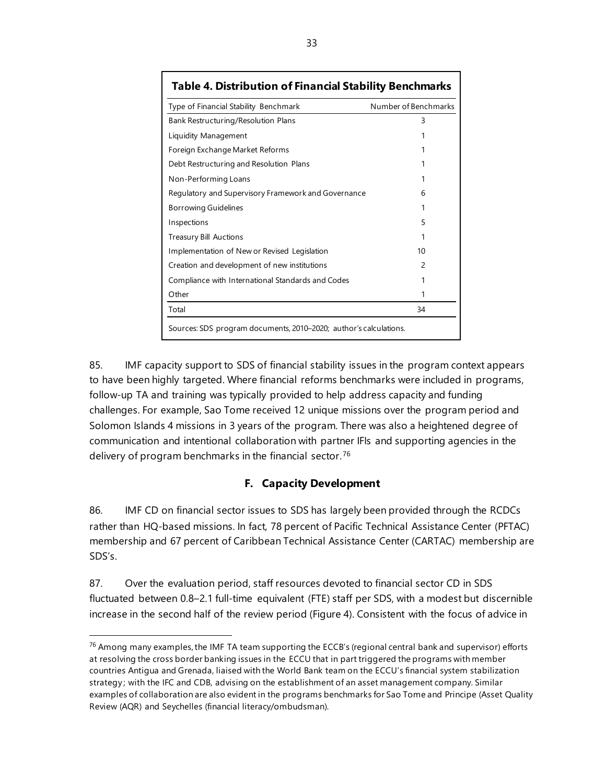| <b>Table 4. Distribution of Financial Stability Benchmarks</b>    |                      |
|-------------------------------------------------------------------|----------------------|
| Type of Financial Stability Benchmark                             | Number of Benchmarks |
| Bank Restructuring/Resolution Plans                               | 3                    |
| Liquidity Management                                              |                      |
| Foreign Exchange Market Reforms                                   |                      |
| Debt Restructuring and Resolution Plans                           |                      |
| Non-Performing Loans                                              |                      |
| Regulatory and Supervisory Framework and Governance               | 6                    |
| Borrowing Guidelines                                              |                      |
| Inspections                                                       | 5                    |
| <b>Treasury Bill Auctions</b>                                     |                      |
| Implementation of New or Revised Legislation                      | 10                   |
| Creation and development of new institutions                      | $\mathcal{P}$        |
| Compliance with International Standards and Codes                 | 1                    |
| Other                                                             | 1                    |
| Total                                                             | 34                   |
| Sources: SDS program documents, 2010–2020; author's calculations. |                      |

85. IMF capacity support to SDS of financial stability issues in the program context appears to have been highly targeted. Where financial reforms benchmarks were included in programs, follow-up TA and training was typically provided to help address capacity and funding challenges. For example, Sao Tome received 12 unique missions over the program period and Solomon Islands 4 missions in 3 years of the program. There was also a heightened degree of communication and intentional collaboration with partner IFIs and supporting agencies in the delivery of program benchmarks in the financial sector.<sup>[76](#page-38-0)</sup>

# **F. Capacity Development**

86. IMF CD on financial sector issues to SDS has largely been provided through the RCDCs rather than HQ-based missions. In fact, 78 percent of Pacific Technical Assistance Center (PFTAC) membership and 67 percent of Caribbean Technical Assistance Center (CARTAC) membership are SDS's.

87. Over the evaluation period, staff resources devoted to financial sector CD in SDS fluctuated between 0.8–2.1 full-time equivalent (FTE) staff per SDS, with a modest but discernible increase in the second half of the review period (Figure 4). Consistent with the focus of advice in

<span id="page-38-0"></span><sup>&</sup>lt;sup>76</sup> Among many examples, the IMF TA team supporting the ECCB's (regional central bank and supervisor) efforts at resolving the cross border banking issues in the ECCU that in part triggered the programs with member countries Antigua and Grenada, liaised with the World Bank team on the ECCU's financial system stabilization strategy ; with the IFC and CDB, advising on the establishment of an asset management company. Similar examples of collaboration are also evident in the programs benchmarks for Sao Tome and Principe (Asset Quality Review (AQR) and Seychelles (financial literacy/ombudsman).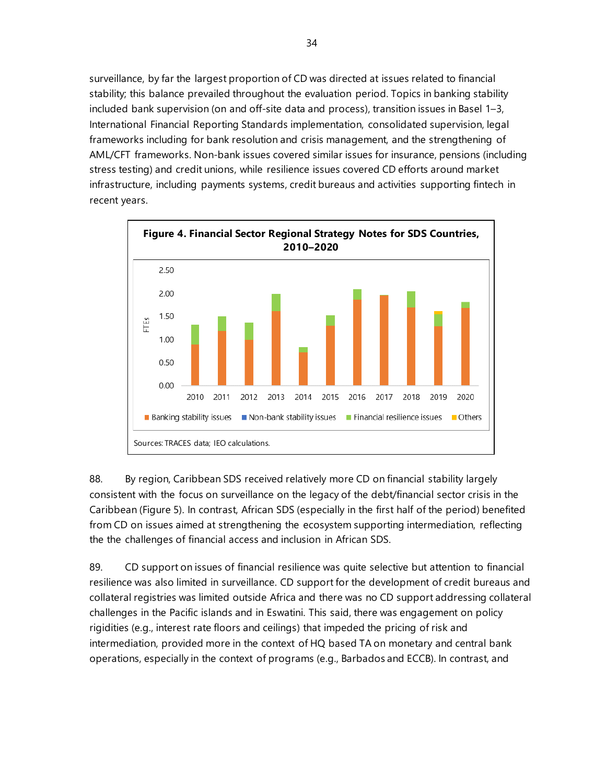surveillance, by far the largest proportion of CD was directed at issues related to financial stability; this balance prevailed throughout the evaluation period. Topics in banking stability included bank supervision (on and off-site data and process), transition issues in Basel 1–3, International Financial Reporting Standards implementation, consolidated supervision, legal frameworks including for bank resolution and crisis management, and the strengthening of AML/CFT frameworks. Non-bank issues covered similar issues for insurance, pensions (including stress testing) and credit unions, while resilience issues covered CD efforts around market infrastructure, including payments systems, credit bureaus and activities supporting fintech in recent years.



88. By region, Caribbean SDS received relatively more CD on financial stability largely consistent with the focus on surveillance on the legacy of the debt/financial sector crisis in the Caribbean (Figure 5). In contrast, African SDS (especially in the first half of the period) benefited from CD on issues aimed at strengthening the ecosystem supporting intermediation, reflecting the the challenges of financial access and inclusion in African SDS.

89. CD support on issues of financial resilience was quite selective but attention to financial resilience was also limited in surveillance. CD support for the development of credit bureaus and collateral registries was limited outside Africa and there was no CD support addressing collateral challenges in the Pacific islands and in Eswatini. This said, there was engagement on policy rigidities (e.g., interest rate floors and ceilings) that impeded the pricing of risk and intermediation, provided more in the context of HQ based TA on monetary and central bank operations, especially in the context of programs (e.g., Barbados and ECCB). In contrast, and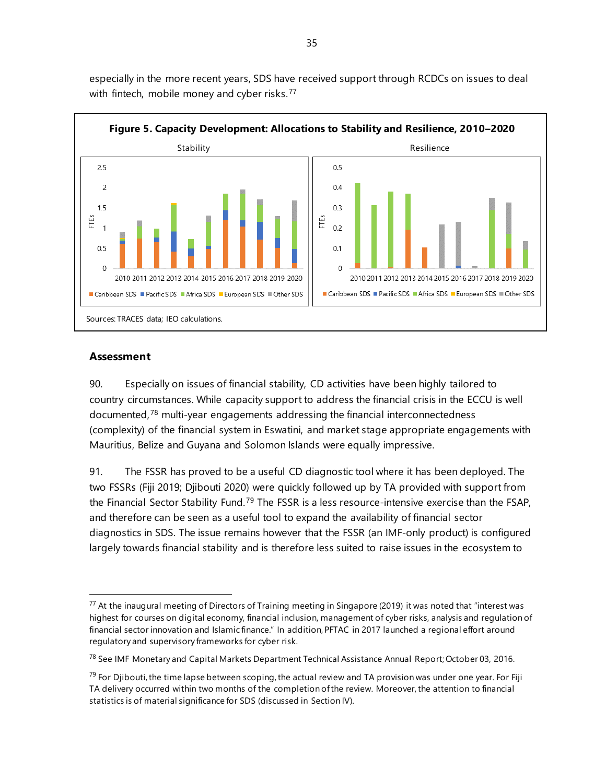

especially in the more recent years, SDS have received support through RCDCs on issues to deal with fintech, mobile money and cyber risks.<sup>[77](#page-40-0)</sup>

#### **Assessment**

90. Especially on issues of financial stability, CD activities have been highly tailored to country circumstances. While capacity support to address the financial crisis in the ECCU is well documented,<sup>[78](#page-40-1)</sup> multi-year engagements addressing the financial interconnectedness (complexity) of the financial system in Eswatini, and market stage appropriate engagements with Mauritius, Belize and Guyana and Solomon Islands were equally impressive.

91. The FSSR has proved to be a useful CD diagnostic tool where it has been deployed. The two FSSRs (Fiji 2019; Djibouti 2020) were quickly followed up by TA provided with support from the Financial Sector Stability Fund.<sup>[79](#page-40-2)</sup> The FSSR is a less resource-intensive exercise than the FSAP, and therefore can be seen as a useful tool to expand the availability of financial sector diagnostics in SDS. The issue remains however that the FSSR (an IMF-only product) is configured largely towards financial stability and is therefore less suited to raise issues in the ecosystem to

<span id="page-40-0"></span> $77$  At the inaugural meeting of Directors of Training meeting in Singapore (2019) it was noted that "interest was highest for courses on digital economy, financial inclusion, management of cyber risks, analysis and regulation of financial sector innovation and Islamic finance." In addition, PFTAC in 2017 launched a regional effort around regulatory and supervisory frameworks for cyber risk.

<sup>78</sup> Se[e IMF Monetary and Capital Markets Department Technical Assistance Annual Report; October 03, 2016.](https://www.imf.org/-/media/Files/Publications/technical-assistance-annual-report/taar2016.ashx)

<span id="page-40-2"></span><span id="page-40-1"></span> $^{79}$  For Djibouti, the time lapse between scoping, the actual review and TA provision was under one year. For Fiji TA delivery occurred within two months of the completion of the review. Moreover, the attention to financial statistics is of material significance for SDS (discussed in Section IV).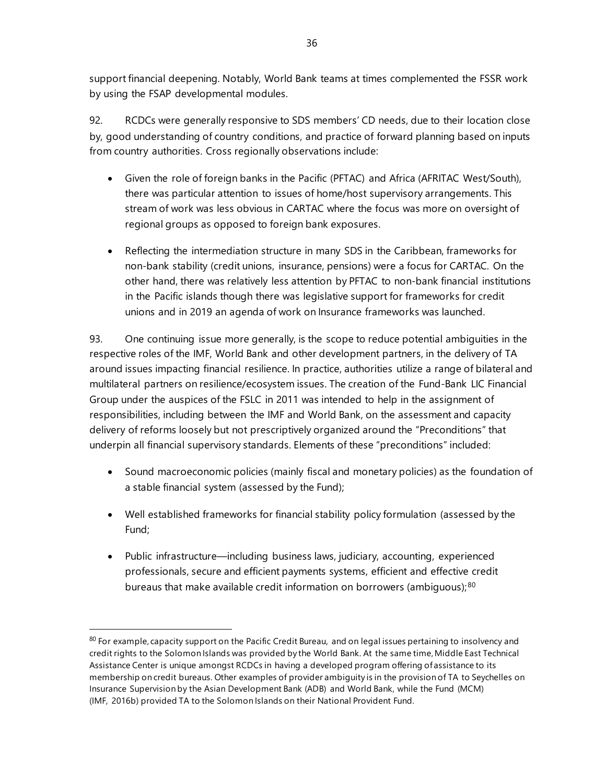support financial deepening. Notably, World Bank teams at times complemented the FSSR work by using the FSAP developmental modules.

92. RCDCs were generally responsive to SDS members' CD needs, due to their location close by, good understanding of country conditions, and practice of forward planning based on inputs from country authorities. Cross regionally observations include:

- Given the role of foreign banks in the Pacific (PFTAC) and Africa (AFRITAC West/South), there was particular attention to issues of home/host supervisory arrangements. This stream of work was less obvious in CARTAC where the focus was more on oversight of regional groups as opposed to foreign bank exposures.
- Reflecting the intermediation structure in many SDS in the Caribbean, frameworks for non-bank stability (credit unions, insurance, pensions) were a focus for CARTAC. On the other hand, there was relatively less attention by PFTAC to non-bank financial institutions in the Pacific islands though there was legislative support for frameworks for credit unions and in 2019 an agenda of work on Insurance frameworks was launched.

93. One continuing issue more generally, is the scope to reduce potential ambiguities in the respective roles of the IMF, World Bank and other development partners, in the delivery of TA around issues impacting financial resilience. In practice, authorities utilize a range of bilateral and multilateral partners on resilience/ecosystem issues. The creation of the Fund-Bank LIC Financial Group under the auspices of the FSLC in 2011 was intended to help in the assignment of responsibilities, including between the IMF and World Bank, on the assessment and capacity delivery of reforms loosely but not prescriptively organized around the "Preconditions" that underpin all financial supervisory standards. Elements of these "preconditions" included:

- Sound macroeconomic policies (mainly fiscal and monetary policies) as the foundation of a stable financial system (assessed by the Fund);
- Well established frameworks for financial stability policy formulation (assessed by the Fund;
- Public infrastructure—including business laws, judiciary, accounting, experienced professionals, secure and efficient payments systems, efficient and effective credit bureaus that make available credit information on borrowers (ambiguous);<sup>[80](#page-41-0)</sup>

<span id="page-41-0"></span><sup>&</sup>lt;sup>80</sup> For example, capacity support on the Pacific Credit Bureau, and on legal issues pertaining to insolvency and credit rights to the Solomon Islands was provided by the World Bank. At the same time, Middle East Technical Assistance Center is unique amongst RCDCs in having a developed program offering of assistance to its membership on credit bureaus. Other examples of provider ambiguity is in the provision of TA to Seychelles on Insurance Supervision by the Asian Development Bank (ADB) and World Bank, while the Fund (MCM) (IMF, 2016b) provided TA to the Solomon Islands on their National Provident Fund.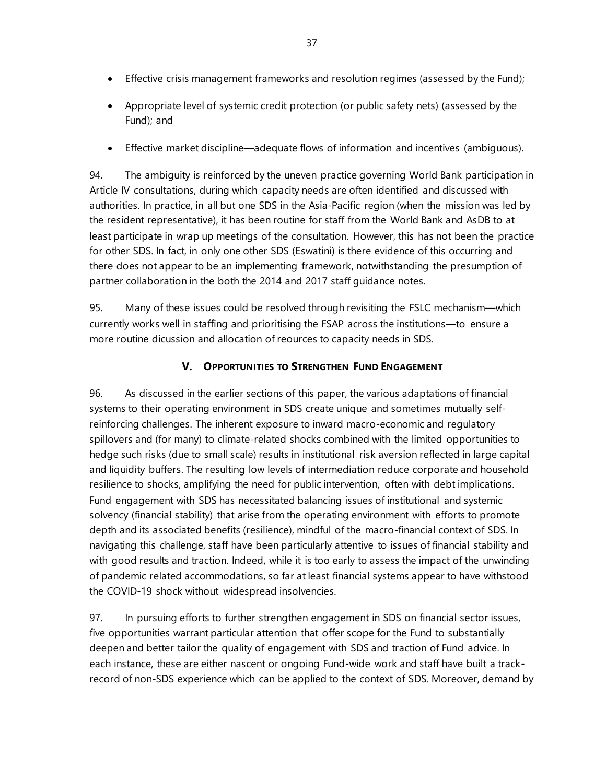- Effective crisis management frameworks and resolution regimes (assessed by the Fund);
- Appropriate level of systemic credit protection (or public safety nets) (assessed by the Fund); and
- Effective market discipline—adequate flows of information and incentives (ambiguous).

94. The ambiguity is reinforced by the uneven practice governing World Bank participation in Article IV consultations, during which capacity needs are often identified and discussed with authorities. In practice, in all but one SDS in the Asia-Pacific region (when the mission was led by the resident representative), it has been routine for staff from the World Bank and AsDB to at least participate in wrap up meetings of the consultation. However, this has not been the practice for other SDS. In fact, in only one other SDS (Eswatini) is there evidence of this occurring and there does not appear to be an implementing framework, notwithstanding the presumption of partner collaboration in the both the 2014 and 2017 staff guidance notes.

95. Many of these issues could be resolved through revisiting the FSLC mechanism—which currently works well in staffing and prioritising the FSAP across the institutions—to ensure a more routine dicussion and allocation of reources to capacity needs in SDS.

### **V. OPPORTUNITIES TO STRENGTHEN FUND ENGAGEMENT**

96. As discussed in the earlier sections of this paper, the various adaptations of financial systems to their operating environment in SDS create unique and sometimes mutually selfreinforcing challenges. The inherent exposure to inward macro-economic and regulatory spillovers and (for many) to climate-related shocks combined with the limited opportunities to hedge such risks (due to small scale) results in institutional risk aversion reflected in large capital and liquidity buffers. The resulting low levels of intermediation reduce corporate and household resilience to shocks, amplifying the need for public intervention, often with debt implications. Fund engagement with SDS has necessitated balancing issues of institutional and systemic solvency (financial stability) that arise from the operating environment with efforts to promote depth and its associated benefits (resilience), mindful of the macro-financial context of SDS. In navigating this challenge, staff have been particularly attentive to issues of financial stability and with good results and traction. Indeed, while it is too early to assess the impact of the unwinding of pandemic related accommodations, so far at least financial systems appear to have withstood the COVID-19 shock without widespread insolvencies.

97. In pursuing efforts to further strengthen engagement in SDS on financial sector issues, five opportunities warrant particular attention that offer scope for the Fund to substantially deepen and better tailor the quality of engagement with SDS and traction of Fund advice. In each instance, these are either nascent or ongoing Fund-wide work and staff have built a trackrecord of non-SDS experience which can be applied to the context of SDS. Moreover, demand by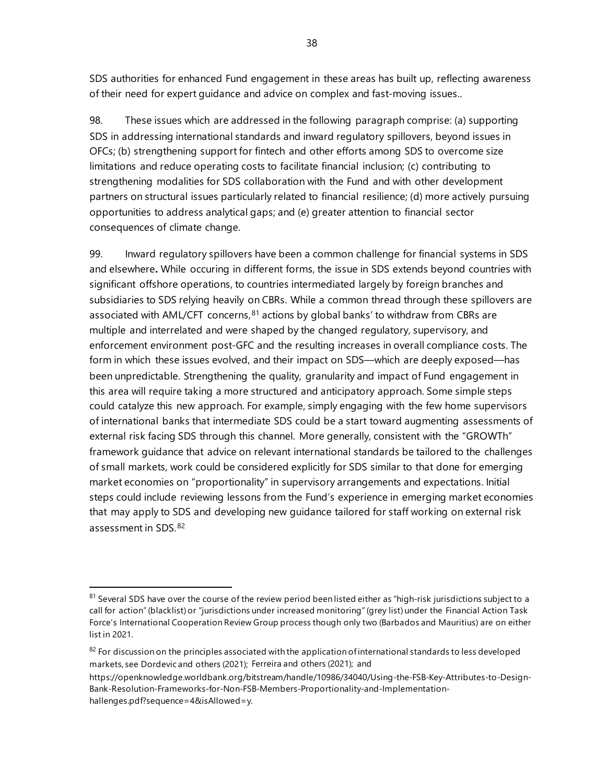SDS authorities for enhanced Fund engagement in these areas has built up, reflecting awareness of their need for expert guidance and advice on complex and fast-moving issues..

98. These issues which are addressed in the following paragraph comprise: (a) supporting SDS in addressing international standards and inward regulatory spillovers, beyond issues in OFCs; (b) strengthening support for fintech and other efforts among SDS to overcome size limitations and reduce operating costs to facilitate financial inclusion; (c) contributing to strengthening modalities for SDS collaboration with the Fund and with other development partners on structural issues particularly related to financial resilience; (d) more actively pursuing opportunities to address analytical gaps; and (e) greater attention to financial sector consequences of climate change.

99. Inward regulatory spillovers have been a common challenge for financial systems in SDS and elsewhere**.** While occuring in different forms, the issue in SDS extends beyond countries with significant offshore operations, to countries intermediated largely by foreign branches and subsidiaries to SDS relying heavily on CBRs. While a common thread through these spillovers are associated with AML/CFT concerns,<sup>[81](#page-43-0)</sup> actions by global banks' to withdraw from CBRs are multiple and interrelated and were shaped by the changed regulatory, supervisory, and enforcement environment post-GFC and the resulting increases in overall compliance costs. The form in which these issues evolved, and their impact on SDS—which are deeply exposed—has been unpredictable. Strengthening the quality, granularity and impact of Fund engagement in this area will require taking a more structured and anticipatory approach. Some simple steps could catalyze this new approach. For example, simply engaging with the few home supervisors of international banks that intermediate SDS could be a start toward augmenting assessments of external risk facing SDS through this channel. More generally, consistent with the "GROWTh" framework guidance that advice on relevant international standards be tailored to the challenges of small markets, work could be considered explicitly for SDS similar to that done for emerging market economies on "proportionality" in supervisory arrangements and expectations. Initial steps could include reviewing lessons from the Fund's experience in emerging market economies that may apply to SDS and developing new guidance tailored for staff working on external risk assessment in SDS.[82](#page-43-1)

<span id="page-43-0"></span><sup>81</sup> Several SDS have over the course of the review period been listed either as "high-risk jurisdictions subject to a call for action" (blacklist) or "jurisdictions under increased monitoring" (grey list) under the Financial Action Task Force's International Cooperation Review Group process though only two (Barbados and Mauritius) are on either list in 2021.

<span id="page-43-1"></span> $82$  For discussion on the principles associated with the application of international standards to less developed markets, see Dordevic and others (2021); Ferreira and others (2021); and

[https://openknowledge.worldbank.org/bitstream/handle/10986/34040/Using-the-FSB-Key-Attributes-to-Design-](https://openknowledge.worldbank.org/bitstream/handle/10986/34040/Using-the-FSB-Key-Attributes-to-Design-Bank-Resolution-Frameworks-for-Non-FSB-Members-Proportionality-and-Implementation-hallenges.pdf?sequence=4&isAllowed=y)[Bank-Resolution-Frameworks-for-Non-FSB-Members-Proportionality-and-Implementation](https://openknowledge.worldbank.org/bitstream/handle/10986/34040/Using-the-FSB-Key-Attributes-to-Design-Bank-Resolution-Frameworks-for-Non-FSB-Members-Proportionality-and-Implementation-hallenges.pdf?sequence=4&isAllowed=y)[hallenges.pdf?sequence=4&isAllowed=y.](https://openknowledge.worldbank.org/bitstream/handle/10986/34040/Using-the-FSB-Key-Attributes-to-Design-Bank-Resolution-Frameworks-for-Non-FSB-Members-Proportionality-and-Implementation-hallenges.pdf?sequence=4&isAllowed=y)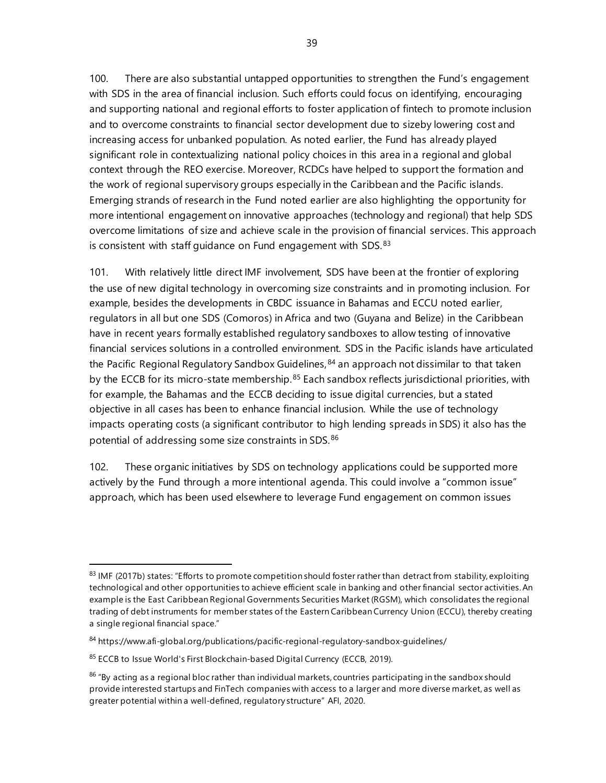100. There are also substantial untapped opportunities to strengthen the Fund's engagement with SDS in the area of financial inclusion. Such efforts could focus on identifying, encouraging and supporting national and regional efforts to foster application of fintech to promote inclusion and to overcome constraints to financial sector development due to sizeby lowering cost and increasing access for unbanked population. As noted earlier, the Fund has already played significant role in contextualizing national policy choices in this area in a regional and global context through the REO exercise. Moreover, RCDCs have helped to support the formation and the work of regional supervisory groups especially in the Caribbean and the Pacific islands. Emerging strands of research in the Fund noted earlier are also highlighting the opportunity for more intentional engagement on innovative approaches (technology and regional) that help SDS overcome limitations of size and achieve scale in the provision of financial services. This approach is consistent with staff guidance on Fund engagement with SDS. [83](#page-44-0)

101. With relatively little direct IMF involvement, SDS have been at the frontier of exploring the use of new digital technology in overcoming size constraints and in promoting inclusion. For example, besides the developments in CBDC issuance in Bahamas and ECCU noted earlier, regulators in all but one SDS (Comoros) in Africa and two (Guyana and Belize) in the Caribbean have in recent years formally established regulatory sandboxes to allow testing of innovative financial services solutions in a controlled environment. SDS in the Pacific islands have articulated the Pacific Regional Regulatory Sandbox Guidelines,  $84$  an approach not dissimilar to that taken by the ECCB for its micro-state membership.<sup>[85](#page-44-2)</sup> Each sandbox reflects jurisdictional priorities, with for example, the Bahamas and the ECCB deciding to issue digital currencies, but a stated objective in all cases has been to enhance financial inclusion. While the use of technology impacts operating costs (a significant contributor to high lending spreads in SDS) it also has the potential of addressing some size constraints in SDS.<sup>[86](#page-44-3)</sup>

102. These organic initiatives by SDS on technology applications could be supported more actively by the Fund through a more intentional agenda. This could involve a "common issue" approach, which has been used elsewhere to leverage Fund engagement on common issues

<span id="page-44-0"></span><sup>83</sup> IMF (2017b) states: "Efforts to promote competition should foster rather than detract from stability, exploiting technological and other opportunities to achieve efficient scale in banking and other financial sector activities. An example is the East Caribbean Regional Governments Securities Market (RGSM), which consolidates the regional trading of debt instruments for member states of the Eastern Caribbean Currency Union (ECCU), thereby creating a single regional financial space."

<span id="page-44-1"></span><sup>84</sup> <https://www.afi-global.org/publications/pacific-regional-regulatory-sandbox-guidelines/>

<span id="page-44-2"></span><sup>85</sup> [ECCB to Issue World's First Blockchain-based Digital Currency](https://www.eccb-centralbank.org/news/view/eccb-to-issue-worldas-first-blockchain-based-digital-currency) (ECCB, 2019).

<span id="page-44-3"></span> $86$  "By acting as a regional bloc rather than individual markets, countries participating in the sandbox should provide interested startups and FinTech companies with access to a larger and more diverse market, as well as greater potential within a well-defined, regulatory structure" AFI, 2020.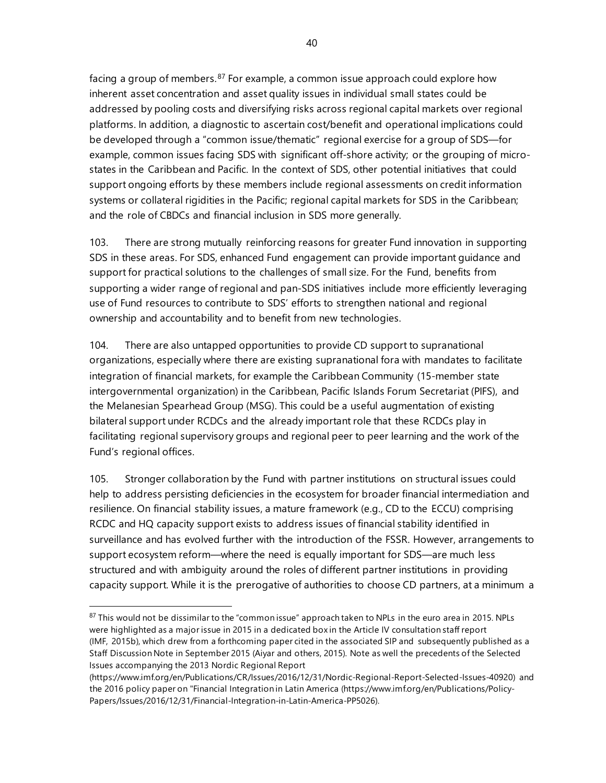facing a group of members.<sup>[87](#page-45-0)</sup> For example, a common issue approach could explore how inherent asset concentration and asset quality issues in individual small states could be addressed by pooling costs and diversifying risks across regional capital markets over regional platforms. In addition, a diagnostic to ascertain cost/benefit and operational implications could be developed through a "common issue/thematic" regional exercise for a group of SDS—for example, common issues facing SDS with significant off-shore activity; or the grouping of microstates in the Caribbean and Pacific. In the context of SDS, other potential initiatives that could support ongoing efforts by these members include regional assessments on credit information systems or collateral rigidities in the Pacific; regional capital markets for SDS in the Caribbean; and the role of CBDCs and financial inclusion in SDS more generally.

103. There are strong mutually reinforcing reasons for greater Fund innovation in supporting SDS in these areas. For SDS, enhanced Fund engagement can provide important guidance and support for practical solutions to the challenges of small size. For the Fund, benefits from supporting a wider range of regional and pan-SDS initiatives include more efficiently leveraging use of Fund resources to contribute to SDS' efforts to strengthen national and regional ownership and accountability and to benefit from new technologies.

104. There are also untapped opportunities to provide CD support to supranational organizations, especially where there are existing supranational fora with mandates to facilitate integration of financial markets, for example the Caribbean Community (15-member state intergovernmental organization) in the Caribbean, Pacific Islands Forum Secretariat (PIFS), and the Melanesian Spearhead Group (MSG). This could be a useful augmentation of existing bilateral support under RCDCs and the already important role that these RCDCs play in facilitating regional supervisory groups and regional peer to peer learning and the work of the Fund's regional offices.

105. Stronger collaboration by the Fund with partner institutions on structural issues could help to address persisting deficiencies in the ecosystem for broader financial intermediation and resilience. On financial stability issues, a mature framework (e.g., CD to the ECCU) comprising RCDC and HQ capacity support exists to address issues of financial stability identified in surveillance and has evolved further with the introduction of the FSSR. However, arrangements to support ecosystem reform—where the need is equally important for SDS—are much less structured and with ambiguity around the roles of different partner institutions in providing capacity support. While it is the prerogative of authorities to choose CD partners, at a minimum a

<span id="page-45-0"></span><sup>&</sup>lt;sup>87</sup> This would not be dissimilar to the "common issue" approach taken to NPLs in the euro area in 2015. NPLs were highlighted as a major issue in 2015 in a dedicated box in the Article IV consultation staff report (IMF, 2015b), which drew from a forthcoming paper cited in the associated SIP and subsequently published as a Staff Discussion Note in September 2015 (Aiyar and others, 2015). Note as well the precedents of the Selected Issues accompanying the 2013 Nordic Regional Report

[<sup>\(</sup>https://www.imf.org/en/Publications/CR/Issues/2016/12/31/Nordic-Regional-Report-Selected-Issues-40920\)](https://www.imf.org/en/Publications/CR/Issues/2016/12/31/Nordic-Regional-Report-Selected-Issues-40920) and the 2016 policy paper on "Financial Integration in Latin America [\(https://www.imf.org/en/Publications/Policy-](https://www.imf.org/en/Publications/Policy-Papers/Issues/2016/12/31/Financial-Integration-in-Latin-America-PP5026)[Papers/Issues/2016/12/31/Financial-Integration-in-Latin-America-PP5026\).](https://www.imf.org/en/Publications/Policy-Papers/Issues/2016/12/31/Financial-Integration-in-Latin-America-PP5026)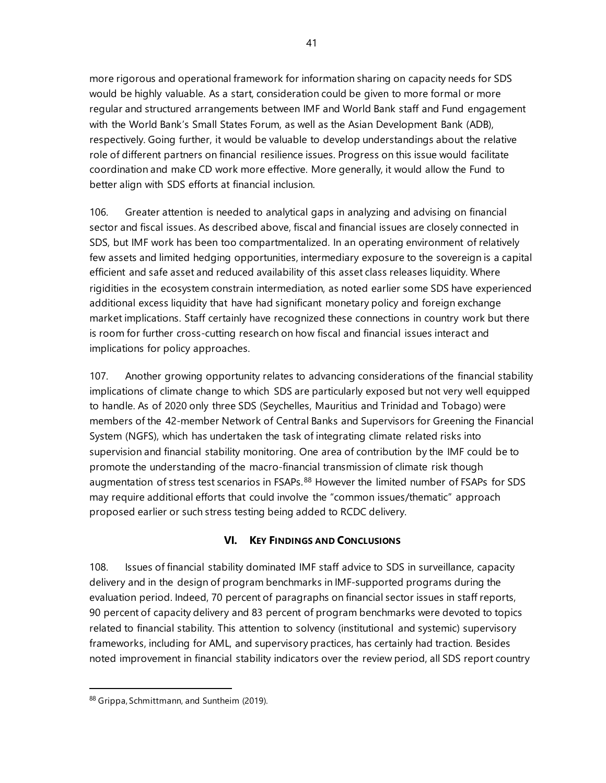more rigorous and operational framework for information sharing on capacity needs for SDS would be highly valuable. As a start, consideration could be given to more formal or more regular and structured arrangements between IMF and World Bank staff and Fund engagement with the World Bank's Small States Forum, as well as the Asian Development Bank (ADB), respectively. Going further, it would be valuable to develop understandings about the relative role of different partners on financial resilience issues. Progress on this issue would facilitate coordination and make CD work more effective. More generally, it would allow the Fund to better align with SDS efforts at financial inclusion.

106. Greater attention is needed to analytical gaps in analyzing and advising on financial sector and fiscal issues. As described above, fiscal and financial issues are closely connected in SDS, but IMF work has been too compartmentalized. In an operating environment of relatively few assets and limited hedging opportunities, intermediary exposure to the sovereign is a capital efficient and safe asset and reduced availability of this asset class releases liquidity. Where rigidities in the ecosystem constrain intermediation, as noted earlier some SDS have experienced additional excess liquidity that have had significant monetary policy and foreign exchange market implications. Staff certainly have recognized these connections in country work but there is room for further cross-cutting research on how fiscal and financial issues interact and implications for policy approaches.

107. Another growing opportunity relates to advancing considerations of the financial stability implications of climate change to which SDS are particularly exposed but not very well equipped to handle. As of 2020 only three SDS (Seychelles, Mauritius and Trinidad and Tobago) were members of the 42-member Network of Central Banks and Supervisors for Greening the Financial System (NGFS), which has undertaken the task of integrating climate related risks into supervision and financial stability monitoring. One area of contribution by the IMF could be to promote the understanding of the macro-financial transmission of climate risk though augmentation of stress test scenarios in FSAPs.<sup>[88](#page-46-0)</sup> However the limited number of FSAPs for SDS may require additional efforts that could involve the "common issues/thematic" approach proposed earlier or such stress testing being added to RCDC delivery.

# **VI. KEY FINDINGS AND CONCLUSIONS**

108. Issues of financial stability dominated IMF staff advice to SDS in surveillance, capacity delivery and in the design of program benchmarks in IMF-supported programs during the evaluation period. Indeed, 70 percent of paragraphs on financial sector issues in staff reports, 90 percent of capacity delivery and 83 percent of program benchmarks were devoted to topics related to financial stability. This attention to solvency (institutional and systemic) supervisory frameworks, including for AML, and supervisory practices, has certainly had traction. Besides noted improvement in financial stability indicators over the review period, all SDS report country

<span id="page-46-0"></span><sup>88</sup> [Grippa,](https://www.imf.org/external/pubs/ft/fandd/2019/12/climate-change-central-banks-and-financial-risk-grippa.htm) Schmittmann, and Suntheim (2019).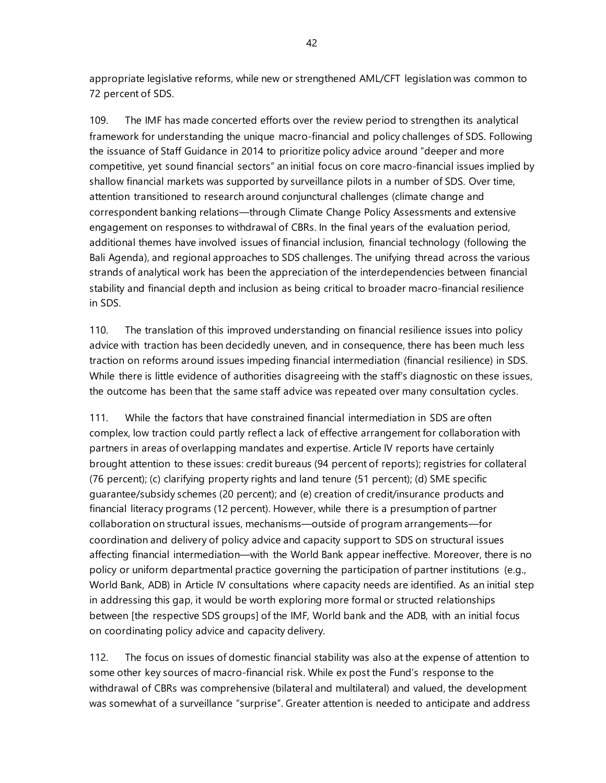appropriate legislative reforms, while new or strengthened AML/CFT legislation was common to 72 percent of SDS.

109. The IMF has made concerted efforts over the review period to strengthen its analytical framework for understanding the unique macro-financial and policy challenges of SDS. Following the issuance of Staff Guidance in 2014 to prioritize policy advice around "deeper and more competitive, yet sound financial sectors" an initial focus on core macro-financial issues implied by shallow financial markets was supported by surveillance pilots in a number of SDS. Over time, attention transitioned to research around conjunctural challenges (climate change and correspondent banking relations—through Climate Change Policy Assessments and extensive engagement on responses to withdrawal of CBRs. In the final years of the evaluation period, additional themes have involved issues of financial inclusion, financial technology (following the Bali Agenda), and regional approaches to SDS challenges. The unifying thread across the various strands of analytical work has been the appreciation of the interdependencies between financial stability and financial depth and inclusion as being critical to broader macro-financial resilience in SDS.

110. The translation of this improved understanding on financial resilience issues into policy advice with traction has been decidedly uneven, and in consequence, there has been much less traction on reforms around issues impeding financial intermediation (financial resilience) in SDS. While there is little evidence of authorities disagreeing with the staff's diagnostic on these issues, the outcome has been that the same staff advice was repeated over many consultation cycles.

111. While the factors that have constrained financial intermediation in SDS are often complex, low traction could partly reflect a lack of effective arrangement for collaboration with partners in areas of overlapping mandates and expertise. Article IV reports have certainly brought attention to these issues: credit bureaus (94 percent of reports); registries for collateral (76 percent); (c) clarifying property rights and land tenure (51 percent); (d) SME specific guarantee/subsidy schemes (20 percent); and (e) creation of credit/insurance products and financial literacy programs (12 percent). However, while there is a presumption of partner collaboration on structural issues, mechanisms—outside of program arrangements—for coordination and delivery of policy advice and capacity support to SDS on structural issues affecting financial intermediation—with the World Bank appear ineffective. Moreover, there is no policy or uniform departmental practice governing the participation of partner institutions (e.g., World Bank, ADB) in Article IV consultations where capacity needs are identified. As an initial step in addressing this gap, it would be worth exploring more formal or structed relationships between [the respective SDS groups] of the IMF, World bank and the ADB, with an initial focus on coordinating policy advice and capacity delivery.

112. The focus on issues of domestic financial stability was also at the expense of attention to some other key sources of macro-financial risk. While ex post the Fund's response to the withdrawal of CBRs was comprehensive (bilateral and multilateral) and valued, the development was somewhat of a surveillance "surprise". Greater attention is needed to anticipate and address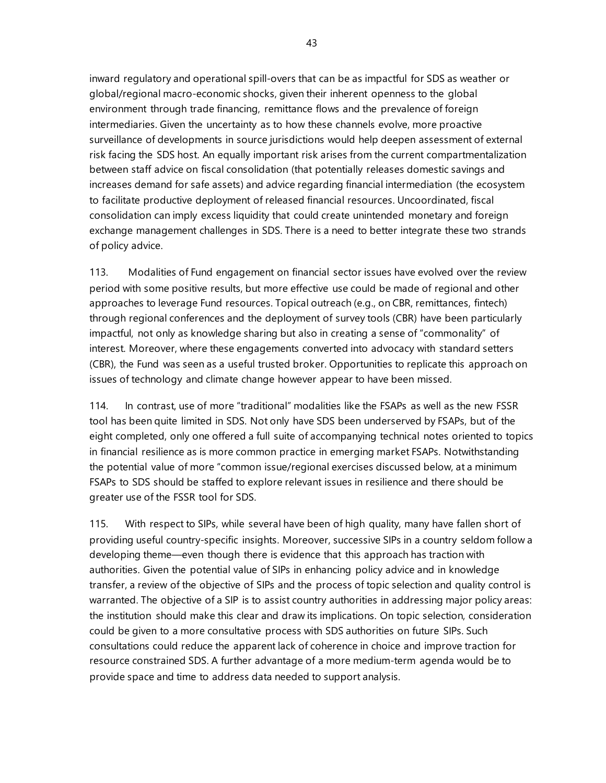inward regulatory and operational spill-overs that can be as impactful for SDS as weather or global/regional macro-economic shocks, given their inherent openness to the global environment through trade financing, remittance flows and the prevalence of foreign intermediaries. Given the uncertainty as to how these channels evolve, more proactive surveillance of developments in source jurisdictions would help deepen assessment of external risk facing the SDS host. An equally important risk arises from the current compartmentalization between staff advice on fiscal consolidation (that potentially releases domestic savings and increases demand for safe assets) and advice regarding financial intermediation (the ecosystem to facilitate productive deployment of released financial resources. Uncoordinated, fiscal consolidation can imply excess liquidity that could create unintended monetary and foreign exchange management challenges in SDS. There is a need to better integrate these two strands of policy advice.

113. Modalities of Fund engagement on financial sector issues have evolved over the review period with some positive results, but more effective use could be made of regional and other approaches to leverage Fund resources. Topical outreach (e.g., on CBR, remittances, fintech) through regional conferences and the deployment of survey tools (CBR) have been particularly impactful, not only as knowledge sharing but also in creating a sense of "commonality" of interest. Moreover, where these engagements converted into advocacy with standard setters (CBR), the Fund was seen as a useful trusted broker. Opportunities to replicate this approach on issues of technology and climate change however appear to have been missed.

114. In contrast, use of more "traditional" modalities like the FSAPs as well as the new FSSR tool has been quite limited in SDS. Not only have SDS been underserved by FSAPs, but of the eight completed, only one offered a full suite of accompanying technical notes oriented to topics in financial resilience as is more common practice in emerging market FSAPs. Notwithstanding the potential value of more "common issue/regional exercises discussed below, at a minimum FSAPs to SDS should be staffed to explore relevant issues in resilience and there should be greater use of the FSSR tool for SDS.

115. With respect to SIPs, while several have been of high quality, many have fallen short of providing useful country-specific insights. Moreover, successive SIPs in a country seldom follow a developing theme—even though there is evidence that this approach has traction with authorities. Given the potential value of SIPs in enhancing policy advice and in knowledge transfer, a review of the objective of SIPs and the process of topic selection and quality control is warranted. The objective of a SIP is to assist country authorities in addressing major policy areas: the institution should make this clear and draw its implications. On topic selection, consideration could be given to a more consultative process with SDS authorities on future SIPs. Such consultations could reduce the apparent lack of coherence in choice and improve traction for resource constrained SDS. A further advantage of a more medium-term agenda would be to provide space and time to address data needed to support analysis.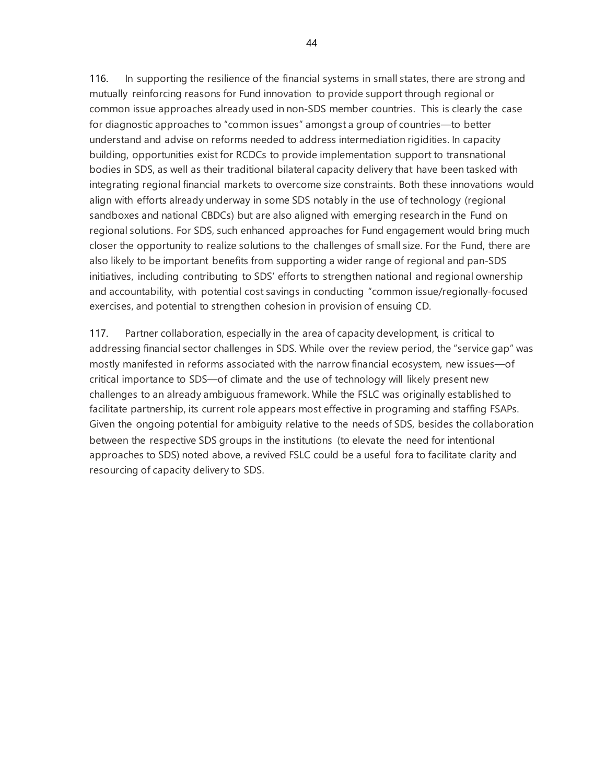116. In supporting the resilience of the financial systems in small states, there are strong and mutually reinforcing reasons for Fund innovation to provide support through regional or common issue approaches already used in non-SDS member countries. This is clearly the case for diagnostic approaches to "common issues" amongst a group of countries—to better understand and advise on reforms needed to address intermediation rigidities. In capacity building, opportunities exist for RCDCs to provide implementation support to transnational bodies in SDS, as well as their traditional bilateral capacity delivery that have been tasked with integrating regional financial markets to overcome size constraints. Both these innovations would align with efforts already underway in some SDS notably in the use of technology (regional sandboxes and national CBDCs) but are also aligned with emerging research in the Fund on regional solutions. For SDS, such enhanced approaches for Fund engagement would bring much closer the opportunity to realize solutions to the challenges of small size. For the Fund, there are also likely to be important benefits from supporting a wider range of regional and pan-SDS initiatives, including contributing to SDS' efforts to strengthen national and regional ownership and accountability, with potential cost savings in conducting "common issue/regionally-focused exercises, and potential to strengthen cohesion in provision of ensuing CD.

117. Partner collaboration, especially in the area of capacity development, is critical to addressing financial sector challenges in SDS. While over the review period, the "service gap" was mostly manifested in reforms associated with the narrow financial ecosystem, new issues—of critical importance to SDS—of climate and the use of technology will likely present new challenges to an already ambiguous framework. While the FSLC was originally established to facilitate partnership, its current role appears most effective in programing and staffing FSAPs. Given the ongoing potential for ambiguity relative to the needs of SDS, besides the collaboration between the respective SDS groups in the institutions (to elevate the need for intentional approaches to SDS) noted above, a revived FSLC could be a useful fora to facilitate clarity and resourcing of capacity delivery to SDS.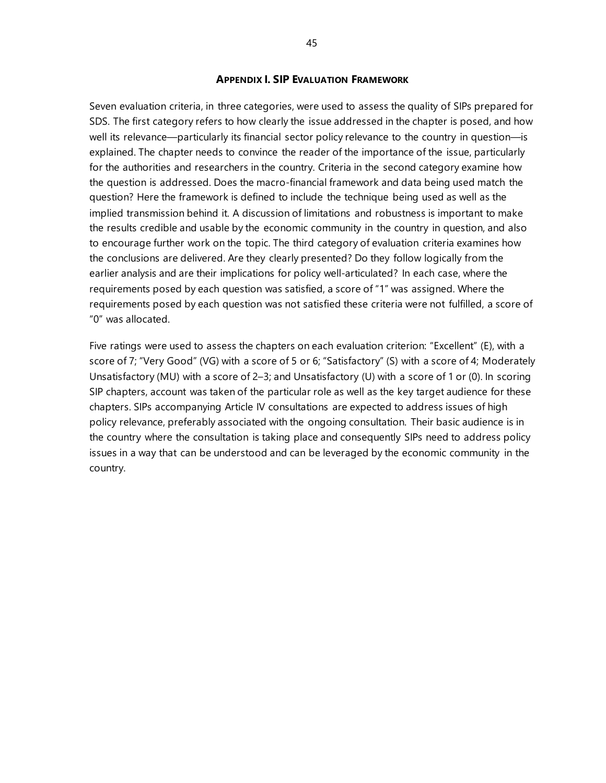#### **APPENDIX I. SIP EVALUATION FRAMEWORK**

Seven evaluation criteria, in three categories, were used to assess the quality of SIPs prepared for SDS. The first category refers to how clearly the issue addressed in the chapter is posed, and how well its relevance—particularly its financial sector policy relevance to the country in question—is explained. The chapter needs to convince the reader of the importance of the issue, particularly for the authorities and researchers in the country. Criteria in the second category examine how the question is addressed. Does the macro-financial framework and data being used match the question? Here the framework is defined to include the technique being used as well as the implied transmission behind it. A discussion of limitations and robustness is important to make the results credible and usable by the economic community in the country in question, and also to encourage further work on the topic. The third category of evaluation criteria examines how the conclusions are delivered. Are they clearly presented? Do they follow logically from the earlier analysis and are their implications for policy well-articulated? In each case, where the requirements posed by each question was satisfied, a score of "1" was assigned. Where the requirements posed by each question was not satisfied these criteria were not fulfilled, a score of "0" was allocated.

Five ratings were used to assess the chapters on each evaluation criterion: "Excellent" (E), with a score of 7; "Very Good" (VG) with a score of 5 or 6; "Satisfactory" (S) with a score of 4; Moderately Unsatisfactory (MU) with a score of 2–3; and Unsatisfactory (U) with a score of 1 or (0). In scoring SIP chapters, account was taken of the particular role as well as the key target audience for these chapters. SIPs accompanying Article IV consultations are expected to address issues of high policy relevance, preferably associated with the ongoing consultation. Their basic audience is in the country where the consultation is taking place and consequently SIPs need to address policy issues in a way that can be understood and can be leveraged by the economic community in the country.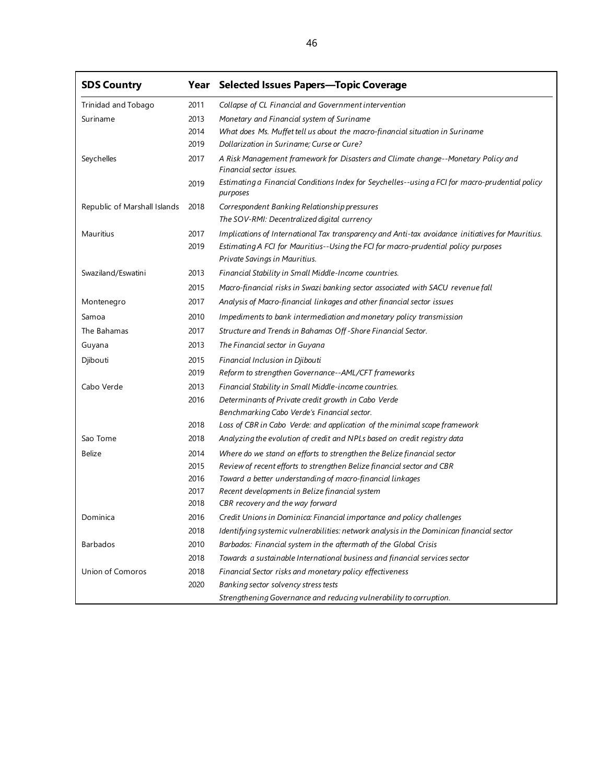| <b>SDS Country</b>                              |                                              | Year Selected Issues Papers-Topic Coverage                                                                                                                                                                                                                                                                                                                                                                                                                                                                                                                                                                                                                                                                                 |
|-------------------------------------------------|----------------------------------------------|----------------------------------------------------------------------------------------------------------------------------------------------------------------------------------------------------------------------------------------------------------------------------------------------------------------------------------------------------------------------------------------------------------------------------------------------------------------------------------------------------------------------------------------------------------------------------------------------------------------------------------------------------------------------------------------------------------------------------|
| Trinidad and Tobago                             | 2011                                         | Collapse of CL Financial and Government intervention                                                                                                                                                                                                                                                                                                                                                                                                                                                                                                                                                                                                                                                                       |
| Suriname                                        | 2013                                         | Monetary and Financial system of Suriname                                                                                                                                                                                                                                                                                                                                                                                                                                                                                                                                                                                                                                                                                  |
|                                                 | 2014                                         | What does Ms. Muffet tell us about the macro-financial situation in Suriname                                                                                                                                                                                                                                                                                                                                                                                                                                                                                                                                                                                                                                               |
|                                                 | 2019                                         | Dollarization in Suriname; Curse or Cure?                                                                                                                                                                                                                                                                                                                                                                                                                                                                                                                                                                                                                                                                                  |
| Seychelles                                      | 2017                                         | A Risk Management framework for Disasters and Climate change--Monetary Policy and<br>Financial sector issues.                                                                                                                                                                                                                                                                                                                                                                                                                                                                                                                                                                                                              |
|                                                 | 2019                                         | Estimating a Financial Conditions Index for Seychelles--using a FCI for macro-prudential policy<br>purposes                                                                                                                                                                                                                                                                                                                                                                                                                                                                                                                                                                                                                |
| Republic of Marshall Islands                    | 2018                                         | Correspondent Banking Relationship pressures<br>The SOV-RMI: Decentralized digital currency                                                                                                                                                                                                                                                                                                                                                                                                                                                                                                                                                                                                                                |
| Mauritius                                       | 2017                                         |                                                                                                                                                                                                                                                                                                                                                                                                                                                                                                                                                                                                                                                                                                                            |
|                                                 | 2019                                         | Estimating A FCI for Mauritius--Using the FCI for macro-prudential policy purposes                                                                                                                                                                                                                                                                                                                                                                                                                                                                                                                                                                                                                                         |
|                                                 |                                              | Private Savings in Mauritius.                                                                                                                                                                                                                                                                                                                                                                                                                                                                                                                                                                                                                                                                                              |
| Swaziland/Eswatini                              | 2013                                         | Financial Stability in Small Middle-Income countries.                                                                                                                                                                                                                                                                                                                                                                                                                                                                                                                                                                                                                                                                      |
|                                                 | 2015                                         | Macro-financial risks in Swazi banking sector associated with SACU revenue fall                                                                                                                                                                                                                                                                                                                                                                                                                                                                                                                                                                                                                                            |
| Montenegro                                      | 2017                                         | Analysis of Macro-financial linkages and other financial sector issues                                                                                                                                                                                                                                                                                                                                                                                                                                                                                                                                                                                                                                                     |
| Samoa                                           | 2010                                         | Impediments to bank intermediation and monetary policy transmission                                                                                                                                                                                                                                                                                                                                                                                                                                                                                                                                                                                                                                                        |
| The Bahamas                                     | 2017                                         | Structure and Trends in Bahamas Off-Shore Financial Sector.                                                                                                                                                                                                                                                                                                                                                                                                                                                                                                                                                                                                                                                                |
| Guyana                                          | 2013                                         | The Financial sector in Guyana                                                                                                                                                                                                                                                                                                                                                                                                                                                                                                                                                                                                                                                                                             |
|                                                 | 2015                                         |                                                                                                                                                                                                                                                                                                                                                                                                                                                                                                                                                                                                                                                                                                                            |
|                                                 | 2019                                         | Reform to strengthen Governance--AML/CFT frameworks                                                                                                                                                                                                                                                                                                                                                                                                                                                                                                                                                                                                                                                                        |
| Cabo Verde                                      | 2013                                         | Financial Stability in Small Middle-income countries.                                                                                                                                                                                                                                                                                                                                                                                                                                                                                                                                                                                                                                                                      |
|                                                 | 2016                                         | Determinants of Private credit growth in Cabo Verde                                                                                                                                                                                                                                                                                                                                                                                                                                                                                                                                                                                                                                                                        |
|                                                 |                                              | Benchmarking Cabo Verde's Financial sector.                                                                                                                                                                                                                                                                                                                                                                                                                                                                                                                                                                                                                                                                                |
|                                                 | 2018                                         | Loss of CBR in Cabo Verde: and application of the minimal scope framework                                                                                                                                                                                                                                                                                                                                                                                                                                                                                                                                                                                                                                                  |
| Sao Tome                                        | 2018                                         | Analyzing the evolution of credit and NPLs based on credit registry data                                                                                                                                                                                                                                                                                                                                                                                                                                                                                                                                                                                                                                                   |
| Belize                                          | 2014                                         | Where do we stand on efforts to strengthen the Belize financial sector                                                                                                                                                                                                                                                                                                                                                                                                                                                                                                                                                                                                                                                     |
|                                                 | 2015                                         | Review of recent efforts to strengthen Belize financial sector and CBR                                                                                                                                                                                                                                                                                                                                                                                                                                                                                                                                                                                                                                                     |
|                                                 | 2016                                         | Toward a better understanding of macro-financial linkages                                                                                                                                                                                                                                                                                                                                                                                                                                                                                                                                                                                                                                                                  |
|                                                 | 2017                                         |                                                                                                                                                                                                                                                                                                                                                                                                                                                                                                                                                                                                                                                                                                                            |
|                                                 |                                              |                                                                                                                                                                                                                                                                                                                                                                                                                                                                                                                                                                                                                                                                                                                            |
| Dominica                                        |                                              |                                                                                                                                                                                                                                                                                                                                                                                                                                                                                                                                                                                                                                                                                                                            |
|                                                 |                                              |                                                                                                                                                                                                                                                                                                                                                                                                                                                                                                                                                                                                                                                                                                                            |
|                                                 |                                              |                                                                                                                                                                                                                                                                                                                                                                                                                                                                                                                                                                                                                                                                                                                            |
|                                                 | 2018                                         |                                                                                                                                                                                                                                                                                                                                                                                                                                                                                                                                                                                                                                                                                                                            |
|                                                 |                                              |                                                                                                                                                                                                                                                                                                                                                                                                                                                                                                                                                                                                                                                                                                                            |
|                                                 |                                              |                                                                                                                                                                                                                                                                                                                                                                                                                                                                                                                                                                                                                                                                                                                            |
| Djibouti<br><b>Barbados</b><br>Union of Comoros | 2018<br>2016<br>2018<br>2010<br>2018<br>2020 | Implications of International Tax transparency and Anti-tax avoidance initiatives for Mauritius.<br>Financial Inclusion in Djibouti<br>Recent developments in Belize financial system<br>CBR recovery and the way forward<br>Credit Unions in Dominica: Financial importance and policy challenges<br>Identifying systemic vulnerabilities: network analysis in the Dominican financial sector<br>Barbados: Financial system in the aftermath of the Global Crisis<br>Towards a sustainable International business and financial services sector<br>Financial Sector risks and monetary policy effectiveness<br>Banking sector solvency stress tests<br>Strengthening Governance and reducing vulnerability to corruption. |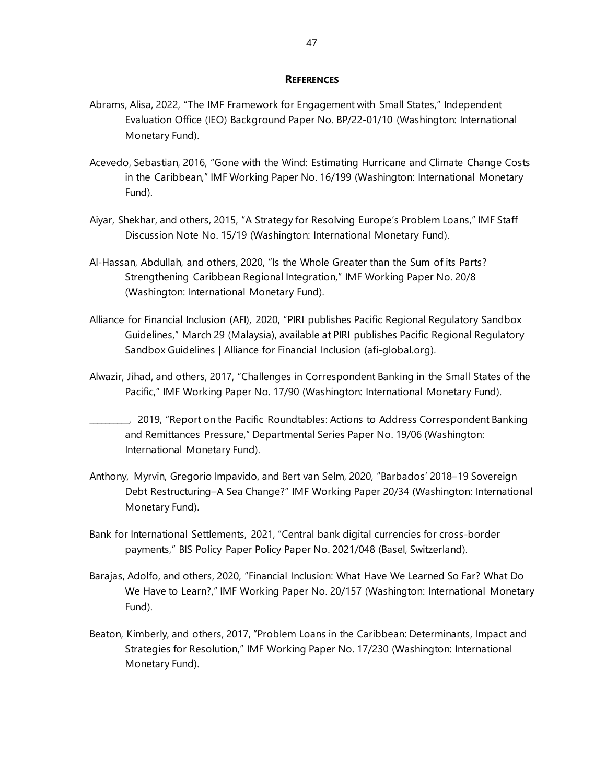#### **REFERENCES**

- Abrams, Alisa, 2022, "The IMF Framework for Engagement with Small States," Independent Evaluation Office (IEO) Background Paper No. BP/22-01/10 (Washington: International Monetary Fund).
- Acevedo, Sebastian, 2016, "Gone with the Wind: Estimating Hurricane and Climate Change Costs in the Caribbean," IMF Working Paper No. 16/199 (Washington: International Monetary Fund).
- Aiyar, Shekhar, and others, 2015, "A Strategy for Resolving Europe's Problem Loans," IMF Staff Discussion Note No. 15/19 (Washington: International Monetary Fund).
- Al-Hassan, Abdullah, and others, 2020, "Is the Whole Greater than the Sum of its Parts? Strengthening Caribbean Regional Integration," IMF Working Paper No. 20/8 (Washington: International Monetary Fund).
- Alliance for Financial Inclusion (AFI), 2020, "PIRI publishes Pacific Regional Regulatory Sandbox Guidelines," March 29 (Malaysia), available a[t PIRI publishes Pacific Regional Regulatory](https://www.afi-global.org/newsroom/news/piri-publishes-pacific-regional-regulatory-sandbox-guidelines/)  [Sandbox Guidelines | Alliance for Financial Inclusion \(afi-global.org\).](https://www.afi-global.org/newsroom/news/piri-publishes-pacific-regional-regulatory-sandbox-guidelines/)
- Alwazir, Jihad, and others, 2017, "Challenges in Correspondent Banking in the Small States of the Pacific," IMF Working Paper No. 17/90 (Washington: International Monetary Fund).

\_\_\_\_\_\_\_\_\_\_, 2019, ["Report on the Pacific Roundtables: Actions to Address Correspondent Banking](https://www.imf.org/en/Publications/Departmental-Papers-Policy-Papers/Issues/2019/05/01/Report-on-the-Pacific-Roundtables-Actions-to-Address-Correspondent-Banking-and-Remittances-46734)  [and Remittances Pressure,](https://www.imf.org/en/Publications/Departmental-Papers-Policy-Papers/Issues/2019/05/01/Report-on-the-Pacific-Roundtables-Actions-to-Address-Correspondent-Banking-and-Remittances-46734)" Departmental Series Paper No. 19/06 (Washington: International Monetary Fund).

- Anthony, Myrvin, Gregorio Impavido, and Bert van Selm, 2020, "Barbados' 2018–19 Sovereign Debt Restructuring–A Sea Change?" IMF Working Paper 20/34 (Washington: International Monetary Fund).
- Bank for International Settlements, 2021, "Central bank digital currencies for cross-border payments," BIS Policy Paper Policy Paper No. 2021/048 (Basel, Switzerland).
- Barajas, Adolfo, and others, 2020, "Financial Inclusion: What Have We Learned So Far? What Do We Have to Learn?," IMF Working Paper No. 20/157 (Washington: International Monetary Fund).
- Beaton, Kimberly, and others, 2017, "Problem Loans in the Caribbean: Determinants, Impact and Strategies for Resolution," IMF Working Paper No. 17/230 (Washington: International Monetary Fund).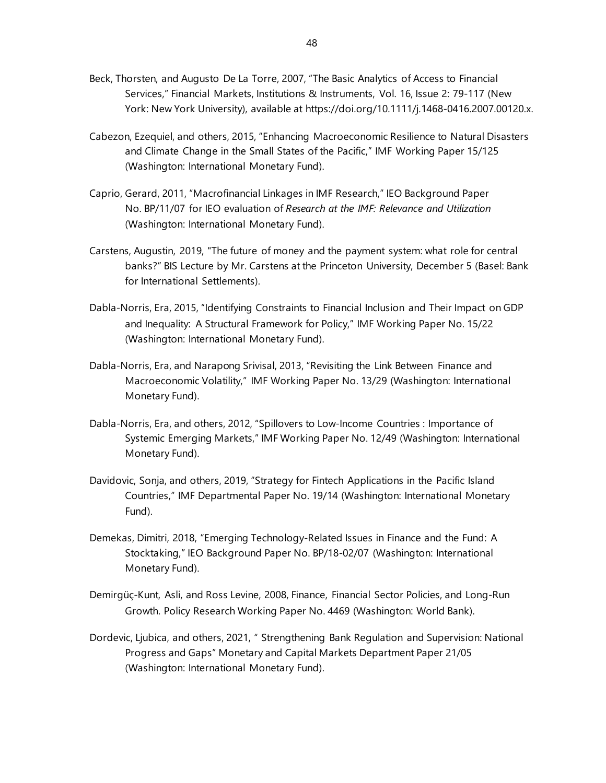- Beck, Thorsten, and Augusto De La Torre, 2007, "The Basic Analytics of Access to Financial Services," Financial Markets, Institutions & Instruments, Vol. 16, Issue 2: 79-117 (New York: New York University), available at [https://doi.org/10.1111/j.1468-0416.2007.00120.x.](https://doi.org/10.1111/j.1468-0416.2007.00120.x)
- Cabezon, Ezequiel, and others, 2015, "Enhancing Macroeconomic Resilience to Natural Disasters and Climate Change in the Small States of the Pacific," IMF Working Paper 15/125 (Washington: International Monetary Fund).
- Caprio, Gerard, 2011, "Macrofinancial Linkages in IMF Research," IEO Background Paper No. BP/11/07 for IEO evaluation of *Research at the IMF: Relevance and Utilization* (Washington: International Monetary Fund).
- Carstens, Augustin, 2019, "The future of money and the payment system: what role for central banks?" BIS Lecture by Mr. Carstens at the Princeton University, December 5 (Basel: Bank for International Settlements).
- Dabla-Norris, Era, 2015, "Identifying Constraints to Financial Inclusion and Their Impact on GDP and Inequality: A Structural Framework for Policy," IMF Working Paper No. 15/22 (Washington: International Monetary Fund).
- Dabla-Norris, Era, and Narapong Srivisal, 2013, "Revisiting the Link Between Finance and Macroeconomic Volatility," IMF Working Paper No. 13/29 (Washington: International Monetary Fund).
- Dabla-Norris, Era, and others, 2012, "Spillovers to Low-Income Countries : Importance of Systemic Emerging Markets," IMF Working Paper No. 12/49 (Washington: International Monetary Fund).
- Davidovic, Sonja, and others, 2019, "Strategy for Fintech Applications in the Pacific Island Countries," IMF Departmental Paper No. 19/14 (Washington: International Monetary Fund).
- Demekas, Dimitri, 2018, "Emerging Technology-Related Issues in Finance and the Fund: A Stocktaking," IEO Background Paper No. BP/18-02/07 (Washington: International Monetary Fund).
- Demirgüç-Kunt, Asli, and Ross Levine, 2008, Finance, Financial Sector Policies, and Long-Run Growth. Policy Research Working Paper No. 4469 (Washington: World Bank).
- Dordevic, Ljubica, and others, 2021, " Strengthening Bank Regulation and Supervision: National Progress and Gaps" Monetary and Capital Markets Department Paper 21/05 (Washington: International Monetary Fund).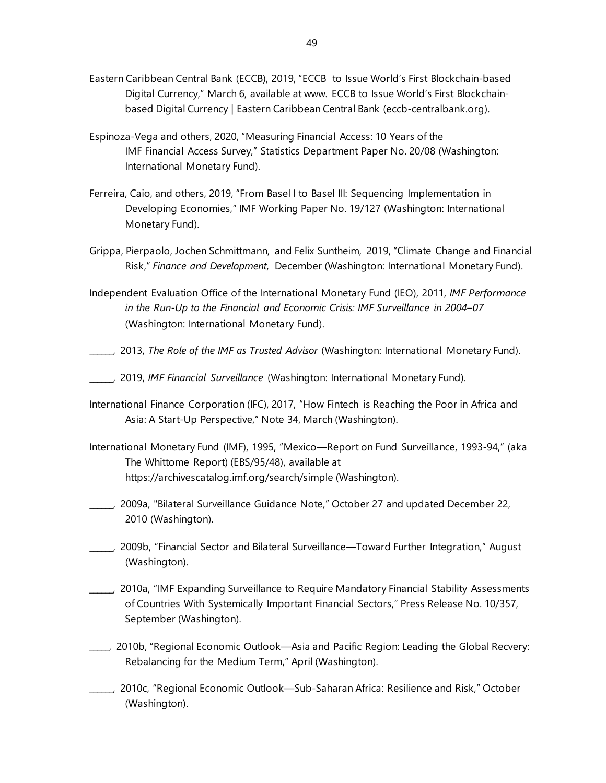- Eastern Caribbean Central Bank (ECCB), 2019, "ECCB to Issue World's First Blockchain-based Digital Currency," March 6, available at www. [ECCB to Issue World's First Blockchain](https://www.eccb-centralbank.org/news/view/eccb-to-issue-worldas-first-blockchain-based-digital-currency)[based Digital Currency | Eastern Caribbean Central Bank \(eccb-centralbank.org\).](https://www.eccb-centralbank.org/news/view/eccb-to-issue-worldas-first-blockchain-based-digital-currency)
- Espinoza-Vega and others, 2020, "Measuring Financial [Access: 10 Years of the](https://www.imf.org/en/Publications/Departmental-Papers-Policy-Papers/Issues/2020/05/12/Measuring-Financial-Access-10-Years-of-the-IMF-Financial-Access-Survey-49298)  IMF [Financial](https://www.imf.org/en/Publications/Departmental-Papers-Policy-Papers/Issues/2020/05/12/Measuring-Financial-Access-10-Years-of-the-IMF-Financial-Access-Survey-49298) Access Survey," Statistics Department Paper No. 20/08 (Washington: International Monetary Fund).
- Ferreira, Caio, and others, 2019, "From Basel I to Basel III: Sequencing Implementation in Developing Economies," IMF Working Paper No. 19/127 (Washington: International Monetary Fund).
- [Grippa,](https://www.imf.org/external/pubs/ft/fandd/2019/12/climate-change-central-banks-and-financial-risk-grippa.htm) Pierpaolo, Jochen Schmittmann, and Felix Suntheim, 2019, "Climate Change and Financial Risk," *Finance and Development*, December (Washington: International Monetary Fund).
- Independent Evaluation Office of the International Monetary Fund (IEO), 2011, *IMF Performance in the Run-Up to the Financial and Economic Crisis: IMF Surveillance in 2004–07* (Washington: International Monetary Fund).
- \_\_\_\_\_\_, 2013, *The Role of the IMF as Trusted Advisor* (Washington: International Monetary Fund).
- \_\_\_\_\_\_, 2019, *IMF Financial Surveillance* (Washington: International Monetary Fund).
- International Finance Corporation (IFC), 2017, "How Fintech is Reaching the Poor in Africa and Asia: A Start-Up Perspective," Note 34, March (Washington).
- International Monetary Fund (IMF), 1995, "Mexico—Report on Fund Surveillance, 1993-94," (aka The Whittome Report) (EBS/95/48), available at https://archivescatalog.imf.org/search/simple (Washington).
- \_\_\_\_\_\_, 2009a, "Bilateral Surveillance Guidance Note," October 27 and updated December 22, 2010 (Washington).
- \_\_\_\_\_\_, 2009b, "Financial Sector and Bilateral Surveillance—Toward Further Integration," August (Washington).
- \_\_\_\_\_\_, 2010a, "IMF Expanding Surveillance to Require Mandatory Financial Stability Assessments of Countries With Systemically Important Financial Sectors," Press Release No. 10/357, September (Washington).
- \_\_\_\_\_, 2010b, "Regional Economic Outlook—Asia and Pacific Region: Leading the Global Recvery: Rebalancing for the Medium Term," April (Washington).
- \_\_\_\_\_\_, 2010c, "Regional Economic Outlook—Sub-Saharan Africa: Resilience and Risk," October (Washington).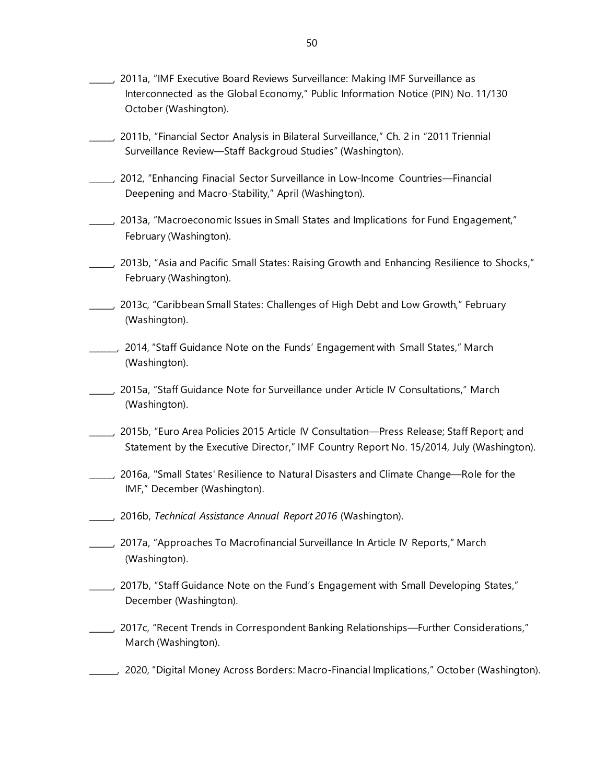- 2011a, "IMF Executive Board Reviews Surveillance: Making IMF Surveillance as Interconnected as the Global Economy," Public Information Notice (PIN) No. 11/130 October (Washington).
- \_\_\_\_\_\_, 2011b, "Financial Sector Analysis in Bilateral Surveillance," Ch. 2 in "2011 Triennial Surveillance Review—Staff Backgroud Studies" (Washington).
- \_\_\_\_\_\_, 2012, "Enhancing Finacial Sector Surveillance in Low-Income Countries—Financial Deepening and Macro-Stability," April (Washington).
- \_\_\_\_\_\_, 2013a, "Macroeconomic Issues in Small States and Implications for Fund Engagement," February (Washington).
- \_\_\_\_\_\_, 2013b, "Asia and Pacific Small States: Raising Growth and Enhancing Resilience to Shocks," February (Washington).
- \_\_\_\_\_\_, 2013c, "Caribbean Small States: Challenges of High Debt and Low Growth," February (Washington).
- \_\_\_\_\_\_\_, 2014, "Staff Guidance Note on the Funds' Engagement with Small States," March (Washington).
- \_\_\_\_\_\_, 2015a, "Staff Guidance Note for Surveillance under Article IV Consultations," March (Washington).
- \_\_\_\_\_\_, 2015b, "Euro Area Policies 2015 Article IV Consultation—Press Release; Staff Report; and Statement by the Executive Director," IMF Country Report No. 15/2014, July (Washington).
- \_\_\_\_\_\_, 2016a, "Small [States' Resilience to Natural Disasters and Climate Change—Role for the](https://www.imf.org/en/Publications/Policy-Papers/Issues/2016/12/31/Small-States-Resilience-to-Natural-Disasters-and-Climate-Change-Role-for-the-IMF-PP5079)  [IMF,"](https://www.imf.org/en/Publications/Policy-Papers/Issues/2016/12/31/Small-States-Resilience-to-Natural-Disasters-and-Climate-Change-Role-for-the-IMF-PP5079) December (Washington).
- \_\_\_\_\_\_, 2016b, *Technical Assistance Annual Report 2016* (Washington).
- \_\_\_\_\_\_, 2017a, "Approaches To Macrofinancial Surveillance In Article IV Reports," March (Washington).
- \_\_\_\_\_\_, 2017b, "Staff Guidance Note on the Fund's Engagement with Small Developing States," December (Washington).
- \_\_\_\_\_\_, 2017c, "Recent Trends in Correspondent Banking Relationships—Further Considerations," March (Washington).
- \_\_\_\_\_\_\_, 2020, "Digital Money Across Borders: Macro-Financial Implications," October (Washington).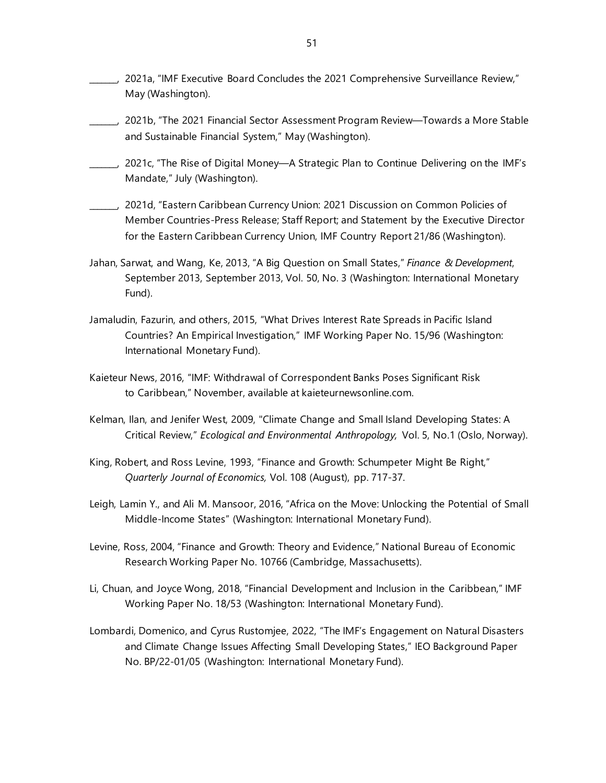- \_\_\_\_\_\_\_, 2021a, "IMF Executive Board Concludes the 2021 Comprehensive Surveillance Review," May (Washington).
- \_\_\_\_\_\_\_, 2021b, "The 2021 Financial Sector Assessment Program Review—Towards a More Stable and Sustainable Financial System," May (Washington).
- \_\_\_\_\_\_\_, 2021c, "The Rise of Digital Money—A Strategic Plan to Continue Delivering on the IMF's Mandate," July (Washington).
- \_\_\_\_\_\_\_, 2021d, "Eastern Caribbean Currency Union: 2021 Discussion on Common Policies of Member Countries-Press Release; Staff Report; and Statement by the Executive Director for the Eastern Caribbean Currency Union, IMF Country Report 21/86 (Washington).
- Jahan, Sarwat, and Wang, Ke, 2013, ["A Big Question on](https://www.imf.org/external/pubs/ft/fandd/2013/09/jahan.htm) Small States," *Finance & Development*, [September 2013, September 2013,](https://www.imf.org/external/pubs/ft/fandd/2013/09/jahan.htm) Vol. 50, No. 3 (Washington: International Monetary Fund).
- Jamaludin, Fazurin, and others, 2015, "What Drives Interest Rate Spreads in Pacific Island Countries? An Empirical Investigation," IMF Working Paper No. 15/96 (Washington: International Monetary Fund).
- Kaieteur News, 2016, "IMF: [Withdrawal of Correspondent Banks Poses Significant Risk](https://www.imf.org/en/News/Articles/2016/11/11/NA111116-Withdrawal-of-Correspondent-Banks-Poses-Significant-Risk-to-Caribbean)  to [Caribbean,](https://www.imf.org/en/News/Articles/2016/11/11/NA111116-Withdrawal-of-Correspondent-Banks-Poses-Significant-Risk-to-Caribbean)" November, available at kaieteurnewsonline.com.
- Kelman, Ilan, and Jenifer West, 2009, "Climate Change and Small Island Developing States: A Critical Review," *Ecological and Environmental Anthropology,* Vol. 5, No.1 (Oslo, Norway).
- King, Robert, and Ross Levine, 1993, "Finance and Growth: Schumpeter Might Be Right," *Quarterly Journal of Economics,* Vol. 108 (August), pp. 717-37.
- Leigh, Lamin Y., and Ali M. Mansoor, 2016, "Africa on the Move: Unlocking the Potential of Small Middle-Income States" (Washington: International Monetary Fund).
- Levine, Ross, 2004, "Finance and Growth: Theory and Evidence," National Bureau of Economic Research Working Paper No. 10766 (Cambridge, Massachusetts).
- Li, Chuan, and Joyce Wong, 2018, "Financial Development and Inclusion in the Caribbean," IMF Working Paper No. 18/53 (Washington: International Monetary Fund).
- Lombardi, Domenico, and Cyrus Rustomjee, 2022, "The IMF's Engagement on Natural Disasters and Climate Change Issues Affecting Small Developing States," IEO Background Paper No. BP/22-01/05 (Washington: International Monetary Fund).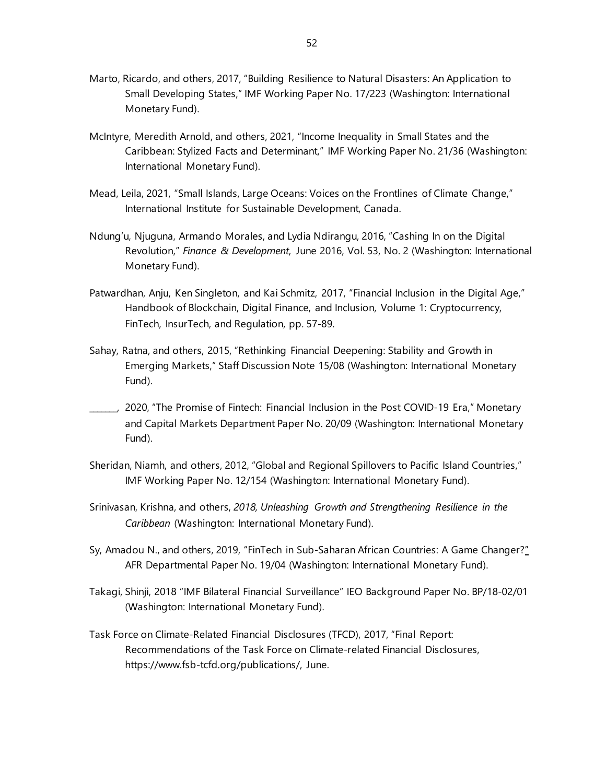- Marto, Ricardo, and others, 2017, "Building Resilience to Natural Disasters: An Application to Small Developing States," IMF Working Paper No. 17/223 (Washington: International Monetary Fund).
- McIntyre, Meredith Arnold, and others, 2021, "Income Inequality in Small States and the Caribbean: Stylized Facts and Determinant," IMF Working Paper No. 21/36 (Washington: International Monetary Fund).
- Mead, Leila, 2021, "Small Islands, Large Oceans: Voices on the Frontlines of Climate Change," International Institute for Sustainable Development, Canada.
- Ndung'u, Njuguna, Armando Morales, and Lydia Ndirangu, 2016, "Cashing In on the Digital Revolution," *Finance & Development*, June 2016, Vol. 53, No. 2 (Washington: International Monetary Fund).
- Patwardhan, Anju, Ken Singleton, and Kai Schmitz, 2017, "Financial Inclusion in the Digital Age," Handbook of Blockchain, Digital Finance, and Inclusion, Volume 1: Cryptocurrency, FinTech, InsurTech, and Regulation, pp. 57-89.
- Sahay, Ratna, and others, 2015, "Rethinking Financial Deepening: Stability and Growth in Emerging Markets," Staff Discussion Note 15/08 (Washington: International Monetary Fund).
- \_\_\_\_\_\_\_, 2020, "The Promise of Fintech: Financial Inclusion in the Post COVID-19 Era," Monetary and Capital Markets Department Paper No. 20/09 (Washington: International Monetary Fund).
- Sheridan, Niamh, and others, 2012, "Global and Regional Spillovers to Pacific Island Countries," IMF Working Paper No. 12/154 (Washington: International Monetary Fund).
- Srinivasan, Krishna, and others, *2018, Unleashing Growth and Strengthening Resilience in the Caribbean* (Washington: International Monetary Fund).
- Sy, Amadou N., and others, 2019, "FinTech in Sub-Saharan African Countries: A Game Changer?" AFR Departmental Paper No. 19/04 (Washington: International Monetary Fund).
- Takagi, Shinji, 2018 "IMF Bilateral Financial Surveillance" IEO Background Paper No. BP/18-02/01 (Washington: International Monetary Fund).
- Task Force on Climate-Related Financial Disclosures (TFCD), 2017, "Final Report: Recommendations of the Task Force on Climate-related Financial Disclosures, https://www.fsb-tcfd.org/publications/, June.